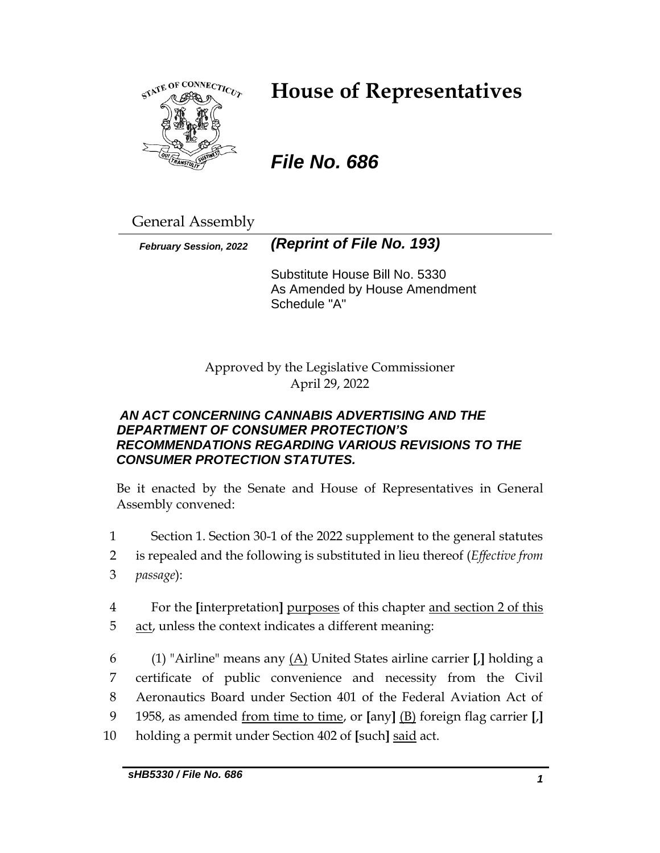

## **House of Representatives**

## *File No. 686*

General Assembly

*February Session, 2022 (Reprint of File No. 193)*

Substitute House Bill No. 5330 As Amended by House Amendment Schedule "A"

Approved by the Legislative Commissioner April 29, 2022

## *AN ACT CONCERNING CANNABIS ADVERTISING AND THE DEPARTMENT OF CONSUMER PROTECTION'S RECOMMENDATIONS REGARDING VARIOUS REVISIONS TO THE CONSUMER PROTECTION STATUTES.*

Be it enacted by the Senate and House of Representatives in General Assembly convened:

- 1 Section 1. Section 30-1 of the 2022 supplement to the general statutes
- 2 is repealed and the following is substituted in lieu thereof (*Effective from*
- 3 *passage*):
- 4 For the **[**interpretation**]** purposes of this chapter and section 2 of this 5 act, unless the context indicates a different meaning:
- 6 (1) "Airline" means any (A) United States airline carrier **[**,**]** holding a 7 certificate of public convenience and necessity from the Civil 8 Aeronautics Board under Section 401 of the Federal Aviation Act of 9 1958, as amended from time to time, or **[**any**]** (B) foreign flag carrier **[**,**]** 10 holding a permit under Section 402 of **[**such**]** said act.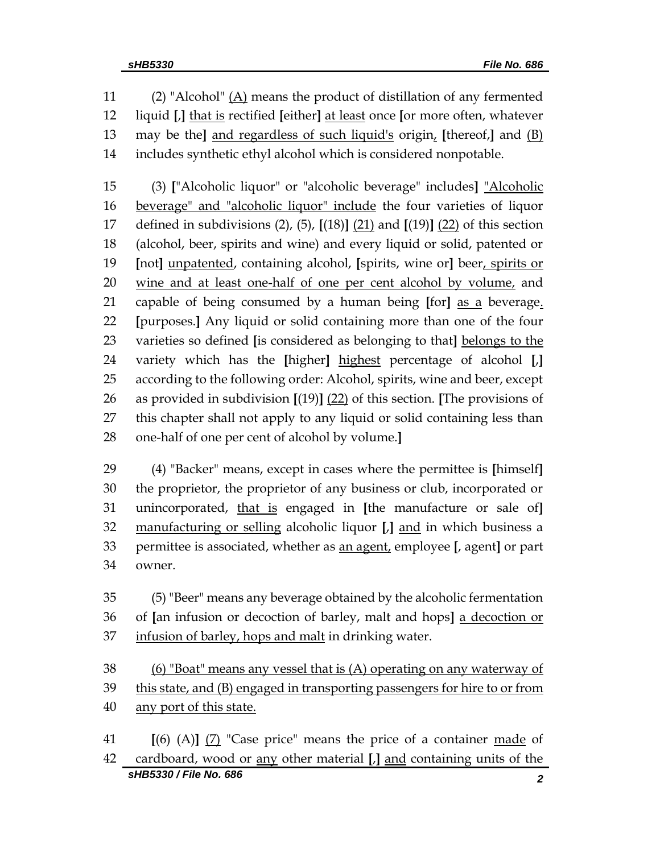11 (2) "Alcohol"  $(A)$  means the product of distillation of any fermented liquid **[**,**]** that is rectified **[**either**]** at least once **[**or more often, whatever may be the**]** and regardless of such liquid's origin, **[**thereof,**]** and (B) includes synthetic ethyl alcohol which is considered nonpotable.

 (3) **[**"Alcoholic liquor" or "alcoholic beverage" includes**]** "Alcoholic 16 beverage" and "alcoholic liquor" include the four varieties of liquor defined in subdivisions (2), (5), **[**(18)**]** (21) and **[**(19)**]** (22) of this section (alcohol, beer, spirits and wine) and every liquid or solid, patented or **[**not**]** unpatented, containing alcohol, **[**spirits, wine or**]** beer, spirits or 20 wine and at least one-half of one per cent alcohol by volume, and capable of being consumed by a human being **[**for**]** as a beverage. **[**purposes.**]** Any liquid or solid containing more than one of the four varieties so defined **[**is considered as belonging to that**]** belongs to the variety which has the **[**higher**]** highest percentage of alcohol **[**,**]** according to the following order: Alcohol, spirits, wine and beer, except as provided in subdivision **[**(19)**]** (22) of this section. **[**The provisions of this chapter shall not apply to any liquid or solid containing less than one-half of one per cent of alcohol by volume.**]**

 (4) "Backer" means, except in cases where the permittee is **[**himself**]** the proprietor, the proprietor of any business or club, incorporated or unincorporated, that is engaged in **[**the manufacture or sale of**]** manufacturing or selling alcoholic liquor **[**,**]** and in which business a permittee is associated, whether as an agent, employee **[**, agent**]** or part owner.

 (5) "Beer" means any beverage obtained by the alcoholic fermentation of **[**an infusion or decoction of barley, malt and hops**]** a decoction or infusion of barley, hops and malt in drinking water.

 (6) "Boat" means any vessel that is (A) operating on any waterway of this state, and (B) engaged in transporting passengers for hire to or from any port of this state.

*sHB5330 / File No. 686 2* **[**(6) (A)**]** (7) "Case price" means the price of a container made of cardboard, wood or any other material **[**,**]** and containing units of the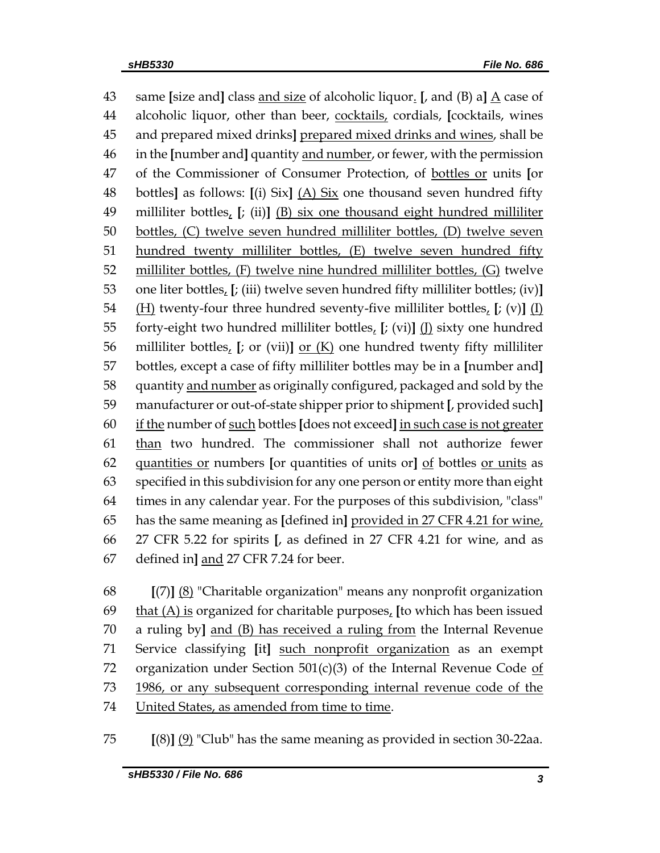same **[**size and**]** class and size of alcoholic liquor. **[**, and (B) a**]** A case of alcoholic liquor, other than beer, cocktails, cordials, **[**cocktails, wines and prepared mixed drinks**]** prepared mixed drinks and wines, shall be in the **[**number and**]** quantity and number, or fewer, with the permission of the Commissioner of Consumer Protection, of bottles or units **[**or bottles**]** as follows: **[**(i) Six**]** (A) Six one thousand seven hundred fifty milliliter bottles, **[**; (ii)**]** (B) six one thousand eight hundred milliliter bottles, (C) twelve seven hundred milliliter bottles, (D) twelve seven hundred twenty milliliter bottles, (E) twelve seven hundred fifty milliliter bottles, (F) twelve nine hundred milliliter bottles, (G) twelve one liter bottles, **[**; (iii) twelve seven hundred fifty milliliter bottles; (iv)**]** (H) twenty-four three hundred seventy-five milliliter bottles, **[**; (v)**]** (I) forty-eight two hundred milliliter bottles, **[**; (vi)**]** (J) sixty one hundred milliliter bottles, **[**; or (vii)**]** or (K) one hundred twenty fifty milliliter bottles, except a case of fifty milliliter bottles may be in a **[**number and**]** 58 quantity and number as originally configured, packaged and sold by the manufacturer or out-of-state shipper prior to shipment **[**, provided such**]** if the number of such bottles **[**does not exceed**]** in such case is not greater 61 than two hundred. The commissioner shall not authorize fewer quantities or numbers **[**or quantities of units or**]** of bottles or units as specified in this subdivision for any one person or entity more than eight times in any calendar year. For the purposes of this subdivision, "class" has the same meaning as **[**defined in**]** provided in 27 CFR 4.21 for wine, 27 CFR 5.22 for spirits **[**, as defined in 27 CFR 4.21 for wine, and as defined in**]** and 27 CFR 7.24 for beer.

 **[**(7)**]** (8) "Charitable organization" means any nonprofit organization that (A) is organized for charitable purposes, **[**to which has been issued a ruling by**]** and (B) has received a ruling from the Internal Revenue Service classifying **[**it**]** such nonprofit organization as an exempt 72 organization under Section  $501(c)(3)$  of the Internal Revenue Code of 1986, or any subsequent corresponding internal revenue code of the United States, as amended from time to time.

**[**(8)**]** (9) "Club" has the same meaning as provided in section 30-22aa.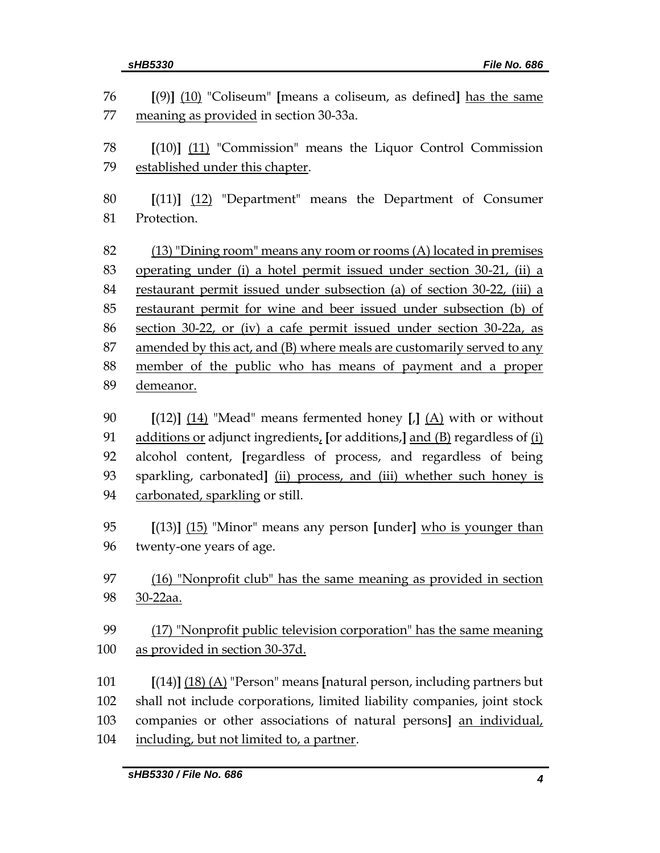| 76       | $[9]$ (10) "Coliseum" [means a coliseum, as defined] has the same                                   |
|----------|-----------------------------------------------------------------------------------------------------|
| 77       | meaning as provided in section 30-33a.                                                              |
| 78       |                                                                                                     |
| 79       | $[(10)]$ $(11)$ "Commission" means the Liquor Control Commission<br>established under this chapter. |
|          |                                                                                                     |
| 80       | $[(11)]$ $(12)$ "Department" means the Department of Consumer                                       |
| 81       | Protection.                                                                                         |
| 82       |                                                                                                     |
|          | (13) "Dining room" means any room or rooms (A) located in premises                                  |
| 83       | operating under (i) a hotel permit issued under section 30-21, (ii) a                               |
| 84       | restaurant permit issued under subsection (a) of section 30-22, (iii) a                             |
| 85       | restaurant permit for wine and beer issued under subsection (b) of                                  |
| 86<br>87 | section 30-22, or (iv) a cafe permit issued under section 30-22a, as                                |
| 88       | amended by this act, and (B) where meals are customarily served to any                              |
|          | member of the public who has means of payment and a proper                                          |
| 89       | demeanor.                                                                                           |
| 90       | $[(12)]$ $(14)$ "Mead" means fermented honey [J] $(A)$ with or without                              |
| 91       | additions or adjunct ingredients, [or additions,] and $(B)$ regardless of $(i)$                     |
| 92       | alcohol content, [regardless of process, and regardless of being                                    |
| 93       | sparkling, carbonated] (ii) process, and (iii) whether such honey is                                |
| 94       | carbonated, sparkling or still.                                                                     |
|          |                                                                                                     |
| 95       | $[(13)]$ $(15)$ "Minor" means any person [under] who is younger than                                |
| 96       | twenty-one years of age.                                                                            |
| 97       | $(16)$ "Nonprofit club" has the same meaning as provided in section                                 |
| 98       | 30-22aa.                                                                                            |
|          |                                                                                                     |
| 99       | (17) "Nonprofit public television corporation" has the same meaning                                 |
| 100      | as provided in section 30-37d.                                                                      |
| 101      | $[(14)]$ $(18)$ $(A)$ "Person" means [natural person, including partners but                        |
| 102      | shall not include corporations, limited liability companies, joint stock                            |
| 103      | companies or other associations of natural persons] an individual,                                  |
| 104      | including, but not limited to, a partner.                                                           |
|          |                                                                                                     |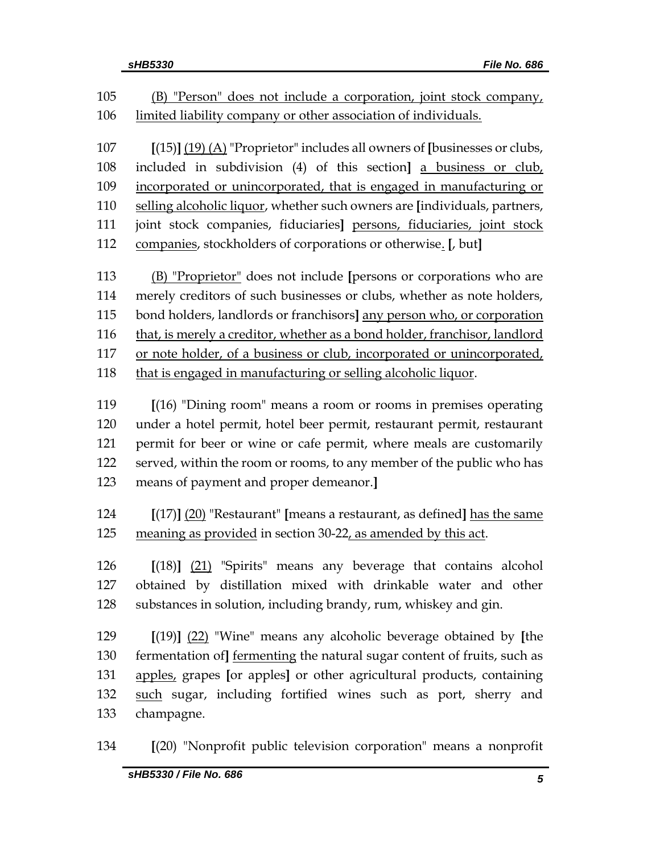| 105 | (B) "Person" does not include a corporation, joint stock company,               |
|-----|---------------------------------------------------------------------------------|
| 106 | limited liability company or other association of individuals.                  |
|     |                                                                                 |
| 107 | $[(15)]$ $(19)$ $(A)$ "Proprietor" includes all owners of [businesses or clubs, |
| 108 | included in subdivision (4) of this section] a business or club,                |
| 109 | incorporated or unincorporated, that is engaged in manufacturing or             |
| 110 | selling alcoholic liquor, whether such owners are [individuals, partners,       |
| 111 | joint stock companies, fiduciaries] persons, fiduciaries, joint stock           |
| 112 | companies, stockholders of corporations or otherwise. [, but]                   |
| 113 | (B) "Proprietor" does not include [persons or corporations who are              |
| 114 | merely creditors of such businesses or clubs, whether as note holders,          |
| 115 | bond holders, landlords or franchisors] any person who, or corporation          |
| 116 | that, is merely a creditor, whether as a bond holder, franchisor, landlord      |
| 117 | or note holder, of a business or club, incorporated or unincorporated,          |
| 118 | that is engaged in manufacturing or selling alcoholic liquor.                   |
|     |                                                                                 |
| 119 | $[(16)$ "Dining room" means a room or rooms in premises operating               |
| 120 | under a hotel permit, hotel beer permit, restaurant permit, restaurant          |
| 121 | permit for beer or wine or cafe permit, where meals are customarily             |
| 122 | served, within the room or rooms, to any member of the public who has           |
| 123 | means of payment and proper demeanor.]                                          |
| 124 | $[(17)]$ $(20)$ "Restaurant" [means a restaurant, as defined] has the same      |
| 125 | meaning as provided in section 30-22, as amended by this act.                   |
|     |                                                                                 |
| 126 | $[(18)]$ $(21)$ "Spirits" means any beverage that contains alcohol              |
| 127 | obtained by distillation mixed with drinkable water and other                   |
| 128 | substances in solution, including brandy, rum, whiskey and gin.                 |
| 129 | $[(19)]$ $(22)$ "Wine" means any alcoholic beverage obtained by [the            |
| 130 | fermentation of <u>fermenting</u> the natural sugar content of fruits, such as  |
| 131 | apples, grapes [or apples] or other agricultural products, containing           |
| 132 | such sugar, including fortified wines such as port, sherry and                  |
| 133 | champagne.                                                                      |
|     |                                                                                 |
| 131 | $I(20)$ "Nonprofit public television corporation" means a nonprofit             |

**[**(20) "Nonprofit public television corporation" means a nonprofit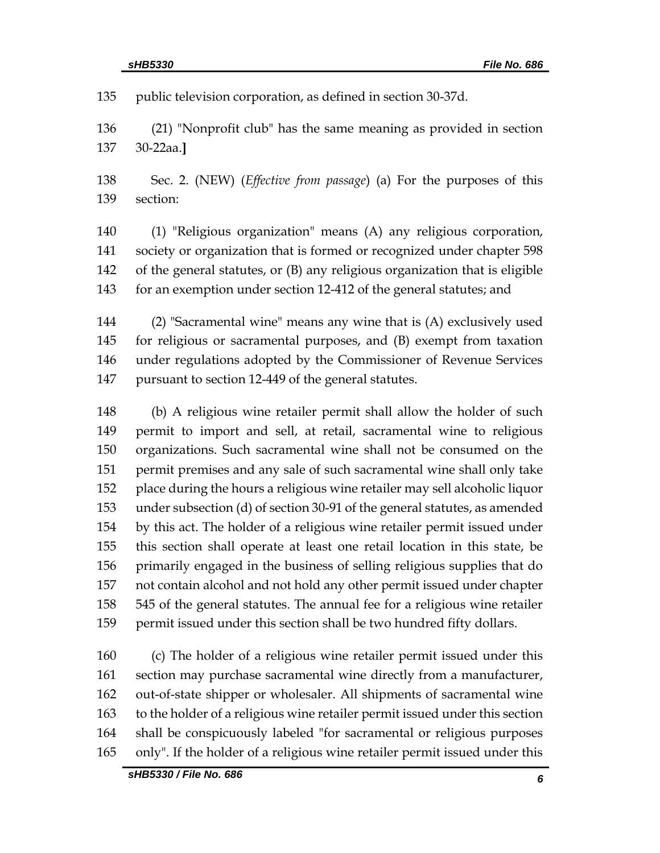public television corporation, as defined in section 30-37d.

 (21) "Nonprofit club" has the same meaning as provided in section 30-22aa.**]**

 Sec. 2. (NEW) (*Effective from passage*) (a) For the purposes of this section:

 (1) "Religious organization" means (A) any religious corporation, society or organization that is formed or recognized under chapter 598 of the general statutes, or (B) any religious organization that is eligible for an exemption under section 12-412 of the general statutes; and

 (2) "Sacramental wine" means any wine that is (A) exclusively used for religious or sacramental purposes, and (B) exempt from taxation under regulations adopted by the Commissioner of Revenue Services pursuant to section 12-449 of the general statutes.

 (b) A religious wine retailer permit shall allow the holder of such permit to import and sell, at retail, sacramental wine to religious organizations. Such sacramental wine shall not be consumed on the permit premises and any sale of such sacramental wine shall only take place during the hours a religious wine retailer may sell alcoholic liquor under subsection (d) of section 30-91 of the general statutes, as amended by this act. The holder of a religious wine retailer permit issued under this section shall operate at least one retail location in this state, be primarily engaged in the business of selling religious supplies that do not contain alcohol and not hold any other permit issued under chapter 545 of the general statutes. The annual fee for a religious wine retailer 159 permit issued under this section shall be two hundred fifty dollars.

 (c) The holder of a religious wine retailer permit issued under this section may purchase sacramental wine directly from a manufacturer, out-of-state shipper or wholesaler. All shipments of sacramental wine to the holder of a religious wine retailer permit issued under this section shall be conspicuously labeled "for sacramental or religious purposes only". If the holder of a religious wine retailer permit issued under this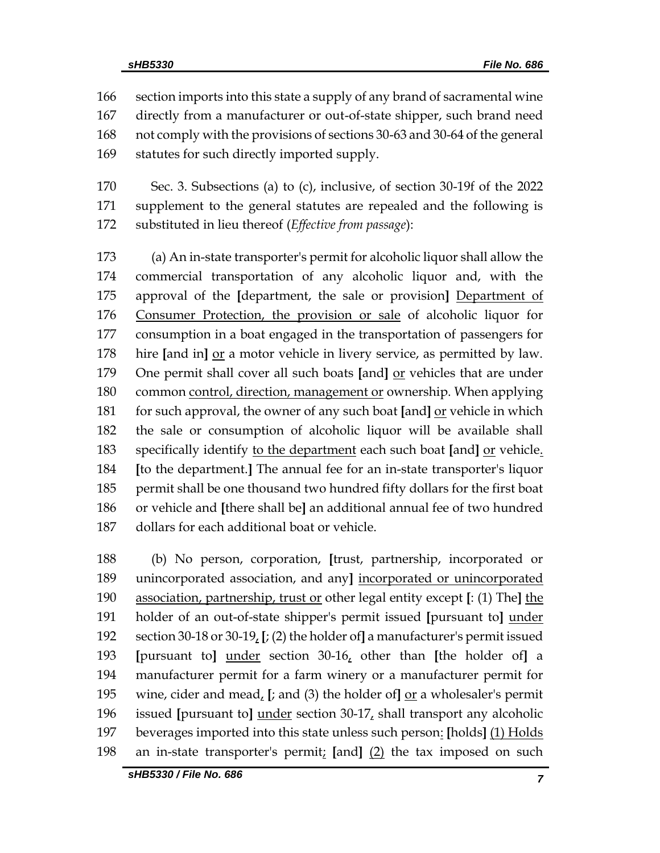section imports into this state a supply of any brand of sacramental wine directly from a manufacturer or out-of-state shipper, such brand need not comply with the provisions of sections 30-63 and 30-64 of the general statutes for such directly imported supply.

 Sec. 3. Subsections (a) to (c), inclusive, of section 30-19f of the 2022 supplement to the general statutes are repealed and the following is substituted in lieu thereof (*Effective from passage*):

 (a) An in-state transporter's permit for alcoholic liquor shall allow the commercial transportation of any alcoholic liquor and, with the approval of the **[**department, the sale or provision**]** Department of Consumer Protection, the provision or sale of alcoholic liquor for consumption in a boat engaged in the transportation of passengers for hire **[**and in**]** or a motor vehicle in livery service, as permitted by law. One permit shall cover all such boats **[**and**]** or vehicles that are under common control, direction, management or ownership. When applying for such approval, the owner of any such boat **[**and**]** or vehicle in which the sale or consumption of alcoholic liquor will be available shall specifically identify to the department each such boat **[**and**]** or vehicle. **[**to the department.**]** The annual fee for an in-state transporter's liquor permit shall be one thousand two hundred fifty dollars for the first boat or vehicle and **[**there shall be**]** an additional annual fee of two hundred dollars for each additional boat or vehicle.

 (b) No person, corporation, **[**trust, partnership, incorporated or unincorporated association, and any**]** incorporated or unincorporated association, partnership, trust or other legal entity except **[**: (1) The**]** the holder of an out-of-state shipper's permit issued **[**pursuant to**]** under section 30-18 or 30-19, **[**; (2) the holder of**]** a manufacturer's permit issued **[**pursuant to**]** under section 30-16, other than **[**the holder of**]** a manufacturer permit for a farm winery or a manufacturer permit for 195 wine, cider and mead,  $\left[$ ; and (3) the holder of  $\left[ \text{or} \right]$  a wholesaler's permit issued **[**pursuant to**]** under section 30-17, shall transport any alcoholic beverages imported into this state unless such person: **[**holds**]** (1) Holds an in-state transporter's permit; **[**and**]** (2) the tax imposed on such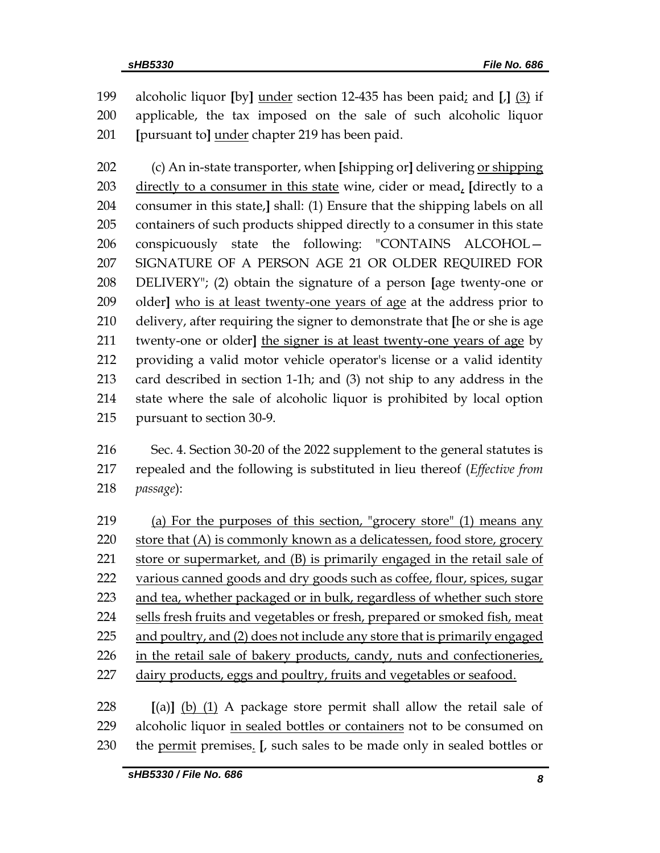alcoholic liquor **[**by**]** under section 12-435 has been paid; and **[**,**]** (3) if applicable, the tax imposed on the sale of such alcoholic liquor **[**pursuant to**]** under chapter 219 has been paid.

 (c) An in-state transporter, when **[**shipping or**]** delivering or shipping directly to a consumer in this state wine, cider or mead, **[**directly to a consumer in this state,**]** shall: (1) Ensure that the shipping labels on all containers of such products shipped directly to a consumer in this state conspicuously state the following: "CONTAINS ALCOHOL— SIGNATURE OF A PERSON AGE 21 OR OLDER REQUIRED FOR DELIVERY"; (2) obtain the signature of a person **[**age twenty-one or older**]** who is at least twenty-one years of age at the address prior to delivery, after requiring the signer to demonstrate that **[**he or she is age twenty-one or older**]** the signer is at least twenty-one years of age by providing a valid motor vehicle operator's license or a valid identity card described in section 1-1h; and (3) not ship to any address in the state where the sale of alcoholic liquor is prohibited by local option pursuant to section 30-9.

 Sec. 4. Section 30-20 of the 2022 supplement to the general statutes is repealed and the following is substituted in lieu thereof (*Effective from passage*):

 (a) For the purposes of this section, "grocery store" (1) means any 220 store that (A) is commonly known as a delicatessen, food store, grocery store or supermarket, and (B) is primarily engaged in the retail sale of various canned goods and dry goods such as coffee, flour, spices, sugar 223 and tea, whether packaged or in bulk, regardless of whether such store sells fresh fruits and vegetables or fresh, prepared or smoked fish, meat and poultry, and (2) does not include any store that is primarily engaged in the retail sale of bakery products, candy, nuts and confectioneries, 227 dairy products, eggs and poultry, fruits and vegetables or seafood.

 **[**(a)**]** (b) (1) A package store permit shall allow the retail sale of alcoholic liquor in sealed bottles or containers not to be consumed on the permit premises. **[**, such sales to be made only in sealed bottles or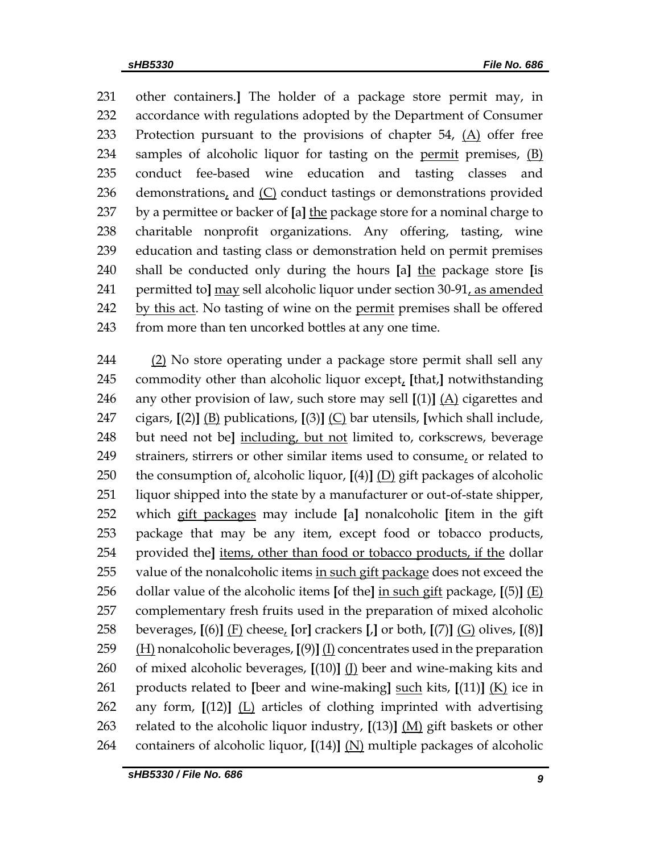other containers.**]** The holder of a package store permit may, in accordance with regulations adopted by the Department of Consumer 233 Protection pursuant to the provisions of chapter ,  $(A)$  offer free samples of alcoholic liquor for tasting on the permit premises, (B) conduct fee-based wine education and tasting classes and 236 demonstrations, and  $(C)$  conduct tastings or demonstrations provided by a permittee or backer of **[**a**]** the package store for a nominal charge to charitable nonprofit organizations. Any offering, tasting, wine education and tasting class or demonstration held on permit premises shall be conducted only during the hours **[**a**]** the package store **[**is permitted to**]** may sell alcoholic liquor under section 30-91, as amended by this act. No tasting of wine on the permit premises shall be offered 243 from more than ten uncorked bottles at any one time.

 (2) No store operating under a package store permit shall sell any commodity other than alcoholic liquor except, **[**that,**]** notwithstanding any other provision of law, such store may sell **[**(1)**]** (A) cigarettes and cigars, **[**(2)**]** (B) publications, **[**(3)**]** (C) bar utensils, **[**which shall include, but need not be**]** including, but not limited to, corkscrews, beverage strainers, stirrers or other similar items used to consume, or related to the consumption of, alcoholic liquor, **[**(4)**]** (D) gift packages of alcoholic liquor shipped into the state by a manufacturer or out-of-state shipper, which gift packages may include **[**a**]** nonalcoholic **[**item in the gift package that may be any item, except food or tobacco products, provided the**]** items, other than food or tobacco products, if the dollar 255 value of the nonalcoholic items in such gift package does not exceed the dollar value of the alcoholic items **[**of the**]** in such gift package, **[**(5)**]** (E) complementary fresh fruits used in the preparation of mixed alcoholic beverages, **[**(6)**]** (F) cheese, **[**or**]** crackers **[**,**]** or both, **[**(7)**]** (G) olives, **[**(8)**]** (H) nonalcoholic beverages, **[**(9)**]** (I) concentrates used in the preparation of mixed alcoholic beverages, **[**(10)**]** (J) beer and wine-making kits and products related to **[**beer and wine-making**]** such kits, **[**(11)**]** (K) ice in any form, **[**(12)**]** (L) articles of clothing imprinted with advertising related to the alcoholic liquor industry, **[**(13)**]** (M) gift baskets or other containers of alcoholic liquor, **[**(14)**]** (N) multiple packages of alcoholic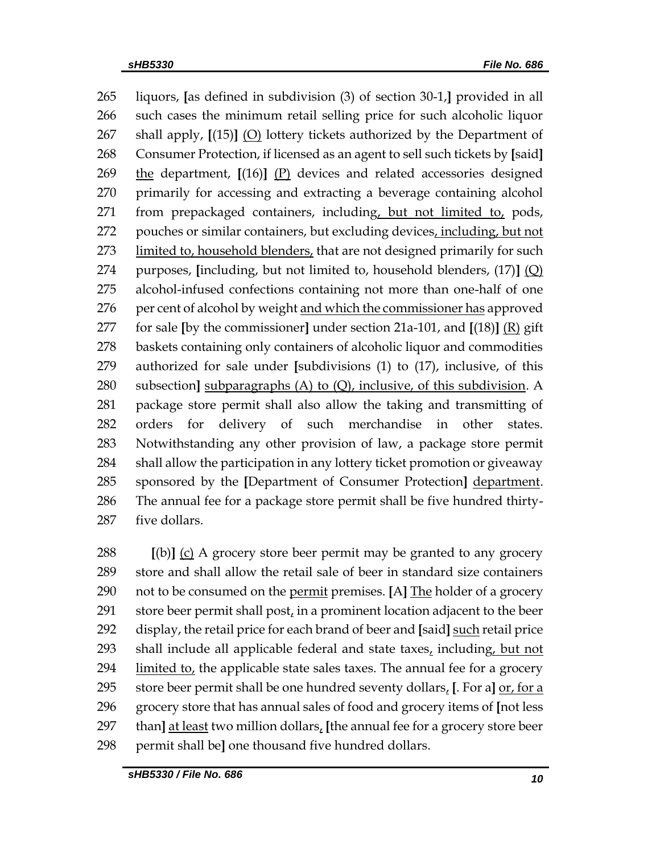liquors, **[**as defined in subdivision (3) of section 30-1,**]** provided in all such cases the minimum retail selling price for such alcoholic liquor shall apply, **[**(15)**]** (O) lottery tickets authorized by the Department of Consumer Protection, if licensed as an agent to sell such tickets by **[**said**]** the department, **[**(16)**]** (P) devices and related accessories designed primarily for accessing and extracting a beverage containing alcohol from prepackaged containers, including, but not limited to, pods, 272 pouches or similar containers, but excluding devices, including, but not 273 limited to, household blenders, that are not designed primarily for such purposes, **[**including, but not limited to, household blenders, (17)**]** (Q) alcohol-infused confections containing not more than one-half of one 276 per cent of alcohol by weight and which the commissioner has approved for sale **[**by the commissioner**]** under section 21a-101, and **[**(18)**]** (R) gift baskets containing only containers of alcoholic liquor and commodities authorized for sale under **[**subdivisions (1) to (17), inclusive, of this subsection**]** subparagraphs (A) to (Q), inclusive, of this subdivision. A package store permit shall also allow the taking and transmitting of orders for delivery of such merchandise in other states. Notwithstanding any other provision of law, a package store permit shall allow the participation in any lottery ticket promotion or giveaway sponsored by the **[**Department of Consumer Protection**]** department. The annual fee for a package store permit shall be five hundred thirty-five dollars.

 **[**(b)**]** (c) A grocery store beer permit may be granted to any grocery store and shall allow the retail sale of beer in standard size containers not to be consumed on the permit premises. **[**A**]** The holder of a grocery store beer permit shall post, in a prominent location adjacent to the beer display, the retail price for each brand of beer and **[**said**]** such retail price shall include all applicable federal and state taxes, including, but not limited to, the applicable state sales taxes. The annual fee for a grocery store beer permit shall be one hundred seventy dollars, **[**. For a**]** or, for a grocery store that has annual sales of food and grocery items of **[**not less than**]** at least two million dollars, **[**the annual fee for a grocery store beer permit shall be**]** one thousand five hundred dollars.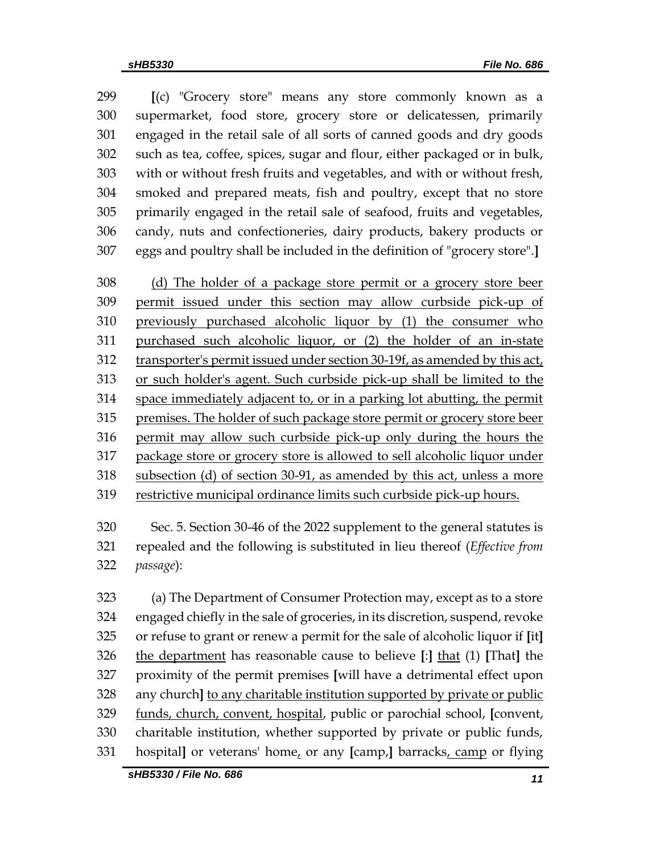**[**(c) "Grocery store" means any store commonly known as a supermarket, food store, grocery store or delicatessen, primarily engaged in the retail sale of all sorts of canned goods and dry goods such as tea, coffee, spices, sugar and flour, either packaged or in bulk, with or without fresh fruits and vegetables, and with or without fresh, smoked and prepared meats, fish and poultry, except that no store primarily engaged in the retail sale of seafood, fruits and vegetables, candy, nuts and confectioneries, dairy products, bakery products or eggs and poultry shall be included in the definition of "grocery store".**]**

 (d) The holder of a package store permit or a grocery store beer permit issued under this section may allow curbside pick-up of previously purchased alcoholic liquor by (1) the consumer who purchased such alcoholic liquor, or (2) the holder of an in-state transporter's permit issued under section 30-19f, as amended by this act, or such holder's agent. Such curbside pick-up shall be limited to the space immediately adjacent to, or in a parking lot abutting, the permit premises. The holder of such package store permit or grocery store beer permit may allow such curbside pick-up only during the hours the package store or grocery store is allowed to sell alcoholic liquor under subsection (d) of section 30-91, as amended by this act, unless a more restrictive municipal ordinance limits such curbside pick-up hours.

 Sec. 5. Section 30-46 of the 2022 supplement to the general statutes is repealed and the following is substituted in lieu thereof (*Effective from passage*):

 (a) The Department of Consumer Protection may, except as to a store engaged chiefly in the sale of groceries, in its discretion, suspend, revoke or refuse to grant or renew a permit for the sale of alcoholic liquor if **[**it**]** the department has reasonable cause to believe **[**:**]** that (1) **[**That**]** the proximity of the permit premises **[**will have a detrimental effect upon any church**]** to any charitable institution supported by private or public funds, church, convent, hospital, public or parochial school, **[**convent, charitable institution, whether supported by private or public funds, hospital**]** or veterans' home, or any **[**camp,**]** barracks, camp or flying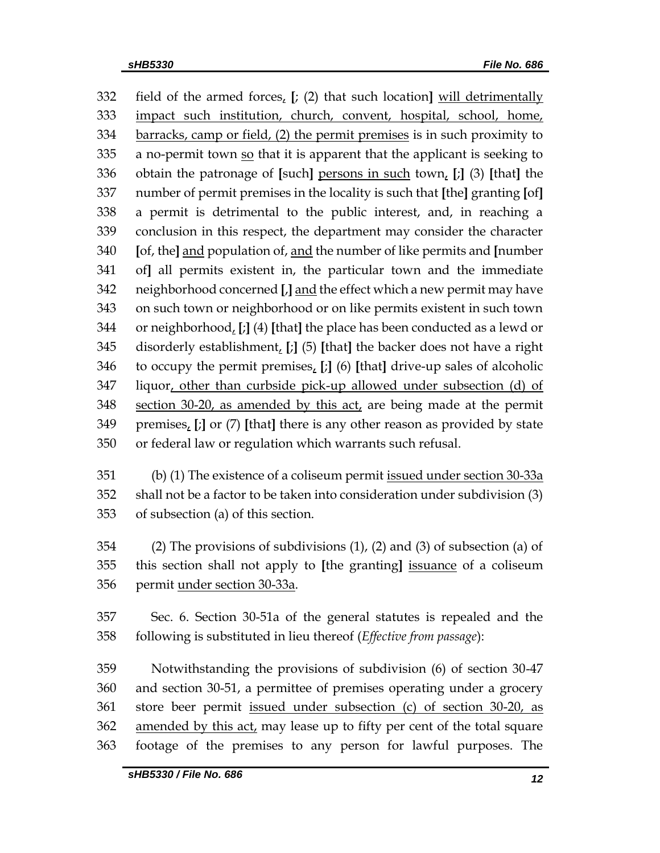field of the armed forces, **[**; (2) that such location**]** will detrimentally impact such institution, church, convent, hospital, school, home, barracks, camp or field, (2) the permit premises is in such proximity to a no-permit town so that it is apparent that the applicant is seeking to obtain the patronage of **[**such**]** persons in such town, **[**;**]** (3) **[**that**]** the number of permit premises in the locality is such that **[**the**]** granting **[**of**]** a permit is detrimental to the public interest, and, in reaching a conclusion in this respect, the department may consider the character **[**of, the**]** and population of, and the number of like permits and **[**number of**]** all permits existent in, the particular town and the immediate neighborhood concerned **[**,**]** and the effect which a new permit may have on such town or neighborhood or on like permits existent in such town or neighborhood, **[**;**]** (4) **[**that**]** the place has been conducted as a lewd or disorderly establishment, **[**;**]** (5) **[**that**]** the backer does not have a right to occupy the permit premises, **[**;**]** (6) **[**that**]** drive-up sales of alcoholic liquor, other than curbside pick-up allowed under subsection (d) of section 30-20, as amended by this act, are being made at the permit premises, **[**;**]** or (7) **[**that**]** there is any other reason as provided by state or federal law or regulation which warrants such refusal.

 (b) (1) The existence of a coliseum permit issued under section 30-33a shall not be a factor to be taken into consideration under subdivision (3) of subsection (a) of this section.

 (2) The provisions of subdivisions (1), (2) and (3) of subsection (a) of this section shall not apply to **[**the granting**]** issuance of a coliseum permit under section 30-33a.

 Sec. 6. Section 30-51a of the general statutes is repealed and the following is substituted in lieu thereof (*Effective from passage*):

 Notwithstanding the provisions of subdivision (6) of section 30-47 and section 30-51, a permittee of premises operating under a grocery store beer permit issued under subsection (c) of section 30-20, as 362 amended by this act, may lease up to fifty per cent of the total square footage of the premises to any person for lawful purposes. The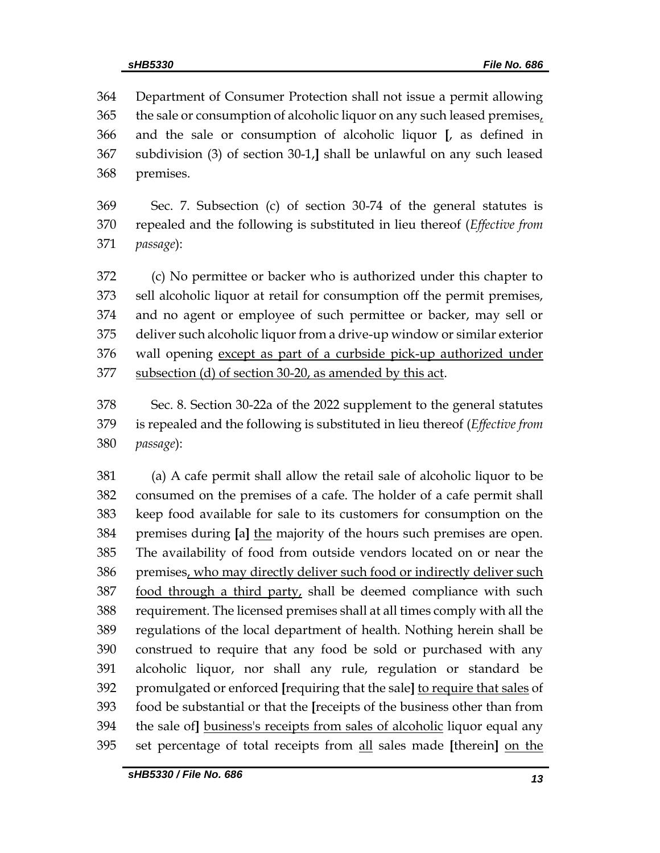Department of Consumer Protection shall not issue a permit allowing 365 the sale or consumption of alcoholic liquor on any such leased premises, and the sale or consumption of alcoholic liquor **[**, as defined in subdivision (3) of section 30-1,**]** shall be unlawful on any such leased premises.

 Sec. 7. Subsection (c) of section 30-74 of the general statutes is repealed and the following is substituted in lieu thereof (*Effective from passage*):

 (c) No permittee or backer who is authorized under this chapter to sell alcoholic liquor at retail for consumption off the permit premises, and no agent or employee of such permittee or backer, may sell or deliver such alcoholic liquor from a drive-up window or similar exterior wall opening except as part of a curbside pick-up authorized under subsection (d) of section 30-20, as amended by this act.

 Sec. 8. Section 30-22a of the 2022 supplement to the general statutes is repealed and the following is substituted in lieu thereof (*Effective from passage*):

 (a) A cafe permit shall allow the retail sale of alcoholic liquor to be consumed on the premises of a cafe. The holder of a cafe permit shall keep food available for sale to its customers for consumption on the premises during **[**a**]** the majority of the hours such premises are open. The availability of food from outside vendors located on or near the premises, who may directly deliver such food or indirectly deliver such 387 food through a third party, shall be deemed compliance with such requirement. The licensed premises shall at all times comply with all the regulations of the local department of health. Nothing herein shall be construed to require that any food be sold or purchased with any alcoholic liquor, nor shall any rule, regulation or standard be promulgated or enforced **[**requiring that the sale**]** to require that sales of food be substantial or that the **[**receipts of the business other than from the sale of**]** business's receipts from sales of alcoholic liquor equal any set percentage of total receipts from all sales made **[**therein**]** on the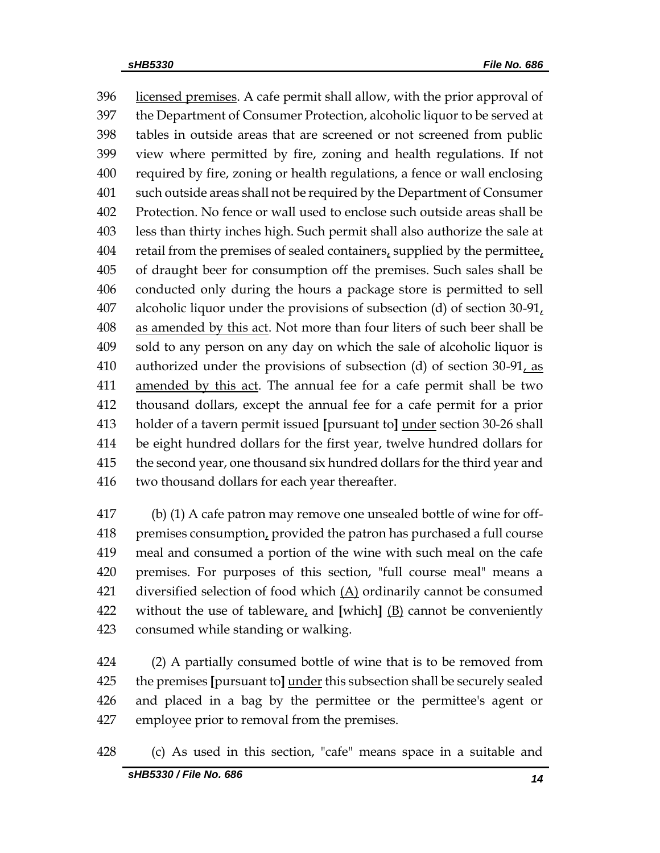396 licensed premises. A cafe permit shall allow, with the prior approval of the Department of Consumer Protection, alcoholic liquor to be served at tables in outside areas that are screened or not screened from public view where permitted by fire, zoning and health regulations. If not required by fire, zoning or health regulations, a fence or wall enclosing such outside areas shall not be required by the Department of Consumer Protection. No fence or wall used to enclose such outside areas shall be less than thirty inches high. Such permit shall also authorize the sale at 404 retail from the premises of sealed containers, supplied by the permittee, of draught beer for consumption off the premises. Such sales shall be conducted only during the hours a package store is permitted to sell alcoholic liquor under the provisions of subsection (d) of section 30-91, as amended by this act. Not more than four liters of such beer shall be sold to any person on any day on which the sale of alcoholic liquor is 410 authorized under the provisions of subsection (d) of section  $30-91$ , as amended by this act. The annual fee for a cafe permit shall be two thousand dollars, except the annual fee for a cafe permit for a prior holder of a tavern permit issued **[**pursuant to**]** under section 30-26 shall be eight hundred dollars for the first year, twelve hundred dollars for the second year, one thousand six hundred dollars for the third year and two thousand dollars for each year thereafter.

 (b) (1) A cafe patron may remove one unsealed bottle of wine for off- premises consumption, provided the patron has purchased a full course meal and consumed a portion of the wine with such meal on the cafe premises. For purposes of this section, "full course meal" means a 421 diversified selection of food which  $(A)$  ordinarily cannot be consumed without the use of tableware, and **[**which**]** (B) cannot be conveniently consumed while standing or walking.

 (2) A partially consumed bottle of wine that is to be removed from the premises **[**pursuant to**]** under this subsection shall be securely sealed and placed in a bag by the permittee or the permittee's agent or employee prior to removal from the premises.

(c) As used in this section, "cafe" means space in a suitable and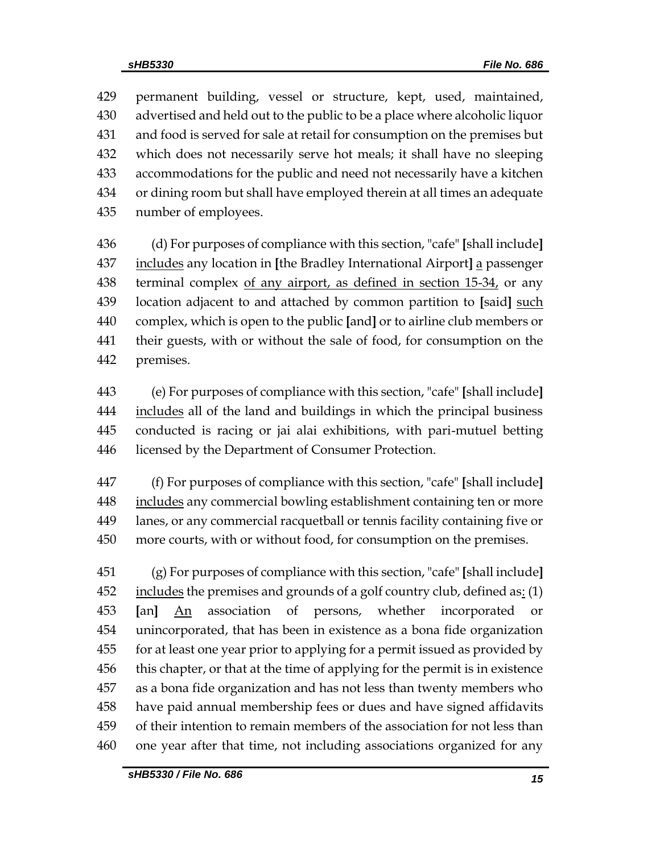permanent building, vessel or structure, kept, used, maintained, advertised and held out to the public to be a place where alcoholic liquor and food is served for sale at retail for consumption on the premises but which does not necessarily serve hot meals; it shall have no sleeping accommodations for the public and need not necessarily have a kitchen or dining room but shall have employed therein at all times an adequate number of employees.

 (d) For purposes of compliance with this section, "cafe" **[**shall include**]** includes any location in **[**the Bradley International Airport**]** a passenger 438 terminal complex of any airport, as defined in section 15-34, or any location adjacent to and attached by common partition to **[**said**]** such complex, which is open to the public **[**and**]** or to airline club members or their guests, with or without the sale of food, for consumption on the premises.

 (e) For purposes of compliance with this section, "cafe" **[**shall include**]** 444 includes all of the land and buildings in which the principal business conducted is racing or jai alai exhibitions, with pari-mutuel betting licensed by the Department of Consumer Protection.

 (f) For purposes of compliance with this section, "cafe" **[**shall include**]** 448 includes any commercial bowling establishment containing ten or more lanes, or any commercial racquetball or tennis facility containing five or more courts, with or without food, for consumption on the premises.

 (g) For purposes of compliance with this section, "cafe" **[**shall include**]** includes the premises and grounds of a golf country club, defined as:  $(1)$  **[**an**]** An association of persons, whether incorporated or unincorporated, that has been in existence as a bona fide organization for at least one year prior to applying for a permit issued as provided by this chapter, or that at the time of applying for the permit is in existence as a bona fide organization and has not less than twenty members who have paid annual membership fees or dues and have signed affidavits of their intention to remain members of the association for not less than one year after that time, not including associations organized for any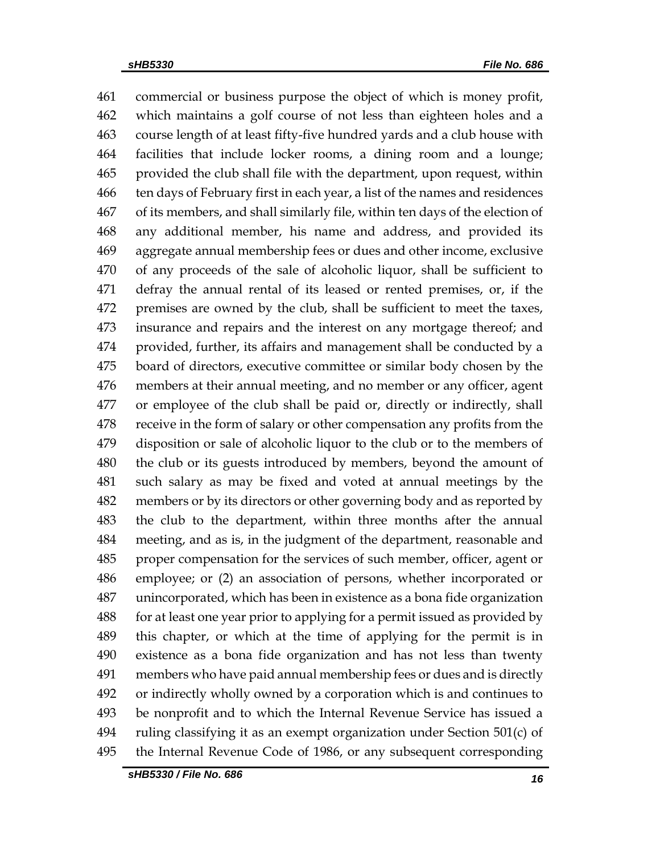commercial or business purpose the object of which is money profit, which maintains a golf course of not less than eighteen holes and a course length of at least fifty-five hundred yards and a club house with facilities that include locker rooms, a dining room and a lounge; provided the club shall file with the department, upon request, within ten days of February first in each year, a list of the names and residences of its members, and shall similarly file, within ten days of the election of any additional member, his name and address, and provided its aggregate annual membership fees or dues and other income, exclusive of any proceeds of the sale of alcoholic liquor, shall be sufficient to defray the annual rental of its leased or rented premises, or, if the premises are owned by the club, shall be sufficient to meet the taxes, insurance and repairs and the interest on any mortgage thereof; and provided, further, its affairs and management shall be conducted by a board of directors, executive committee or similar body chosen by the members at their annual meeting, and no member or any officer, agent or employee of the club shall be paid or, directly or indirectly, shall receive in the form of salary or other compensation any profits from the disposition or sale of alcoholic liquor to the club or to the members of the club or its guests introduced by members, beyond the amount of such salary as may be fixed and voted at annual meetings by the members or by its directors or other governing body and as reported by the club to the department, within three months after the annual meeting, and as is, in the judgment of the department, reasonable and proper compensation for the services of such member, officer, agent or employee; or (2) an association of persons, whether incorporated or unincorporated, which has been in existence as a bona fide organization for at least one year prior to applying for a permit issued as provided by this chapter, or which at the time of applying for the permit is in existence as a bona fide organization and has not less than twenty members who have paid annual membership fees or dues and is directly or indirectly wholly owned by a corporation which is and continues to be nonprofit and to which the Internal Revenue Service has issued a ruling classifying it as an exempt organization under Section 501(c) of the Internal Revenue Code of 1986, or any subsequent corresponding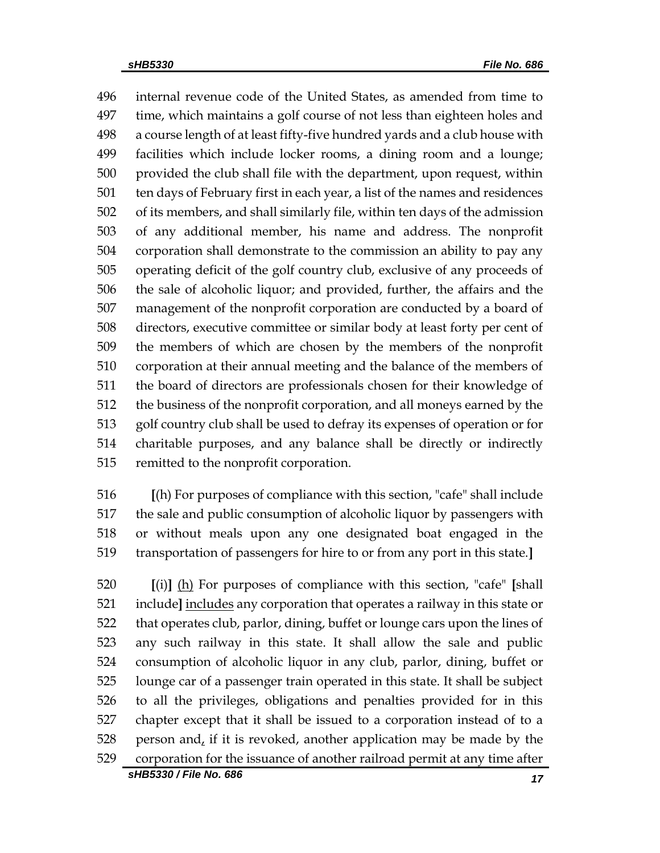internal revenue code of the United States, as amended from time to time, which maintains a golf course of not less than eighteen holes and a course length of at least fifty-five hundred yards and a club house with facilities which include locker rooms, a dining room and a lounge; provided the club shall file with the department, upon request, within ten days of February first in each year, a list of the names and residences of its members, and shall similarly file, within ten days of the admission of any additional member, his name and address. The nonprofit corporation shall demonstrate to the commission an ability to pay any operating deficit of the golf country club, exclusive of any proceeds of the sale of alcoholic liquor; and provided, further, the affairs and the management of the nonprofit corporation are conducted by a board of directors, executive committee or similar body at least forty per cent of the members of which are chosen by the members of the nonprofit corporation at their annual meeting and the balance of the members of the board of directors are professionals chosen for their knowledge of the business of the nonprofit corporation, and all moneys earned by the golf country club shall be used to defray its expenses of operation or for charitable purposes, and any balance shall be directly or indirectly remitted to the nonprofit corporation.

 **[**(h) For purposes of compliance with this section, "cafe" shall include the sale and public consumption of alcoholic liquor by passengers with or without meals upon any one designated boat engaged in the transportation of passengers for hire to or from any port in this state.**]**

 **[**(i)**]** (h) For purposes of compliance with this section, "cafe" **[**shall include**]** includes any corporation that operates a railway in this state or that operates club, parlor, dining, buffet or lounge cars upon the lines of any such railway in this state. It shall allow the sale and public consumption of alcoholic liquor in any club, parlor, dining, buffet or lounge car of a passenger train operated in this state. It shall be subject to all the privileges, obligations and penalties provided for in this chapter except that it shall be issued to a corporation instead of to a person and, if it is revoked, another application may be made by the corporation for the issuance of another railroad permit at any time after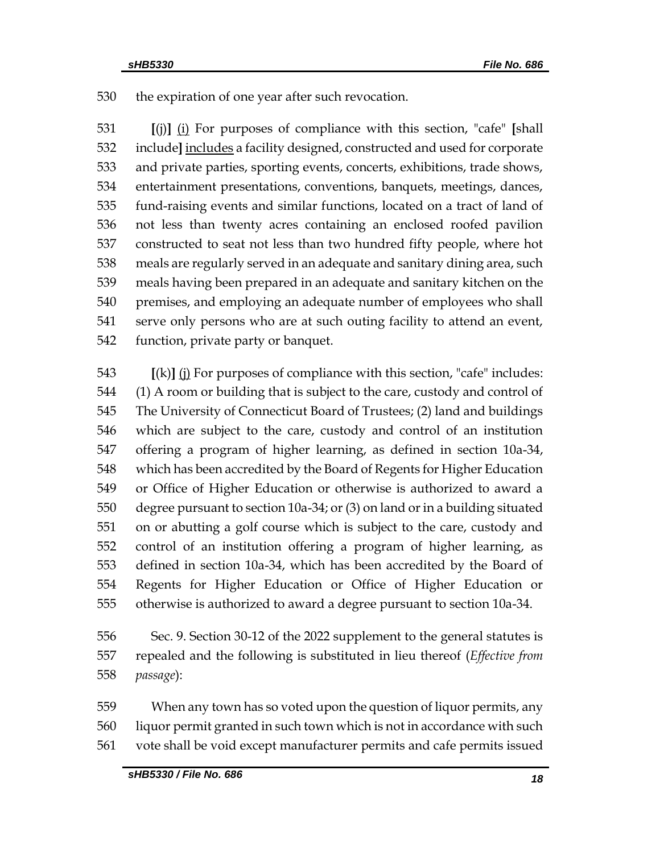the expiration of one year after such revocation.

 **[**(j)**]** (i) For purposes of compliance with this section, "cafe" **[**shall include**]** includes a facility designed, constructed and used for corporate and private parties, sporting events, concerts, exhibitions, trade shows, entertainment presentations, conventions, banquets, meetings, dances, fund-raising events and similar functions, located on a tract of land of not less than twenty acres containing an enclosed roofed pavilion constructed to seat not less than two hundred fifty people, where hot meals are regularly served in an adequate and sanitary dining area, such meals having been prepared in an adequate and sanitary kitchen on the premises, and employing an adequate number of employees who shall serve only persons who are at such outing facility to attend an event, function, private party or banquet.

 **[**(k)**]** (j) For purposes of compliance with this section, "cafe" includes: (1) A room or building that is subject to the care, custody and control of The University of Connecticut Board of Trustees; (2) land and buildings which are subject to the care, custody and control of an institution offering a program of higher learning, as defined in section 10a-34, which has been accredited by the Board of Regents for Higher Education or Office of Higher Education or otherwise is authorized to award a degree pursuant to section 10a-34; or (3) on land or in a building situated on or abutting a golf course which is subject to the care, custody and control of an institution offering a program of higher learning, as defined in section 10a-34, which has been accredited by the Board of Regents for Higher Education or Office of Higher Education or otherwise is authorized to award a degree pursuant to section 10a-34.

 Sec. 9. Section 30-12 of the 2022 supplement to the general statutes is repealed and the following is substituted in lieu thereof (*Effective from passage*):

 When any town has so voted upon the question of liquor permits, any liquor permit granted in such town which is not in accordance with such vote shall be void except manufacturer permits and cafe permits issued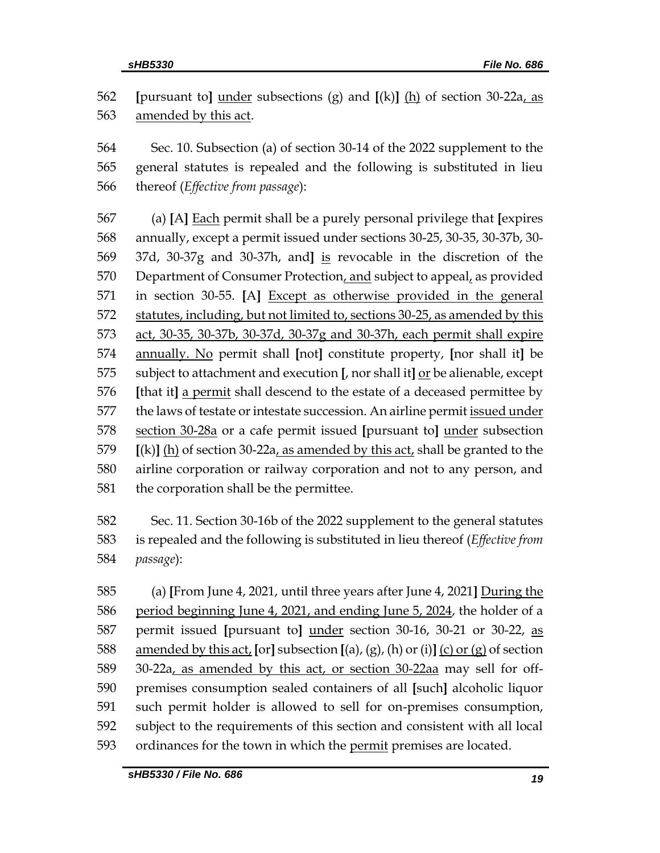**[**pursuant to**]** under subsections (g) and **[**(k)**]** (h) of section 30-22a, as 563 amended by this act.

 Sec. 10. Subsection (a) of section 30-14 of the 2022 supplement to the general statutes is repealed and the following is substituted in lieu thereof (*Effective from passage*):

 (a) **[**A**]** Each permit shall be a purely personal privilege that **[**expires annually, except a permit issued under sections 30-25, 30-35, 30-37b, 30- 37d, 30-37g and 30-37h, and**]** is revocable in the discretion of the 570 Department of Consumer Protection, and subject to appeal, as provided in section 30-55. **[**A**]** Except as otherwise provided in the general statutes, including, but not limited to, sections 30-25, as amended by this act, 30-35, 30-37b, 30-37d, 30-37g and 30-37h, each permit shall expire annually. No permit shall **[**not**]** constitute property, **[**nor shall it**]** be subject to attachment and execution **[**, nor shall it**]** or be alienable, except **[**that it**]** a permit shall descend to the estate of a deceased permittee by 577 the laws of testate or intestate succession. An airline permit issued under section 30-28a or a cafe permit issued **[**pursuant to**]** under subsection **[**(k)**]** (h) of section 30-22a, as amended by this act, shall be granted to the airline corporation or railway corporation and not to any person, and the corporation shall be the permittee.

 Sec. 11. Section 30-16b of the 2022 supplement to the general statutes is repealed and the following is substituted in lieu thereof (*Effective from passage*):

 (a) **[**From June 4, 2021, until three years after June 4, 2021**]** During the period beginning June 4, 2021, and ending June 5, 2024, the holder of a permit issued **[**pursuant to**]** under section 30-16, 30-21 or 30-22, as amended by this act, **[**or**]** subsection **[**(a), (g), (h) or (i)**]** (c) or (g) of section 30-22a, as amended by this act, or section 30-22aa may sell for off- premises consumption sealed containers of all **[**such**]** alcoholic liquor such permit holder is allowed to sell for on-premises consumption, subject to the requirements of this section and consistent with all local 593 ordinances for the town in which the permit premises are located.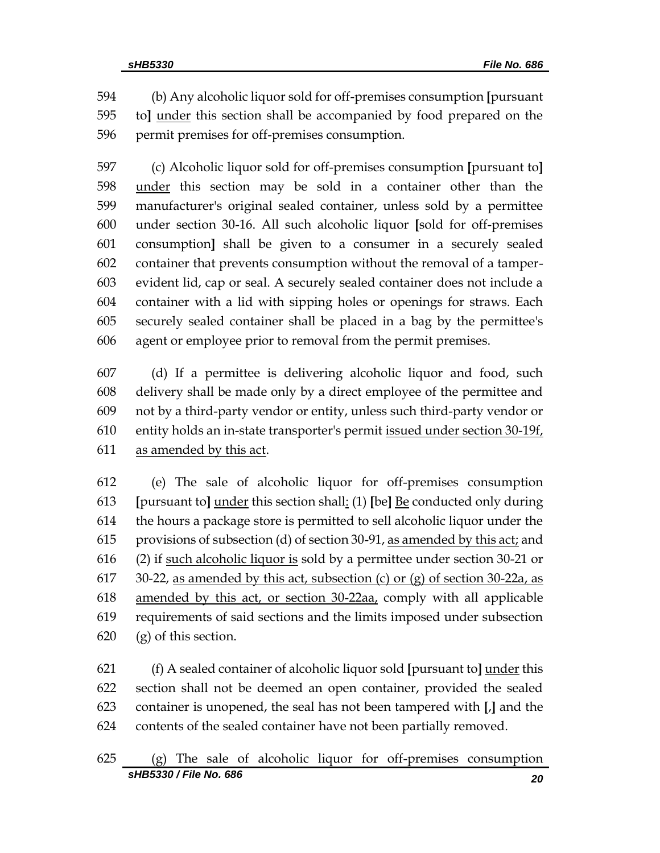(b) Any alcoholic liquor sold for off-premises consumption **[**pursuant to**]** under this section shall be accompanied by food prepared on the permit premises for off-premises consumption.

 (c) Alcoholic liquor sold for off-premises consumption **[**pursuant to**]** under this section may be sold in a container other than the manufacturer's original sealed container, unless sold by a permittee under section 30-16. All such alcoholic liquor **[**sold for off-premises consumption**]** shall be given to a consumer in a securely sealed container that prevents consumption without the removal of a tamper- evident lid, cap or seal. A securely sealed container does not include a container with a lid with sipping holes or openings for straws. Each securely sealed container shall be placed in a bag by the permittee's agent or employee prior to removal from the permit premises.

 (d) If a permittee is delivering alcoholic liquor and food, such delivery shall be made only by a direct employee of the permittee and not by a third-party vendor or entity, unless such third-party vendor or 610 entity holds an in-state transporter's permit issued under section  $30-19f$ , as amended by this act.

 (e) The sale of alcoholic liquor for off-premises consumption **[**pursuant to**]** under this section shall: (1) **[**be**]** Be conducted only during the hours a package store is permitted to sell alcoholic liquor under the provisions of subsection (d) of section 30-91, as amended by this act; and (2) if such alcoholic liquor is sold by a permittee under section 30-21 or 617 30-22, as amended by this act, subsection (c) or (g) of section 30-22a, as amended by this act, or section 30-22aa, comply with all applicable requirements of said sections and the limits imposed under subsection (g) of this section.

 (f) A sealed container of alcoholic liquor sold **[**pursuant to**]** under this section shall not be deemed an open container, provided the sealed container is unopened, the seal has not been tampered with **[**,**]** and the contents of the sealed container have not been partially removed.

*sHB5330 / File No. 686 20* (g) The sale of alcoholic liquor for off-premises consumption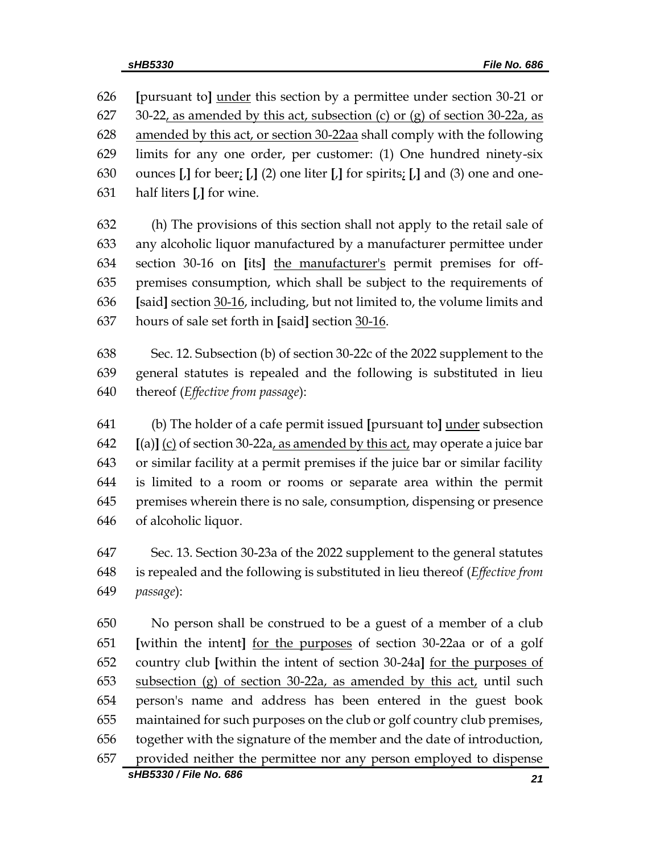**[**pursuant to**]** under this section by a permittee under section 30-21 or 627 30-22, as amended by this act, subsection (c) or (g) of section 30-22a, as amended by this act, or section 30-22aa shall comply with the following limits for any one order, per customer: (1) One hundred ninety-six ounces **[**,**]** for beer; **[**,**]** (2) one liter **[**,**]** for spirits; **[**,**]** and (3) one and one-half liters **[**,**]** for wine.

 (h) The provisions of this section shall not apply to the retail sale of any alcoholic liquor manufactured by a manufacturer permittee under section 30-16 on **[**its**]** the manufacturer's permit premises for off- premises consumption, which shall be subject to the requirements of **[**said**]** section 30-16, including, but not limited to, the volume limits and hours of sale set forth in **[**said**]** section 30-16.

 Sec. 12. Subsection (b) of section 30-22c of the 2022 supplement to the general statutes is repealed and the following is substituted in lieu thereof (*Effective from passage*):

 (b) The holder of a cafe permit issued **[**pursuant to**]** under subsection  $[$ (a) $]$   $[$ (c) of section 30-22a<sub>*l*</sub> as amended by this act<sub>*l*</sub> may operate a juice bar or similar facility at a permit premises if the juice bar or similar facility is limited to a room or rooms or separate area within the permit premises wherein there is no sale, consumption, dispensing or presence of alcoholic liquor.

 Sec. 13. Section 30-23a of the 2022 supplement to the general statutes is repealed and the following is substituted in lieu thereof (*Effective from passage*):

*sHB5330 / File No. 686 21* No person shall be construed to be a guest of a member of a club **[**within the intent**]** for the purposes of section 30-22aa or of a golf country club **[**within the intent of section 30-24a**]** for the purposes of subsection (g) of section 30-22a, as amended by this act, until such person's name and address has been entered in the guest book maintained for such purposes on the club or golf country club premises, together with the signature of the member and the date of introduction, provided neither the permittee nor any person employed to dispense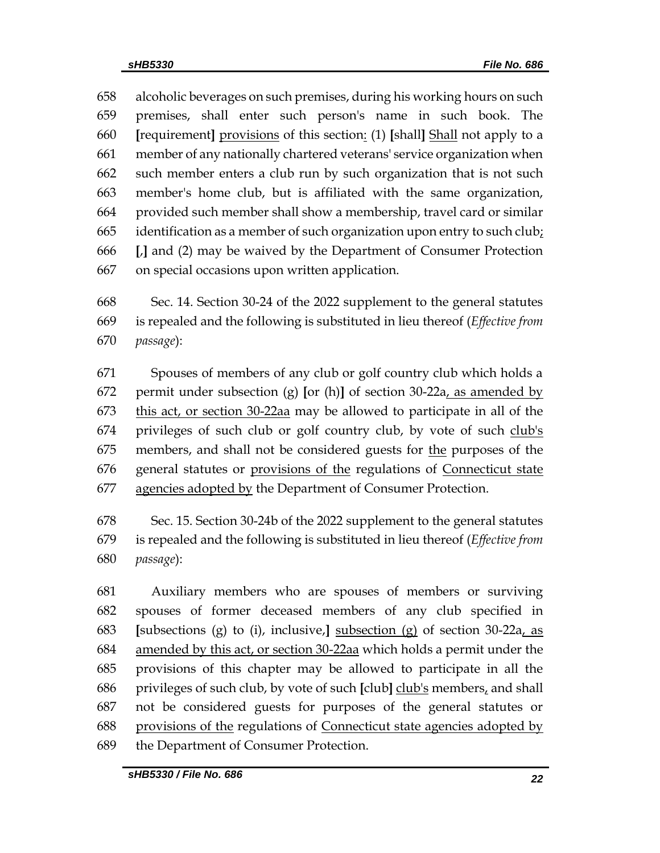alcoholic beverages on such premises, during his working hours on such premises, shall enter such person's name in such book. The **[**requirement**]** provisions of this section: (1) **[**shall**]** Shall not apply to a member of any nationally chartered veterans' service organization when such member enters a club run by such organization that is not such member's home club, but is affiliated with the same organization, provided such member shall show a membership, travel card or similar 665 identification as a member of such organization upon entry to such club; **[**,**]** and (2) may be waived by the Department of Consumer Protection on special occasions upon written application.

 Sec. 14. Section 30-24 of the 2022 supplement to the general statutes is repealed and the following is substituted in lieu thereof (*Effective from passage*):

 Spouses of members of any club or golf country club which holds a permit under subsection (g) **[**or (h)**]** of section 30-22a, as amended by this act, or section 30-22aa may be allowed to participate in all of the 674 privileges of such club or golf country club, by vote of such club's members, and shall not be considered guests for the purposes of the general statutes or provisions of the regulations of Connecticut state 677 agencies adopted by the Department of Consumer Protection.

 Sec. 15. Section 30-24b of the 2022 supplement to the general statutes is repealed and the following is substituted in lieu thereof (*Effective from passage*):

 Auxiliary members who are spouses of members or surviving spouses of former deceased members of any club specified in **[**subsections (g) to (i), inclusive,**]** subsection (g) of section 30-22a, as amended by this act, or section 30-22aa which holds a permit under the provisions of this chapter may be allowed to participate in all the privileges of such club, by vote of such **[**club**]** club's members, and shall not be considered guests for purposes of the general statutes or provisions of the regulations of Connecticut state agencies adopted by the Department of Consumer Protection.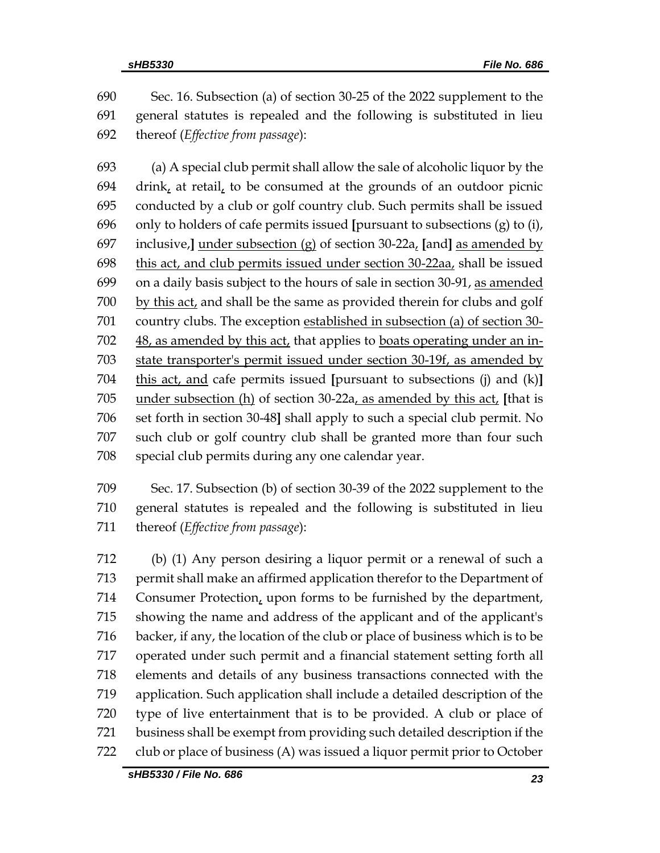Sec. 16. Subsection (a) of section 30-25 of the 2022 supplement to the general statutes is repealed and the following is substituted in lieu thereof (*Effective from passage*):

 (a) A special club permit shall allow the sale of alcoholic liquor by the drink, at retail, to be consumed at the grounds of an outdoor picnic conducted by a club or golf country club. Such permits shall be issued only to holders of cafe permits issued **[**pursuant to subsections (g) to (i), inclusive,**]** under subsection (g) of section 30-22a, **[**and**]** as amended by 698 this act, and club permits issued under section  $30-22aa$ , shall be issued on a daily basis subject to the hours of sale in section 30-91, as amended by this act, and shall be the same as provided therein for clubs and golf country clubs. The exception established in subsection (a) of section 30- 48, as amended by this act, that applies to boats operating under an in- state transporter's permit issued under section 30-19f, as amended by this act, and cafe permits issued **[**pursuant to subsections (j) and (k)**]** under subsection (h) of section 30-22a, as amended by this act, **[**that is set forth in section 30-48**]** shall apply to such a special club permit. No such club or golf country club shall be granted more than four such special club permits during any one calendar year.

 Sec. 17. Subsection (b) of section 30-39 of the 2022 supplement to the general statutes is repealed and the following is substituted in lieu thereof (*Effective from passage*):

 (b) (1) Any person desiring a liquor permit or a renewal of such a permit shall make an affirmed application therefor to the Department of Consumer Protection, upon forms to be furnished by the department, showing the name and address of the applicant and of the applicant's backer, if any, the location of the club or place of business which is to be operated under such permit and a financial statement setting forth all elements and details of any business transactions connected with the application. Such application shall include a detailed description of the type of live entertainment that is to be provided. A club or place of business shall be exempt from providing such detailed description if the club or place of business (A) was issued a liquor permit prior to October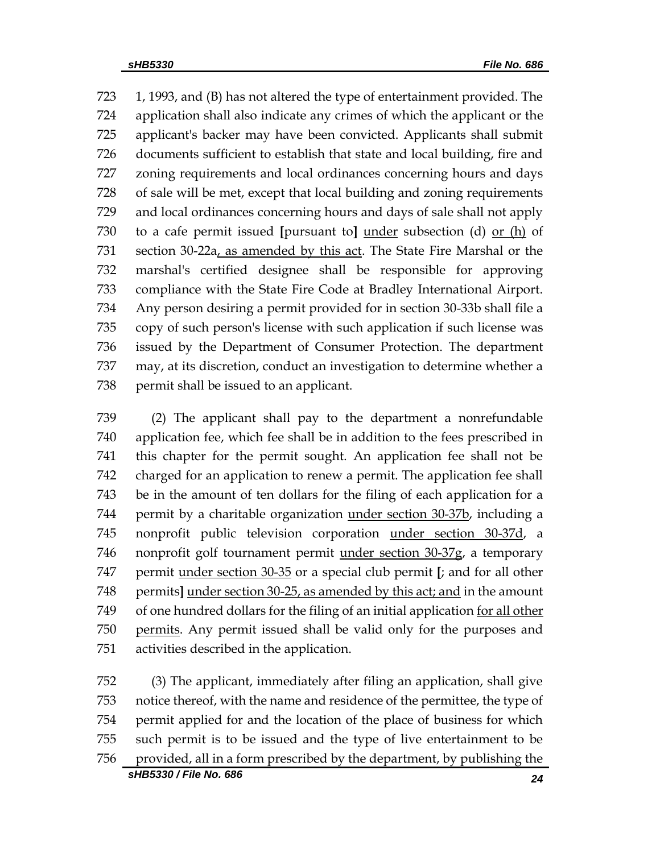1, 1993, and (B) has not altered the type of entertainment provided. The application shall also indicate any crimes of which the applicant or the applicant's backer may have been convicted. Applicants shall submit documents sufficient to establish that state and local building, fire and zoning requirements and local ordinances concerning hours and days of sale will be met, except that local building and zoning requirements and local ordinances concerning hours and days of sale shall not apply to a cafe permit issued **[**pursuant to**]** under subsection (d) or (h) of 731 section 30-22a, as amended by this act. The State Fire Marshal or the marshal's certified designee shall be responsible for approving compliance with the State Fire Code at Bradley International Airport. Any person desiring a permit provided for in section 30-33b shall file a copy of such person's license with such application if such license was issued by the Department of Consumer Protection. The department may, at its discretion, conduct an investigation to determine whether a 738 permit shall be issued to an applicant.

 (2) The applicant shall pay to the department a nonrefundable application fee, which fee shall be in addition to the fees prescribed in this chapter for the permit sought. An application fee shall not be charged for an application to renew a permit. The application fee shall be in the amount of ten dollars for the filing of each application for a permit by a charitable organization under section 30-37b, including a nonprofit public television corporation under section 30-37d, a nonprofit golf tournament permit under section 30-37g, a temporary permit under section 30-35 or a special club permit **[**; and for all other permits**]** under section 30-25, as amended by this act; and in the amount of one hundred dollars for the filing of an initial application for all other permits. Any permit issued shall be valid only for the purposes and activities described in the application.

 (3) The applicant, immediately after filing an application, shall give notice thereof, with the name and residence of the permittee, the type of permit applied for and the location of the place of business for which such permit is to be issued and the type of live entertainment to be provided, all in a form prescribed by the department, by publishing the

*sHB5330 / File No. 686 24*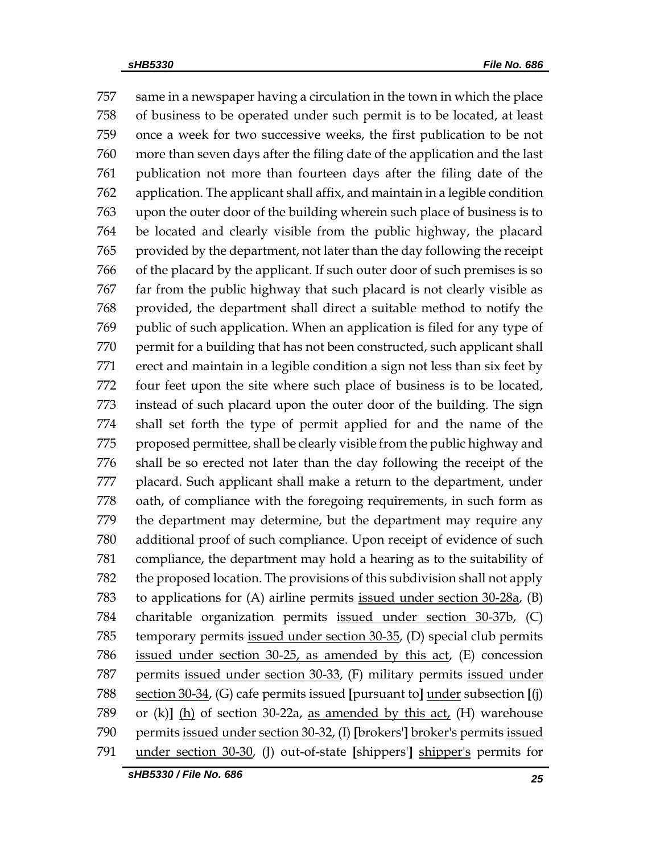same in a newspaper having a circulation in the town in which the place of business to be operated under such permit is to be located, at least once a week for two successive weeks, the first publication to be not more than seven days after the filing date of the application and the last publication not more than fourteen days after the filing date of the application. The applicant shall affix, and maintain in a legible condition upon the outer door of the building wherein such place of business is to be located and clearly visible from the public highway, the placard provided by the department, not later than the day following the receipt of the placard by the applicant. If such outer door of such premises is so far from the public highway that such placard is not clearly visible as provided, the department shall direct a suitable method to notify the public of such application. When an application is filed for any type of 770 permit for a building that has not been constructed, such applicant shall erect and maintain in a legible condition a sign not less than six feet by four feet upon the site where such place of business is to be located, instead of such placard upon the outer door of the building. The sign shall set forth the type of permit applied for and the name of the 775 proposed permittee, shall be clearly visible from the public highway and shall be so erected not later than the day following the receipt of the placard. Such applicant shall make a return to the department, under oath, of compliance with the foregoing requirements, in such form as the department may determine, but the department may require any additional proof of such compliance. Upon receipt of evidence of such compliance, the department may hold a hearing as to the suitability of the proposed location. The provisions of this subdivision shall not apply 783 to applications for (A) airline permits issued under section 30-28a, (B) charitable organization permits issued under section 30-37b, (C) temporary permits issued under section 30-35, (D) special club permits issued under section 30-25, as amended by this act, (E) concession permits issued under section 30-33, (F) military permits issued under section 30-34, (G) cafe permits issued **[**pursuant to**]** under subsection **[**(j) or (k)**]** (h) of section 30-22a, as amended by this act, (H) warehouse permits issued under section 30-32, (I) **[**brokers'**]** broker's permits issued under section 30-30, (J) out-of-state **[**shippers'**]** shipper's permits for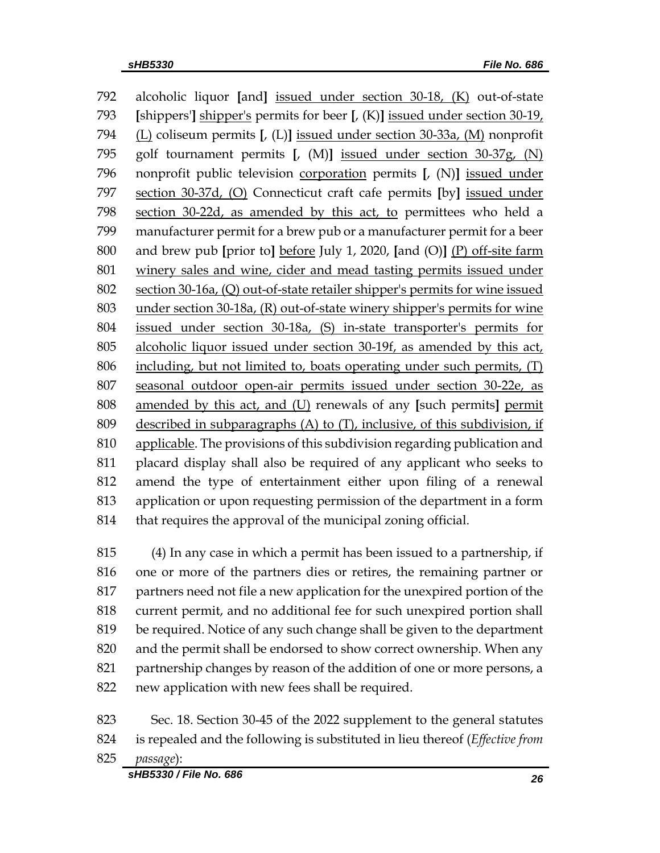alcoholic liquor **[**and**]** issued under section 30-18, (K) out-of-state **[**shippers'**]** shipper's permits for beer **[**, (K)**]** issued under section 30-19, (L) coliseum permits **[**, (L)**]** issued under section 30-33a, (M) nonprofit golf tournament permits **[**, (M)**]** issued under section 30-37g, (N) nonprofit public television corporation permits **[**, (N)**]** issued under section 30-37d, (O) Connecticut craft cafe permits **[**by**]** issued under section 30-22d, as amended by this act, to permittees who held a manufacturer permit for a brew pub or a manufacturer permit for a beer and brew pub **[**prior to**]** before July 1, 2020, **[**and (O)**]** (P) off-site farm winery sales and wine, cider and mead tasting permits issued under section 30-16a, (Q) out-of-state retailer shipper's permits for wine issued under section 30-18a, (R) out-of-state winery shipper's permits for wine issued under section 30-18a, (S) in-state transporter's permits for alcoholic liquor issued under section 30-19f, as amended by this act, including, but not limited to, boats operating under such permits, (T) seasonal outdoor open-air permits issued under section 30-22e, as amended by this act, and (U) renewals of any **[**such permits**]** permit 809 described in subparagraphs (A) to  $(T)$ , inclusive, of this subdivision, if applicable. The provisions of this subdivision regarding publication and placard display shall also be required of any applicant who seeks to amend the type of entertainment either upon filing of a renewal application or upon requesting permission of the department in a form that requires the approval of the municipal zoning official.

 (4) In any case in which a permit has been issued to a partnership, if one or more of the partners dies or retires, the remaining partner or partners need not file a new application for the unexpired portion of the current permit, and no additional fee for such unexpired portion shall be required. Notice of any such change shall be given to the department and the permit shall be endorsed to show correct ownership. When any partnership changes by reason of the addition of one or more persons, a new application with new fees shall be required.

- Sec. 18. Section 30-45 of the 2022 supplement to the general statutes is repealed and the following is substituted in lieu thereof (*Effective from passage*):
	- *sHB5330 / File No. 686 26*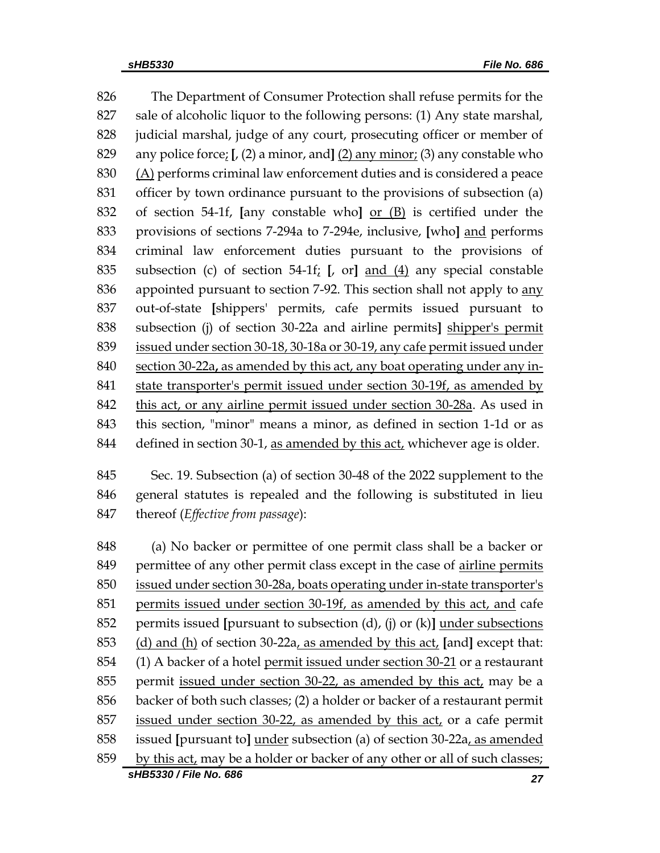The Department of Consumer Protection shall refuse permits for the sale of alcoholic liquor to the following persons: (1) Any state marshal, judicial marshal, judge of any court, prosecuting officer or member of any police force; **[**, (2) a minor, and**]** (2) any minor; (3) any constable who (A) performs criminal law enforcement duties and is considered a peace officer by town ordinance pursuant to the provisions of subsection (a) of section 54-1f, **[**any constable who**]** or (B) is certified under the provisions of sections 7-294a to 7-294e, inclusive, **[**who**]** and performs criminal law enforcement duties pursuant to the provisions of subsection (c) of section 54-1f; **[**, or**]** and (4) any special constable 836 appointed pursuant to section 7-92. This section shall not apply to any out-of-state **[**shippers' permits, cafe permits issued pursuant to subsection (j) of section 30-22a and airline permits**]** shipper's permit issued under section 30-18, 30-18a or 30-19, any cafe permit issued under section 30-22a**,** as amended by this act, any boat operating under any in- state transporter's permit issued under section 30-19f, as amended by this act, or any airline permit issued under section 30-28a. As used in this section, "minor" means a minor, as defined in section 1-1d or as defined in section 30-1, as amended by this act, whichever age is older.

 Sec. 19. Subsection (a) of section 30-48 of the 2022 supplement to the general statutes is repealed and the following is substituted in lieu thereof (*Effective from passage*):

*sHB5330 / File No. 686 27* (a) No backer or permittee of one permit class shall be a backer or permittee of any other permit class except in the case of airline permits issued under section 30-28a, boats operating under in-state transporter's permits issued under section 30-19f, as amended by this act, and cafe permits issued **[**pursuant to subsection (d), (j) or (k)**]** under subsections (d) and (h) of section 30-22a, as amended by this act, **[**and**]** except that: (1) A backer of a hotel permit issued under section 30-21 or a restaurant permit issued under section 30-22, as amended by this act, may be a backer of both such classes; (2) a holder or backer of a restaurant permit issued under section 30-22, as amended by this act, or a cafe permit issued **[**pursuant to**]** under subsection (a) of section 30-22a, as amended by this act, may be a holder or backer of any other or all of such classes;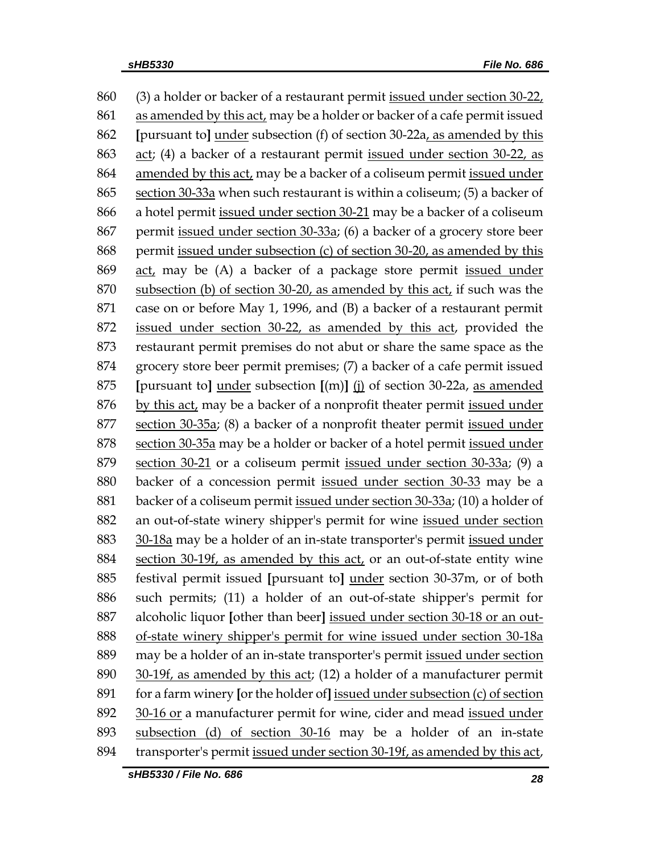(3) a holder or backer of a restaurant permit issued under section 30-22, 861 as amended by this act, may be a holder or backer of a cafe permit issued **[**pursuant to**]** under subsection (f) of section 30-22a, as amended by this act; (4) a backer of a restaurant permit issued under section 30-22, as amended by this act, may be a backer of a coliseum permit issued under section 30-33a when such restaurant is within a coliseum; (5) a backer of a hotel permit issued under section 30-21 may be a backer of a coliseum permit issued under section 30-33a; (6) a backer of a grocery store beer permit issued under subsection (c) of section 30-20, as amended by this act, may be (A) a backer of a package store permit issued under subsection (b) of section 30-20, as amended by this act, if such was the case on or before May 1, 1996, and (B) a backer of a restaurant permit 872 issued under section 30-22, as amended by this act, provided the restaurant permit premises do not abut or share the same space as the grocery store beer permit premises; (7) a backer of a cafe permit issued **[**pursuant to**]** under subsection **[**(m)**]** (j) of section 30-22a, as amended by this act, may be a backer of a nonprofit theater permit issued under section 30-35a; (8) a backer of a nonprofit theater permit issued under section 30-35a may be a holder or backer of a hotel permit issued under section 30-21 or a coliseum permit issued under section 30-33a; (9) a backer of a concession permit issued under section 30-33 may be a backer of a coliseum permit issued under section 30-33a; (10) a holder of an out-of-state winery shipper's permit for wine issued under section 30-18a may be a holder of an in-state transporter's permit issued under section 30-19f, as amended by this act, or an out-of-state entity wine festival permit issued **[**pursuant to**]** under section 30-37m, or of both such permits; (11) a holder of an out-of-state shipper's permit for alcoholic liquor **[**other than beer**]** issued under section 30-18 or an out- of-state winery shipper's permit for wine issued under section 30-18a may be a holder of an in-state transporter's permit issued under section 30-19f, as amended by this act; (12) a holder of a manufacturer permit for a farm winery **[**or the holder of**]** issued under subsection (c) of section 30-16 or a manufacturer permit for wine, cider and mead issued under subsection (d) of section 30-16 may be a holder of an in-state transporter's permit issued under section 30-19f, as amended by this act,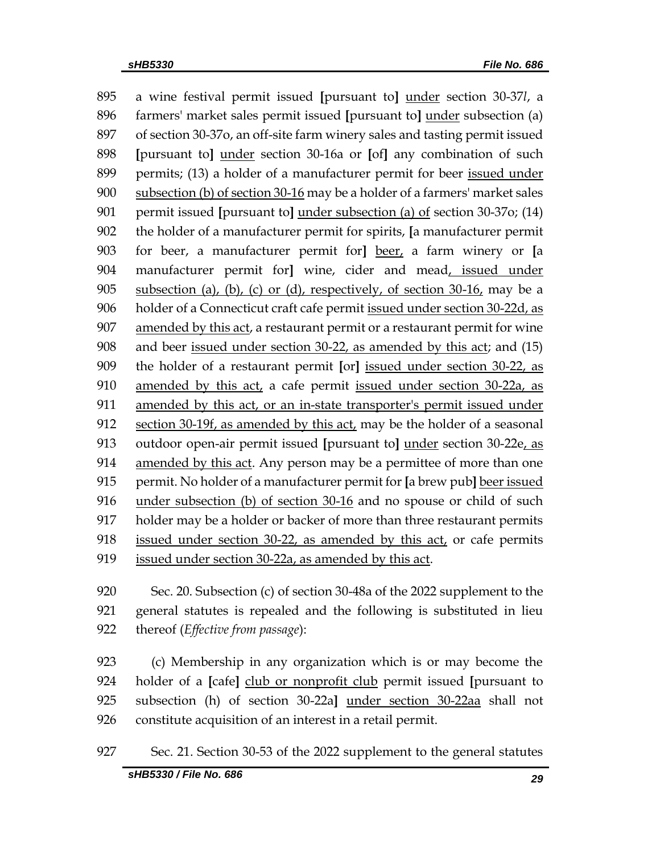a wine festival permit issued **[**pursuant to**]** under section 30-37*l*, a farmers' market sales permit issued **[**pursuant to**]** under subsection (a) of section 30-37o, an off-site farm winery sales and tasting permit issued **[**pursuant to**]** under section 30-16a or **[**of**]** any combination of such permits; (13) a holder of a manufacturer permit for beer issued under subsection (b) of section 30-16 may be a holder of a farmers' market sales permit issued **[**pursuant to**]** under subsection (a) of section 30-37o; (14) the holder of a manufacturer permit for spirits, **[**a manufacturer permit for beer, a manufacturer permit for**]** beer, a farm winery or **[**a manufacturer permit for**]** wine, cider and mead, issued under 905 subsection (a), (b), (c) or (d), respectively, of section  $30\n-16$ , may be a holder of a Connecticut craft cafe permit issued under section 30-22d, as amended by this act, a restaurant permit or a restaurant permit for wine and beer issued under section 30-22, as amended by this act; and (15) the holder of a restaurant permit **[**or**]** issued under section 30-22, as amended by this act, a cafe permit issued under section 30-22a, as amended by this act, or an in-state transporter's permit issued under 912 section 30-19f, as amended by this act, may be the holder of a seasonal outdoor open-air permit issued **[**pursuant to**]** under section 30-22e, as amended by this act. Any person may be a permittee of more than one permit. No holder of a manufacturer permit for **[**a brew pub**]** beer issued under subsection (b) of section 30-16 and no spouse or child of such holder may be a holder or backer of more than three restaurant permits issued under section 30-22, as amended by this act, or cafe permits issued under section 30-22a, as amended by this act.

 Sec. 20. Subsection (c) of section 30-48a of the 2022 supplement to the general statutes is repealed and the following is substituted in lieu thereof (*Effective from passage*):

 (c) Membership in any organization which is or may become the 924 holder of a *[cafe]* club or nonprofit club permit issued *[pursuant to*  subsection (h) of section 30-22a**]** under section 30-22aa shall not constitute acquisition of an interest in a retail permit.

Sec. 21. Section 30-53 of the 2022 supplement to the general statutes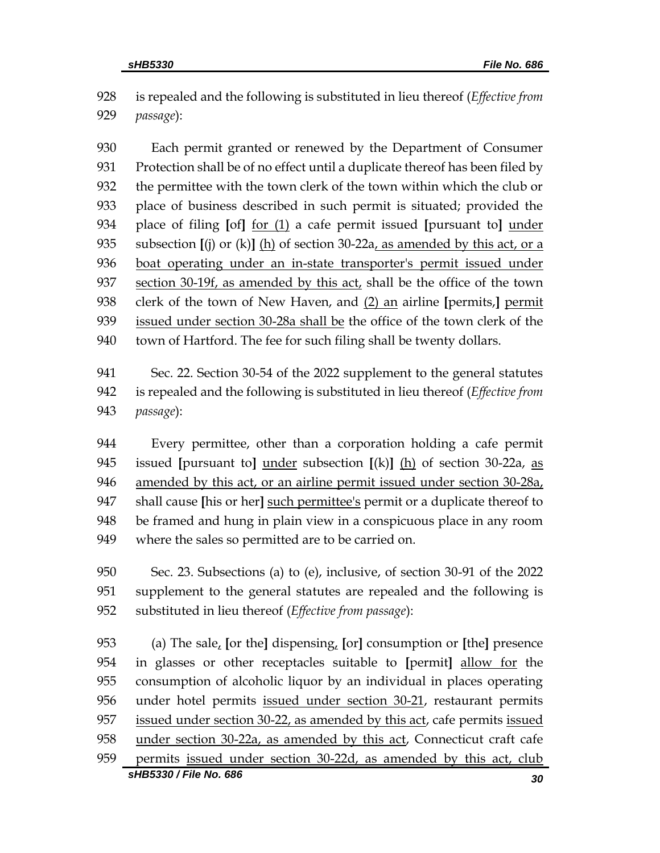is repealed and the following is substituted in lieu thereof (*Effective from passage*):

 Each permit granted or renewed by the Department of Consumer Protection shall be of no effect until a duplicate thereof has been filed by the permittee with the town clerk of the town within which the club or place of business described in such permit is situated; provided the place of filing **[**of**]** for (1) a cafe permit issued **[**pursuant to**]** under subsection **[**(j) or (k)**]** (h) of section 30-22a, as amended by this act, or a boat operating under an in-state transporter's permit issued under 937 section 30-19f, as amended by this act, shall be the office of the town clerk of the town of New Haven, and (2) an airline **[**permits,**]** permit issued under section 30-28a shall be the office of the town clerk of the town of Hartford. The fee for such filing shall be twenty dollars.

 Sec. 22. Section 30-54 of the 2022 supplement to the general statutes is repealed and the following is substituted in lieu thereof (*Effective from passage*):

 Every permittee, other than a corporation holding a cafe permit issued **[**pursuant to**]** under subsection **[**(k)**]** (h) of section 30-22a, as amended by this act, or an airline permit issued under section 30-28a, shall cause **[**his or her**]** such permittee's permit or a duplicate thereof to be framed and hung in plain view in a conspicuous place in any room where the sales so permitted are to be carried on.

 Sec. 23. Subsections (a) to (e), inclusive, of section 30-91 of the 2022 supplement to the general statutes are repealed and the following is substituted in lieu thereof (*Effective from passage*):

*sHB5330 / File No. 686 30* (a) The sale, **[**or the**]** dispensing, **[**or**]** consumption or **[**the**]** presence in glasses or other receptacles suitable to **[**permit**]** allow for the consumption of alcoholic liquor by an individual in places operating under hotel permits issued under section 30-21, restaurant permits issued under section 30-22, as amended by this act, cafe permits issued under section 30-22a, as amended by this act, Connecticut craft cafe permits issued under section 30-22d, as amended by this act, club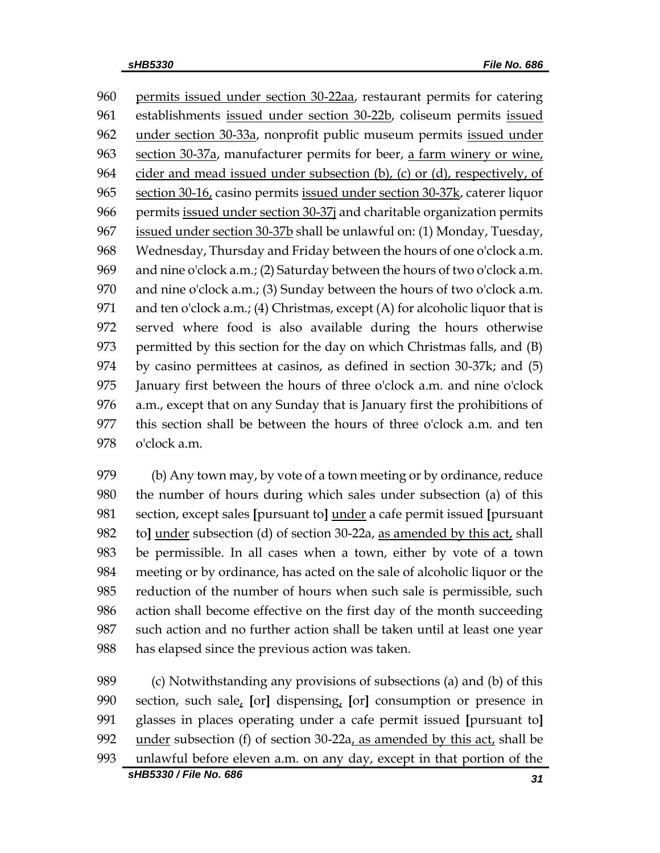permits issued under section 30-22aa, restaurant permits for catering establishments issued under section 30-22b, coliseum permits issued under section 30-33a, nonprofit public museum permits issued under section 30-37a, manufacturer permits for beer, a farm winery or wine, 964 cider and mead issued under subsection  $(b)$ ,  $(c)$  or  $(d)$ , respectively, of section 30-16, casino permits issued under section 30-37k, caterer liquor permits issued under section 30-37j and charitable organization permits issued under section 30-37b shall be unlawful on: (1) Monday, Tuesday, Wednesday, Thursday and Friday between the hours of one o'clock a.m. and nine o'clock a.m.; (2) Saturday between the hours of two o'clock a.m. and nine o'clock a.m.; (3) Sunday between the hours of two o'clock a.m. 971 and ten o'clock a.m.; (4) Christmas, except (A) for alcoholic liquor that is served where food is also available during the hours otherwise permitted by this section for the day on which Christmas falls, and (B) by casino permittees at casinos, as defined in section 30-37k; and (5) January first between the hours of three o'clock a.m. and nine o'clock a.m., except that on any Sunday that is January first the prohibitions of this section shall be between the hours of three o'clock a.m. and ten o'clock a.m.

 (b) Any town may, by vote of a town meeting or by ordinance, reduce the number of hours during which sales under subsection (a) of this section, except sales **[**pursuant to**]** under a cafe permit issued **[**pursuant to**]** under subsection (d) of section 30-22a, as amended by this act, shall be permissible. In all cases when a town, either by vote of a town meeting or by ordinance, has acted on the sale of alcoholic liquor or the reduction of the number of hours when such sale is permissible, such action shall become effective on the first day of the month succeeding such action and no further action shall be taken until at least one year has elapsed since the previous action was taken.

*sHB5330 / File No. 686 31* (c) Notwithstanding any provisions of subsections (a) and (b) of this section, such sale, **[**or**]** dispensing, **[**or**]** consumption or presence in glasses in places operating under a cafe permit issued **[**pursuant to**]** under subsection (f) of section 30-22a, as amended by this act, shall be unlawful before eleven a.m. on any day, except in that portion of the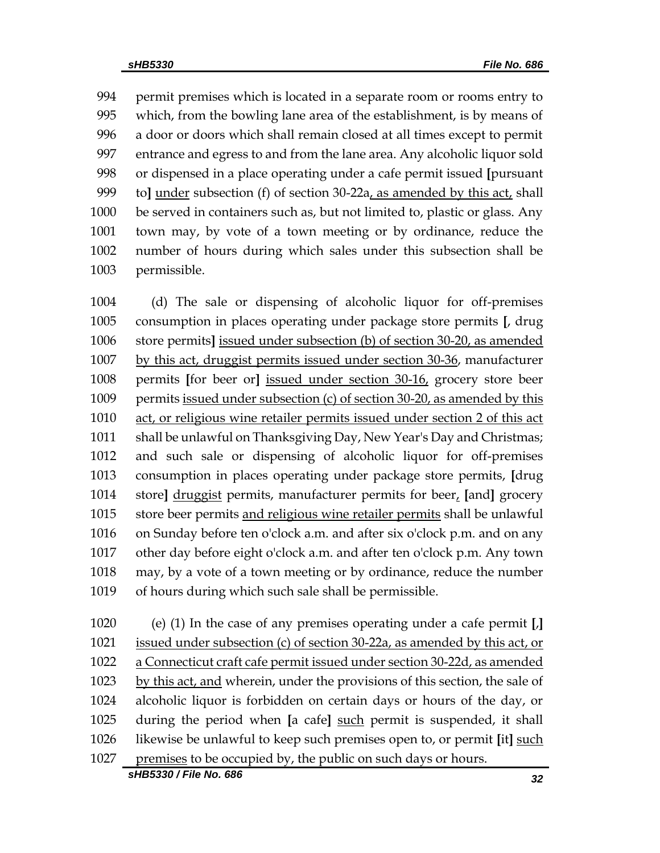permit premises which is located in a separate room or rooms entry to which, from the bowling lane area of the establishment, is by means of a door or doors which shall remain closed at all times except to permit entrance and egress to and from the lane area. Any alcoholic liquor sold or dispensed in a place operating under a cafe permit issued **[**pursuant to**]** under subsection (f) of section 30-22a, as amended by this act, shall be served in containers such as, but not limited to, plastic or glass. Any town may, by vote of a town meeting or by ordinance, reduce the number of hours during which sales under this subsection shall be permissible.

 (d) The sale or dispensing of alcoholic liquor for off-premises consumption in places operating under package store permits **[**, drug store permits**]** issued under subsection (b) of section 30-20, as amended by this act, druggist permits issued under section 30-36, manufacturer permits **[**for beer or**]** issued under section 30-16, grocery store beer permits issued under subsection (c) of section 30-20, as amended by this act, or religious wine retailer permits issued under section 2 of this act shall be unlawful on Thanksgiving Day, New Year's Day and Christmas; and such sale or dispensing of alcoholic liquor for off-premises consumption in places operating under package store permits, **[**drug store**]** druggist permits, manufacturer permits for beer, **[**and**]** grocery store beer permits and religious wine retailer permits shall be unlawful on Sunday before ten o'clock a.m. and after six o'clock p.m. and on any other day before eight o'clock a.m. and after ten o'clock p.m. Any town may, by a vote of a town meeting or by ordinance, reduce the number of hours during which such sale shall be permissible.

*sHB5330 / File No. 686 32* (e) (1) In the case of any premises operating under a cafe permit **[**,**]**  issued under subsection (c) of section 30-22a, as amended by this act, or a Connecticut craft cafe permit issued under section 30-22d, as amended by this act, and wherein, under the provisions of this section, the sale of alcoholic liquor is forbidden on certain days or hours of the day, or during the period when **[**a cafe**]** such permit is suspended, it shall likewise be unlawful to keep such premises open to, or permit **[**it**]** such 1027 premises to be occupied by, the public on such days or hours.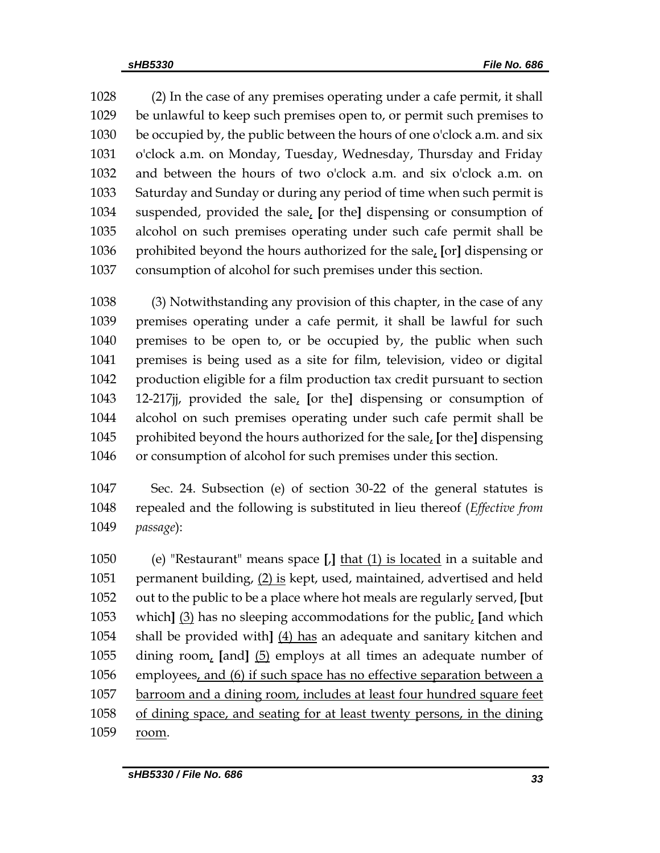(2) In the case of any premises operating under a cafe permit, it shall be unlawful to keep such premises open to, or permit such premises to be occupied by, the public between the hours of one o'clock a.m. and six o'clock a.m. on Monday, Tuesday, Wednesday, Thursday and Friday and between the hours of two o'clock a.m. and six o'clock a.m. on Saturday and Sunday or during any period of time when such permit is suspended, provided the sale, **[**or the**]** dispensing or consumption of alcohol on such premises operating under such cafe permit shall be prohibited beyond the hours authorized for the sale, **[**or**]** dispensing or consumption of alcohol for such premises under this section.

 (3) Notwithstanding any provision of this chapter, in the case of any premises operating under a cafe permit, it shall be lawful for such premises to be open to, or be occupied by, the public when such premises is being used as a site for film, television, video or digital production eligible for a film production tax credit pursuant to section 12-217jj, provided the sale, **[**or the**]** dispensing or consumption of alcohol on such premises operating under such cafe permit shall be prohibited beyond the hours authorized for the sale, **[**or the**]** dispensing or consumption of alcohol for such premises under this section.

 Sec. 24. Subsection (e) of section 30-22 of the general statutes is repealed and the following is substituted in lieu thereof (*Effective from passage*):

 (e) "Restaurant" means space **[**,**]** that (1) is located in a suitable and 1051 permanent building, (2) is kept, used, maintained, advertised and held out to the public to be a place where hot meals are regularly served, **[**but which**]** (3) has no sleeping accommodations for the public, **[**and which shall be provided with**]** (4) has an adequate and sanitary kitchen and dining room, **[**and**]** (5) employs at all times an adequate number of employees, and (6) if such space has no effective separation between a barroom and a dining room, includes at least four hundred square feet of dining space, and seating for at least twenty persons, in the dining room.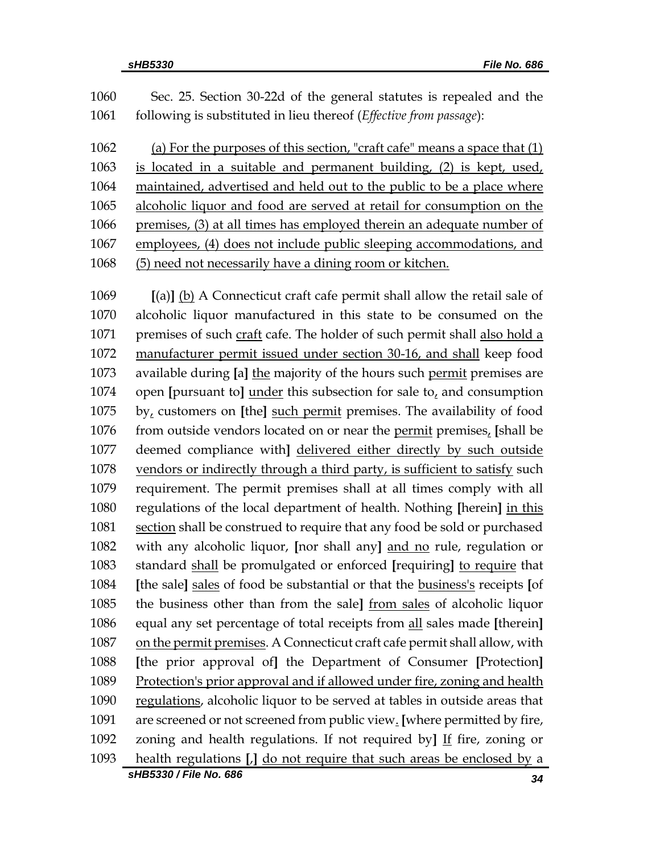| 1060 | Sec. 25. Section 30-22d of the general statutes is repealed and the         |
|------|-----------------------------------------------------------------------------|
| 1061 | following is substituted in lieu thereof ( <i>Effective from passage</i> ): |
| 1062 | (a) For the purposes of this section, "craft cafe" means a space that (1)   |
| 1063 | is located in a suitable and permanent building, (2) is kept, used,         |
| 1064 | maintained, advertised and held out to the public to be a place where       |
| 1065 | alcoholic liquor and food are served at retail for consumption on the       |
| 1066 | premises, (3) at all times has employed therein an adequate number of       |
| 1067 | employees, (4) does not include public sleeping accommodations, and         |
| 1068 | (5) need not necessarily have a dining room or kitchen.                     |
|      |                                                                             |

 **[**(a)**]** (b) A Connecticut craft cafe permit shall allow the retail sale of alcoholic liquor manufactured in this state to be consumed on the premises of such craft cafe. The holder of such permit shall also hold a manufacturer permit issued under section 30-16, and shall keep food available during **[**a**]** the majority of the hours such permit premises are open **[**pursuant to**]** under this subsection for sale to, and consumption by, customers on **[**the**]** such permit premises. The availability of food from outside vendors located on or near the permit premises, **[**shall be deemed compliance with**]** delivered either directly by such outside vendors or indirectly through a third party, is sufficient to satisfy such requirement. The permit premises shall at all times comply with all regulations of the local department of health. Nothing **[**herein**]** in this section shall be construed to require that any food be sold or purchased with any alcoholic liquor, **[**nor shall any**]** and no rule, regulation or standard shall be promulgated or enforced **[**requiring**]** to require that **[**the sale**]** sales of food be substantial or that the business's receipts **[**of the business other than from the sale**]** from sales of alcoholic liquor equal any set percentage of total receipts from all sales made **[**therein**]** on the permit premises. A Connecticut craft cafe permit shall allow, with **[**the prior approval of**]** the Department of Consumer **[**Protection**]** Protection's prior approval and if allowed under fire, zoning and health regulations, alcoholic liquor to be served at tables in outside areas that are screened or not screened from public view. **[**where permitted by fire, zoning and health regulations. If not required by**]** If fire, zoning or health regulations **[**,**]** do not require that such areas be enclosed by a

*sHB5330 / File No. 686 34*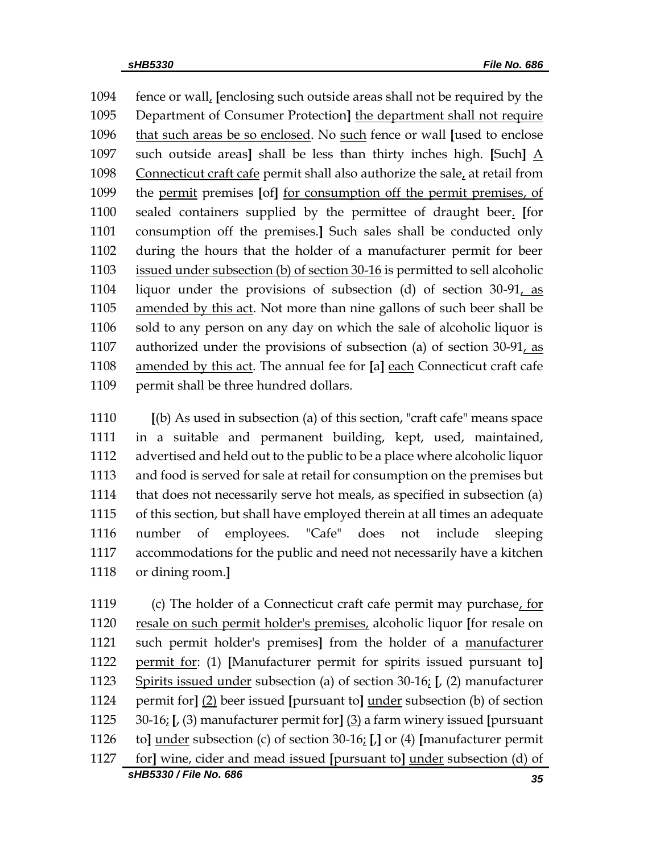fence or wall, **[**enclosing such outside areas shall not be required by the Department of Consumer Protection**]** the department shall not require that such areas be so enclosed. No such fence or wall **[**used to enclose such outside areas**]** shall be less than thirty inches high. **[**Such**]** A Connecticut craft cafe permit shall also authorize the sale, at retail from the permit premises **[**of**]** for consumption off the permit premises, of sealed containers supplied by the permittee of draught beer. **[**for consumption off the premises.**]** Such sales shall be conducted only during the hours that the holder of a manufacturer permit for beer issued under subsection (b) of section 30-16 is permitted to sell alcoholic liquor under the provisions of subsection (d) of section 30-91, as amended by this act. Not more than nine gallons of such beer shall be sold to any person on any day on which the sale of alcoholic liquor is authorized under the provisions of subsection (a) of section 30-91, as amended by this act. The annual fee for **[**a**]** each Connecticut craft cafe 1109 permit shall be three hundred dollars.

 **[**(b) As used in subsection (a) of this section, "craft cafe" means space in a suitable and permanent building, kept, used, maintained, advertised and held out to the public to be a place where alcoholic liquor and food is served for sale at retail for consumption on the premises but that does not necessarily serve hot meals, as specified in subsection (a) of this section, but shall have employed therein at all times an adequate number of employees. "Cafe" does not include sleeping accommodations for the public and need not necessarily have a kitchen or dining room.**]**

*sHB5330 / File No. 686 35* (c) The holder of a Connecticut craft cafe permit may purchase, for resale on such permit holder's premises, alcoholic liquor **[**for resale on such permit holder's premises**]** from the holder of a manufacturer permit for: (1) **[**Manufacturer permit for spirits issued pursuant to**]** Spirits issued under subsection (a) of section 30-16; **[**, (2) manufacturer permit for**]** (2) beer issued **[**pursuant to**]** under subsection (b) of section 30-16; **[**, (3) manufacturer permit for**]** (3) a farm winery issued **[**pursuant to**]** under subsection (c) of section 30-16; **[**,**]** or (4) **[**manufacturer permit for**]** wine, cider and mead issued **[**pursuant to**]** under subsection (d) of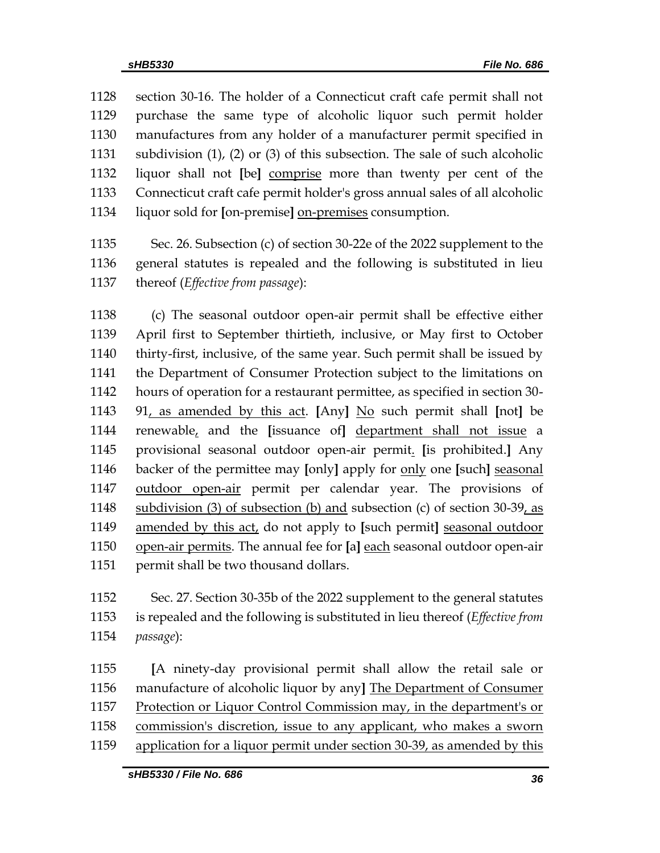section 30-16. The holder of a Connecticut craft cafe permit shall not purchase the same type of alcoholic liquor such permit holder manufactures from any holder of a manufacturer permit specified in subdivision (1), (2) or (3) of this subsection. The sale of such alcoholic liquor shall not **[**be**]** comprise more than twenty per cent of the Connecticut craft cafe permit holder's gross annual sales of all alcoholic liquor sold for **[**on-premise**]** on-premises consumption.

 Sec. 26. Subsection (c) of section 30-22e of the 2022 supplement to the general statutes is repealed and the following is substituted in lieu thereof (*Effective from passage*):

 (c) The seasonal outdoor open-air permit shall be effective either April first to September thirtieth, inclusive, or May first to October thirty-first, inclusive, of the same year. Such permit shall be issued by the Department of Consumer Protection subject to the limitations on hours of operation for a restaurant permittee, as specified in section 30- 91, as amended by this act. **[**Any**]** No such permit shall **[**not**]** be renewable, and the **[**issuance of**]** department shall not issue a provisional seasonal outdoor open-air permit. **[**is prohibited.**]** Any backer of the permittee may **[**only**]** apply for only one **[**such**]** seasonal outdoor open-air permit per calendar year. The provisions of subdivision (3) of subsection (b) and subsection (c) of section 30-39, as amended by this act, do not apply to **[**such permit**]** seasonal outdoor open-air permits. The annual fee for **[**a**]** each seasonal outdoor open-air permit shall be two thousand dollars.

 Sec. 27. Section 30-35b of the 2022 supplement to the general statutes is repealed and the following is substituted in lieu thereof (*Effective from passage*):

 **[**A ninety-day provisional permit shall allow the retail sale or manufacture of alcoholic liquor by any**]** The Department of Consumer Protection or Liquor Control Commission may, in the department's or commission's discretion, issue to any applicant, who makes a sworn application for a liquor permit under section 30-39, as amended by this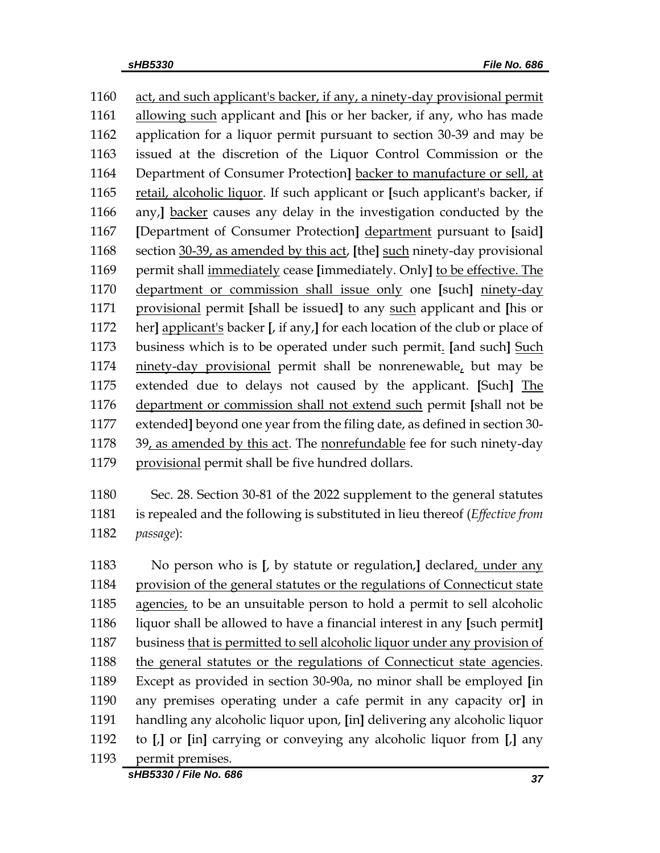act, and such applicant's backer, if any, a ninety-day provisional permit allowing such applicant and **[**his or her backer, if any, who has made application for a liquor permit pursuant to section 30-39 and may be issued at the discretion of the Liquor Control Commission or the Department of Consumer Protection**]** backer to manufacture or sell, at retail, alcoholic liquor. If such applicant or **[**such applicant's backer, if any,**]** backer causes any delay in the investigation conducted by the **[**Department of Consumer Protection**]** department pursuant to **[**said**]** section 30-39, as amended by this act, **[**the**]** such ninety-day provisional permit shall immediately cease **[**immediately. Only**]** to be effective. The department or commission shall issue only one **[**such**]** ninety-day provisional permit **[**shall be issued**]** to any such applicant and **[**his or her**]** applicant's backer **[**, if any,**]** for each location of the club or place of business which is to be operated under such permit. **[**and such**]** Such ninety-day provisional permit shall be nonrenewable, but may be extended due to delays not caused by the applicant. **[**Such**]** The department or commission shall not extend such permit **[**shall not be extended**]** beyond one year from the filing date, as defined in section 30- 39, as amended by this act. The nonrefundable fee for such ninety-day 1179 provisional permit shall be five hundred dollars.

 Sec. 28. Section 30-81 of the 2022 supplement to the general statutes is repealed and the following is substituted in lieu thereof (*Effective from passage*):

 No person who is **[**, by statute or regulation,**]** declared, under any provision of the general statutes or the regulations of Connecticut state agencies, to be an unsuitable person to hold a permit to sell alcoholic liquor shall be allowed to have a financial interest in any **[**such permit**]** business that is permitted to sell alcoholic liquor under any provision of the general statutes or the regulations of Connecticut state agencies. Except as provided in section 30-90a, no minor shall be employed **[**in any premises operating under a cafe permit in any capacity or**]** in handling any alcoholic liquor upon, **[**in**]** delivering any alcoholic liquor to **[**,**]** or **[**in**]** carrying or conveying any alcoholic liquor from **[**,**]** any permit premises.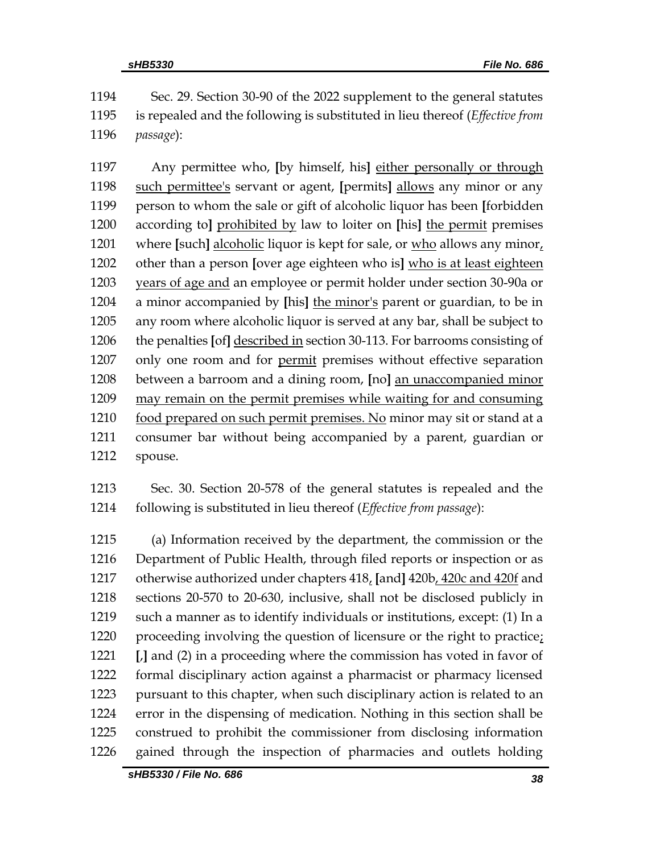Sec. 29. Section 30-90 of the 2022 supplement to the general statutes is repealed and the following is substituted in lieu thereof (*Effective from passage*):

 Any permittee who, **[**by himself, his**]** either personally or through such permittee's servant or agent, **[**permits**]** allows any minor or any person to whom the sale or gift of alcoholic liquor has been **[**forbidden according to**]** prohibited by law to loiter on **[**his**]** the permit premises where **[**such**]** alcoholic liquor is kept for sale, or who allows any minor, other than a person **[**over age eighteen who is**]** who is at least eighteen years of age and an employee or permit holder under section 30-90a or a minor accompanied by **[**his**]** the minor's parent or guardian, to be in any room where alcoholic liquor is served at any bar, shall be subject to the penalties **[**of**]** described in section 30-113. For barrooms consisting of only one room and for permit premises without effective separation between a barroom and a dining room, **[**no**]** an unaccompanied minor may remain on the permit premises while waiting for and consuming 1210 food prepared on such permit premises. No minor may sit or stand at a consumer bar without being accompanied by a parent, guardian or spouse.

 Sec. 30. Section 20-578 of the general statutes is repealed and the following is substituted in lieu thereof (*Effective from passage*):

 (a) Information received by the department, the commission or the Department of Public Health, through filed reports or inspection or as otherwise authorized under chapters 418, **[**and**]** 420b, 420c and 420f and sections 20-570 to 20-630, inclusive, shall not be disclosed publicly in such a manner as to identify individuals or institutions, except: (1) In a proceeding involving the question of licensure or the right to practice; **[**,**]** and (2) in a proceeding where the commission has voted in favor of formal disciplinary action against a pharmacist or pharmacy licensed pursuant to this chapter, when such disciplinary action is related to an error in the dispensing of medication. Nothing in this section shall be construed to prohibit the commissioner from disclosing information gained through the inspection of pharmacies and outlets holding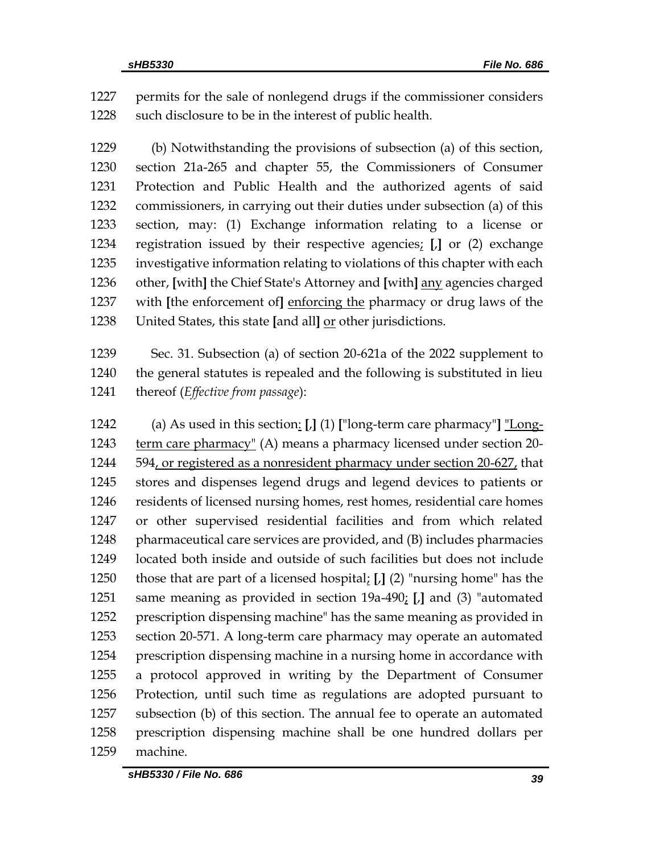permits for the sale of nonlegend drugs if the commissioner considers 1228 such disclosure to be in the interest of public health.

 (b) Notwithstanding the provisions of subsection (a) of this section, section 21a-265 and chapter 55, the Commissioners of Consumer Protection and Public Health and the authorized agents of said commissioners, in carrying out their duties under subsection (a) of this section, may: (1) Exchange information relating to a license or registration issued by their respective agencies; **[**,**]** or (2) exchange investigative information relating to violations of this chapter with each other, **[**with**]** the Chief State's Attorney and **[**with**]** any agencies charged with **[**the enforcement of**]** enforcing the pharmacy or drug laws of the United States, this state **[**and all**]** or other jurisdictions.

 Sec. 31. Subsection (a) of section 20-621a of the 2022 supplement to the general statutes is repealed and the following is substituted in lieu thereof (*Effective from passage*):

 (a) As used in this section: **[**,**]** (1) **[**"long-term care pharmacy"**]** "Long-1243 term care pharmacy" (A) means a pharmacy licensed under section 20- 594, or registered as a nonresident pharmacy under section 20-627, that stores and dispenses legend drugs and legend devices to patients or 1246 residents of licensed nursing homes, rest homes, residential care homes or other supervised residential facilities and from which related pharmaceutical care services are provided, and (B) includes pharmacies located both inside and outside of such facilities but does not include those that are part of a licensed hospital; **[**,**]** (2) "nursing home" has the same meaning as provided in section 19a-490; **[**,**]** and (3) "automated prescription dispensing machine" has the same meaning as provided in section 20-571. A long-term care pharmacy may operate an automated prescription dispensing machine in a nursing home in accordance with a protocol approved in writing by the Department of Consumer Protection, until such time as regulations are adopted pursuant to subsection (b) of this section. The annual fee to operate an automated prescription dispensing machine shall be one hundred dollars per machine.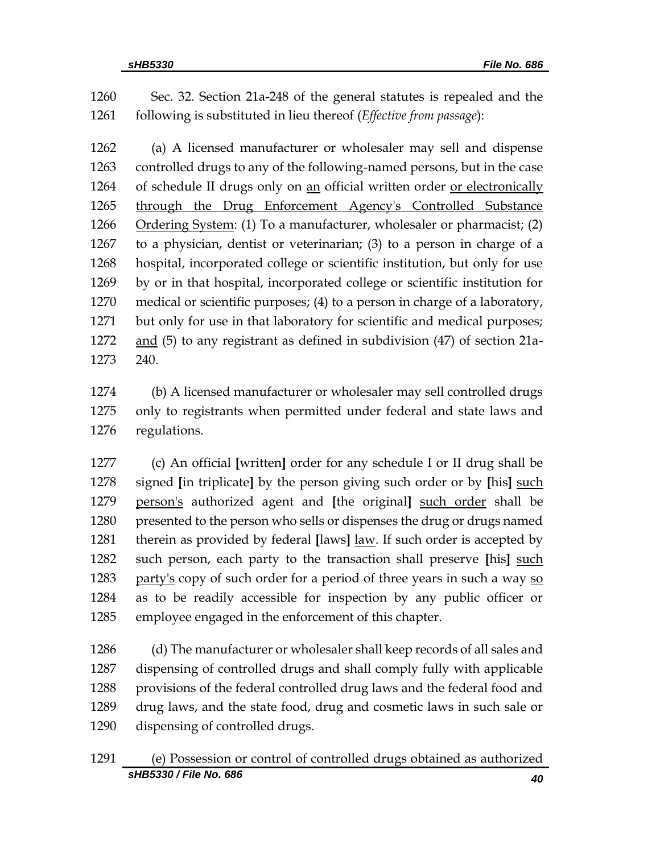Sec. 32. Section 21a-248 of the general statutes is repealed and the following is substituted in lieu thereof (*Effective from passage*):

 (a) A licensed manufacturer or wholesaler may sell and dispense controlled drugs to any of the following-named persons, but in the case of schedule II drugs only on an official written order or electronically through the Drug Enforcement Agency's Controlled Substance Ordering System: (1) To a manufacturer, wholesaler or pharmacist; (2) to a physician, dentist or veterinarian; (3) to a person in charge of a hospital, incorporated college or scientific institution, but only for use by or in that hospital, incorporated college or scientific institution for medical or scientific purposes; (4) to a person in charge of a laboratory, but only for use in that laboratory for scientific and medical purposes; and (5) to any registrant as defined in subdivision (47) of section 21a-240.

 (b) A licensed manufacturer or wholesaler may sell controlled drugs only to registrants when permitted under federal and state laws and regulations.

 (c) An official **[**written**]** order for any schedule I or II drug shall be signed **[**in triplicate**]** by the person giving such order or by **[**his**]** such person's authorized agent and **[**the original**]** such order shall be 1280 presented to the person who sells or dispenses the drug or drugs named therein as provided by federal **[**laws**]** law. If such order is accepted by such person, each party to the transaction shall preserve **[**his**]** such 1283 party's copy of such order for a period of three years in such a way so as to be readily accessible for inspection by any public officer or employee engaged in the enforcement of this chapter.

 (d) The manufacturer or wholesaler shall keep records of all sales and dispensing of controlled drugs and shall comply fully with applicable provisions of the federal controlled drug laws and the federal food and drug laws, and the state food, drug and cosmetic laws in such sale or dispensing of controlled drugs.

## *sHB5330 / File No. 686 40* (e) Possession or control of controlled drugs obtained as authorized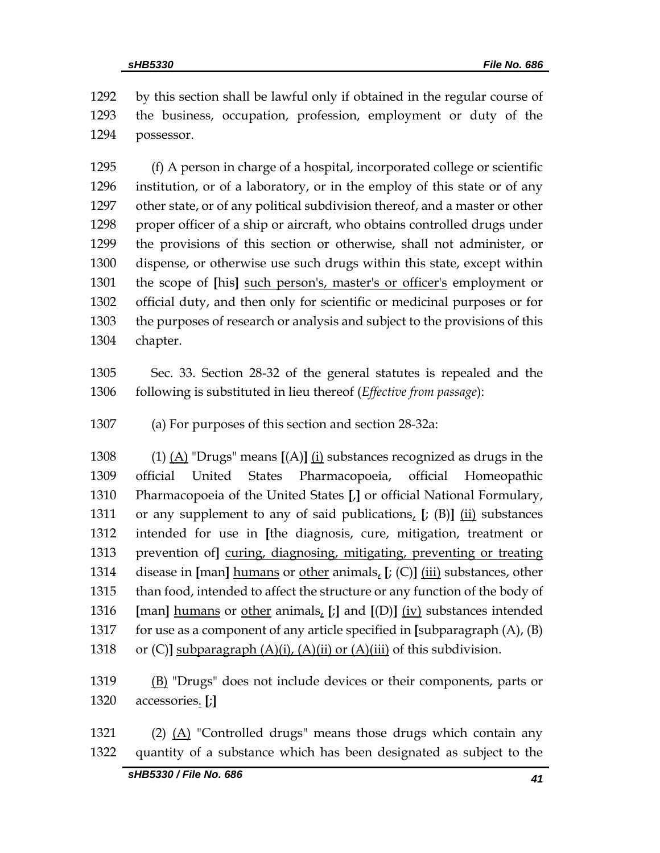by this section shall be lawful only if obtained in the regular course of the business, occupation, profession, employment or duty of the possessor.

 (f) A person in charge of a hospital, incorporated college or scientific institution, or of a laboratory, or in the employ of this state or of any other state, or of any political subdivision thereof, and a master or other 1298 proper officer of a ship or aircraft, who obtains controlled drugs under the provisions of this section or otherwise, shall not administer, or dispense, or otherwise use such drugs within this state, except within the scope of **[**his**]** such person's, master's or officer's employment or official duty, and then only for scientific or medicinal purposes or for the purposes of research or analysis and subject to the provisions of this chapter.

 Sec. 33. Section 28-32 of the general statutes is repealed and the following is substituted in lieu thereof (*Effective from passage*):

(a) For purposes of this section and section 28-32a:

 (1) (A) "Drugs" means **[**(A)**]** (i) substances recognized as drugs in the official United States Pharmacopoeia, official Homeopathic Pharmacopoeia of the United States **[**,**]** or official National Formulary, or any supplement to any of said publications, **[**; (B)**]** (ii) substances intended for use in **[**the diagnosis, cure, mitigation, treatment or prevention of**]** curing, diagnosing, mitigating, preventing or treating disease in **[**man**]** humans or other animals, **[**; (C)**]** (iii) substances, other than food, intended to affect the structure or any function of the body of **[**man**]** humans or other animals, **[**;**]** and **[**(D)**]** (iv) substances intended for use as a component of any article specified in **[**subparagraph (A), (B) 1318 or  $(C)$ **]** subparagraph  $(A)(i)$ ,  $(A)(ii)$  or  $(A)(iii)$  of this subdivision.

1319 (B) "Drugs" does not include devices or their components, parts or accessories. **[**;**]**

1321 (2)  $(A)$  "Controlled drugs" means those drugs which contain any quantity of a substance which has been designated as subject to the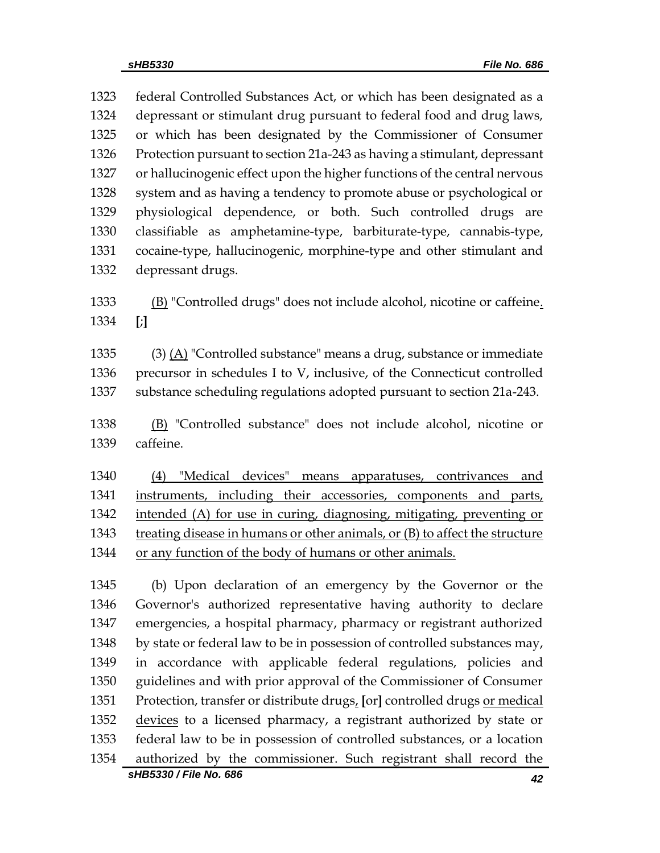federal Controlled Substances Act, or which has been designated as a depressant or stimulant drug pursuant to federal food and drug laws, or which has been designated by the Commissioner of Consumer Protection pursuant to section 21a-243 as having a stimulant, depressant or hallucinogenic effect upon the higher functions of the central nervous system and as having a tendency to promote abuse or psychological or physiological dependence, or both. Such controlled drugs are classifiable as amphetamine-type, barbiturate-type, cannabis-type, cocaine-type, hallucinogenic, morphine-type and other stimulant and depressant drugs. (B) "Controlled drugs" does not include alcohol, nicotine or caffeine. **[**;**]** 1335 (3)  $\Delta$  "Controlled substance" means a drug, substance or immediate precursor in schedules I to V, inclusive, of the Connecticut controlled substance scheduling regulations adopted pursuant to section 21a-243. (B) "Controlled substance" does not include alcohol, nicotine or caffeine. (4) "Medical devices" means apparatuses, contrivances and instruments, including their accessories, components and parts, 1342 intended (A) for use in curing, diagnosing, mitigating, preventing or treating disease in humans or other animals, or (B) to affect the structure or any function of the body of humans or other animals. (b) Upon declaration of an emergency by the Governor or the Governor's authorized representative having authority to declare emergencies, a hospital pharmacy, pharmacy or registrant authorized by state or federal law to be in possession of controlled substances may, in accordance with applicable federal regulations, policies and guidelines and with prior approval of the Commissioner of Consumer Protection, transfer or distribute drugs, **[**or**]** controlled drugs or medical 1352 devices to a licensed pharmacy, a registrant authorized by state or federal law to be in possession of controlled substances, or a location

*sHB5330 / File No. 686 42* authorized by the commissioner. Such registrant shall record the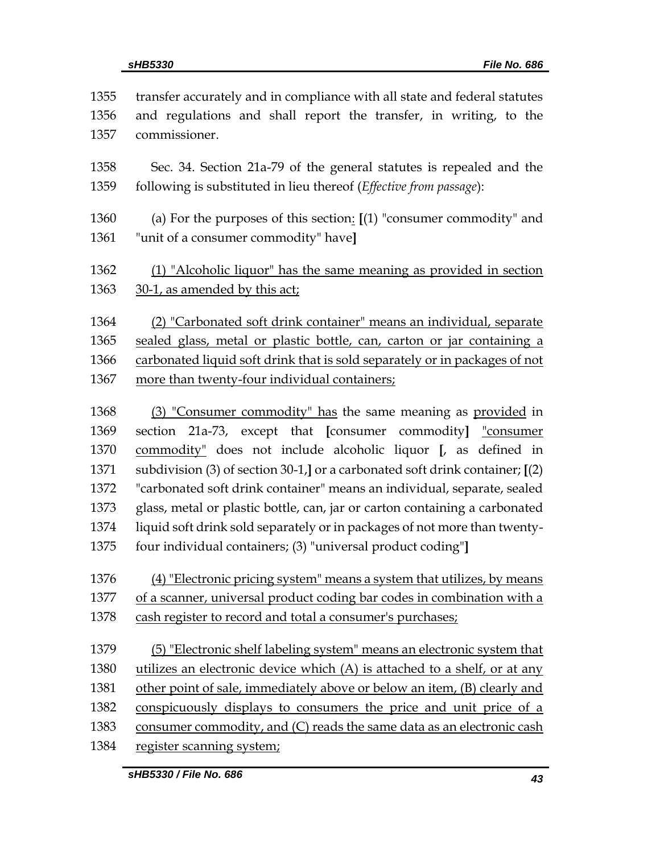| 1355 | transfer accurately and in compliance with all state and federal statutes        |
|------|----------------------------------------------------------------------------------|
| 1356 | and regulations and shall report the transfer, in writing, to the                |
| 1357 | commissioner.                                                                    |
| 1358 | Sec. 34. Section 21a-79 of the general statutes is repealed and the              |
| 1359 | following is substituted in lieu thereof (Effective from passage):               |
| 1360 | (a) For the purposes of this section: $[(1)$ "consumer commodity" and            |
| 1361 | "unit of a consumer commodity" have]                                             |
| 1362 | (1) "Alcoholic liquor" has the same meaning as provided in section               |
| 1363 | 30-1, as amended by this act;                                                    |
| 1364 | (2) "Carbonated soft drink container" means an individual, separate              |
| 1365 | sealed glass, metal or plastic bottle, can, carton or jar containing a           |
| 1366 | carbonated liquid soft drink that is sold separately or in packages of not       |
| 1367 | more than twenty-four individual containers;                                     |
| 1368 | (3) "Consumer commodity" has the same meaning as provided in                     |
| 1369 | section 21a-73, except that [consumer commodity] "consumer                       |
| 1370 | commodity" does not include alcoholic liquor [, as defined in                    |
| 1371 | subdivision $(3)$ of section 30-1,] or a carbonated soft drink container; $[(2)$ |
| 1372 | "carbonated soft drink container" means an individual, separate, sealed          |
| 1373 | glass, metal or plastic bottle, can, jar or carton containing a carbonated       |
| 1374 | liquid soft drink sold separately or in packages of not more than twenty-        |
| 1375 | four individual containers; (3) "universal product coding"]                      |
| 1376 | (4) "Electronic pricing system" means a system that utilizes, by means           |
| 1377 | of a scanner, universal product coding bar codes in combination with a           |
| 1378 | cash register to record and total a consumer's purchases;                        |
| 1379 | (5) "Electronic shelf labeling system" means an electronic system that           |
| 1380 | utilizes an electronic device which (A) is attached to a shelf, or at any        |
| 1381 | other point of sale, immediately above or below an item, (B) clearly and         |
| 1382 | conspicuously displays to consumers the price and unit price of a                |
| 1383 | consumer commodity, and (C) reads the same data as an electronic cash            |
| 1384 | register scanning system;                                                        |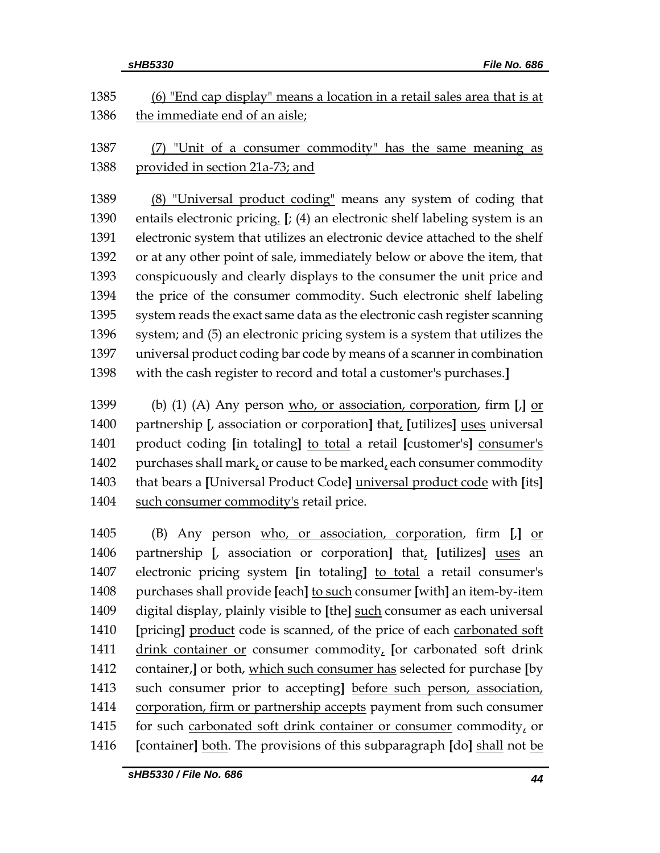|              | sHB5330<br>File No. 686                                                                   |
|--------------|-------------------------------------------------------------------------------------------|
| 1385         | (6) "End cap display" means a location in a retail sales area that is at                  |
| 1386         | the immediate end of an aisle;                                                            |
| 1387<br>1388 | "Unit of a consumer commodity" has the same meaning as<br>provided in section 21a-73; and |
|              |                                                                                           |
| 1389         | (8) "Universal product coding" means any system of coding that                            |
| 1390         | entails electronic pricing. $[$ ; (4) an electronic shelf labeling system is an           |
| 1391         | electronic system that utilizes an electronic device attached to the shelf                |
| 1392         | or at any other point of sale, immediately below or above the item, that                  |
| 1393         | conspicuously and clearly displays to the consumer the unit price and                     |
| 1394         | the price of the consumer commodity. Such electronic shelf labeling                       |
| 1395         | system reads the exact same data as the electronic cash register scanning                 |
| 1396         | system; and (5) an electronic pricing system is a system that utilizes the                |
| 1397         | universal product coding bar code by means of a scanner in combination                    |
| 1398         | with the cash register to record and total a customer's purchases.]                       |
| 1399         | (b) (1) (A) Any person $w$ ho, or association, corporation, firm $\left[ \right]$ or      |
| 1400         | partnership [, association or corporation] that, [utilizes] uses universal                |
| 1401         | product coding [in totaling] to total a retail [customer's] consumer's                    |
| 1402         | purchases shall mark, or cause to be marked, each consumer commodity                      |
| 1403         | that bears a [Universal Product Code] universal product code with [its]                   |
| 1404         | such consumer commodity's retail price.                                                   |
|              |                                                                                           |
| 1405         | Any person who, or association, corporation, firm<br>(B)<br>L<br>or                       |
| 1406         | partnership [, association or corporation] that, [utilizes] uses an                       |
| 1407         | electronic pricing system [in totaling] to total a retail consumer's                      |
| 1408         | purchases shall provide [each] to such consumer [with] an item-by-item                    |
| 1409         | digital display, plainly visible to [the] such consumer as each universal                 |
| 1410         | [pricing] product code is scanned, of the price of each carbonated soft                   |
| 1411         | drink container or consumer commodity, [or carbonated soft drink                          |
| 1412         | container,] or both, which such consumer has selected for purchase [by                    |
| 1413         | such consumer prior to accepting] before such person, association,                        |
| 1414         | corporation, firm or partnership accepts payment from such consumer                       |
| 1415         | for such carbonated soft drink container or consumer commodity, or                        |
| 1416         | [container] both. The provisions of this subparagraph [do] shall not be                   |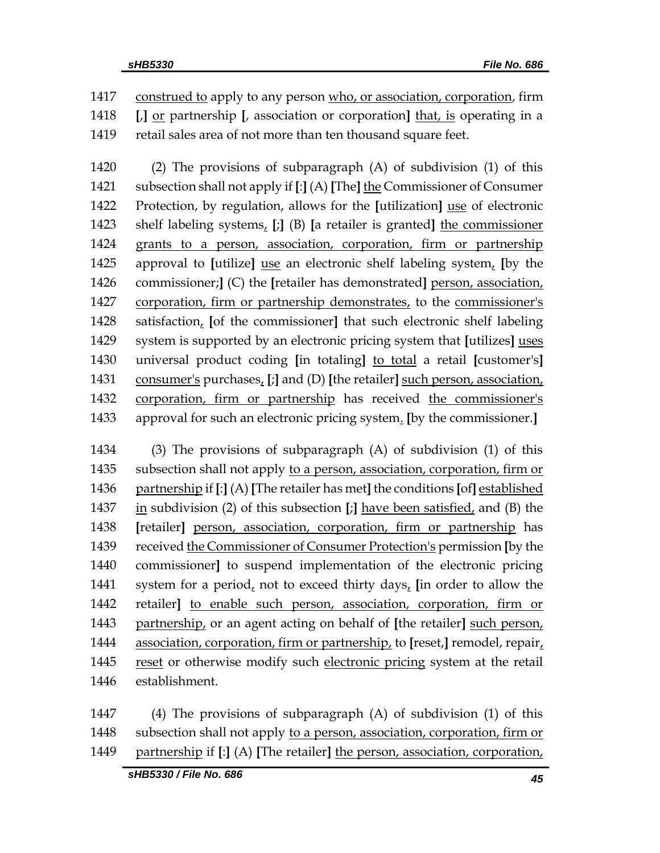1417 construed to apply to any person who, or association, corporation, firm **[**,**]** or partnership **[**, association or corporation**]** that, is operating in a retail sales area of not more than ten thousand square feet.

 (2) The provisions of subparagraph (A) of subdivision (1) of this subsection shall not apply if **[**:**]** (A) **[**The**]** the Commissioner of Consumer Protection, by regulation, allows for the **[**utilization**]** use of electronic shelf labeling systems, **[**;**]** (B) **[**a retailer is granted**]** the commissioner grants to a person, association, corporation, firm or partnership approval to **[**utilize**]** use an electronic shelf labeling system, **[**by the commissioner;**]** (C) the **[**retailer has demonstrated**]** person, association, corporation, firm or partnership demonstrates, to the commissioner's satisfaction, **[**of the commissioner**]** that such electronic shelf labeling system is supported by an electronic pricing system that **[**utilizes**]** uses universal product coding **[**in totaling**]** to total a retail **[**customer's**]** consumer's purchases, **[**;**]** and (D) **[**the retailer**]** such person, association, corporation, firm or partnership has received the commissioner's approval for such an electronic pricing system. **[**by the commissioner.**]**

 (3) The provisions of subparagraph (A) of subdivision (1) of this subsection shall not apply to a person, association, corporation, firm or partnership if **[**:**]** (A) **[**The retailer has met**]** the conditions **[**of**]** established in subdivision (2) of this subsection **[**;**]** have been satisfied, and (B) the **[**retailer**]** person, association, corporation, firm or partnership has received the Commissioner of Consumer Protection's permission **[**by the commissioner**]** to suspend implementation of the electronic pricing system for a period, not to exceed thirty days, **[**in order to allow the retailer**]** to enable such person, association, corporation, firm or partnership, or an agent acting on behalf of **[**the retailer**]** such person, association, corporation, firm or partnership, to **[**reset,**]** remodel, repair, reset or otherwise modify such electronic pricing system at the retail establishment.

 (4) The provisions of subparagraph (A) of subdivision (1) of this subsection shall not apply to a person, association, corporation, firm or partnership if **[**:**]** (A) **[**The retailer**]** the person, association, corporation,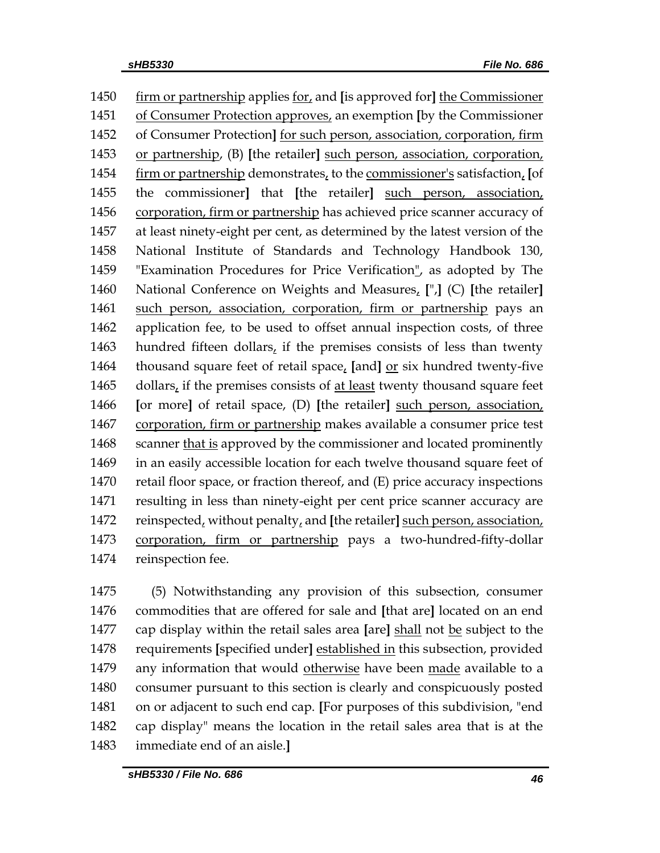firm or partnership applies for, and **[**is approved for**]** the Commissioner of Consumer Protection approves, an exemption **[**by the Commissioner of Consumer Protection**]** for such person, association, corporation, firm or partnership, (B) **[**the retailer**]** such person, association, corporation, firm or partnership demonstrates, to the commissioner's satisfaction, **[**of the commissioner**]** that **[**the retailer**]** such person, association, corporation, firm or partnership has achieved price scanner accuracy of at least ninety-eight per cent, as determined by the latest version of the National Institute of Standards and Technology Handbook 130, "Examination Procedures for Price Verification", as adopted by The National Conference on Weights and Measures, **[**",**]** (C) **[**the retailer**]** such person, association, corporation, firm or partnership pays an application fee, to be used to offset annual inspection costs, of three hundred fifteen dollars, if the premises consists of less than twenty 1464 thousand square feet of retail space, [and] <u>or</u> six hundred twenty-five dollars, if the premises consists of at least twenty thousand square feet **[**or more**]** of retail space, (D) **[**the retailer**]** such person, association, corporation, firm or partnership makes available a consumer price test 1468 scanner that is approved by the commissioner and located prominently in an easily accessible location for each twelve thousand square feet of retail floor space, or fraction thereof, and (E) price accuracy inspections resulting in less than ninety-eight per cent price scanner accuracy are reinspected, without penalty, and **[**the retailer**]** such person, association, corporation, firm or partnership pays a two-hundred-fifty-dollar reinspection fee.

 (5) Notwithstanding any provision of this subsection, consumer commodities that are offered for sale and **[**that are**]** located on an end cap display within the retail sales area **[**are**]** shall not be subject to the requirements **[**specified under**]** established in this subsection, provided 1479 any information that would otherwise have been made available to a consumer pursuant to this section is clearly and conspicuously posted on or adjacent to such end cap. **[**For purposes of this subdivision, "end cap display" means the location in the retail sales area that is at the immediate end of an aisle.**]**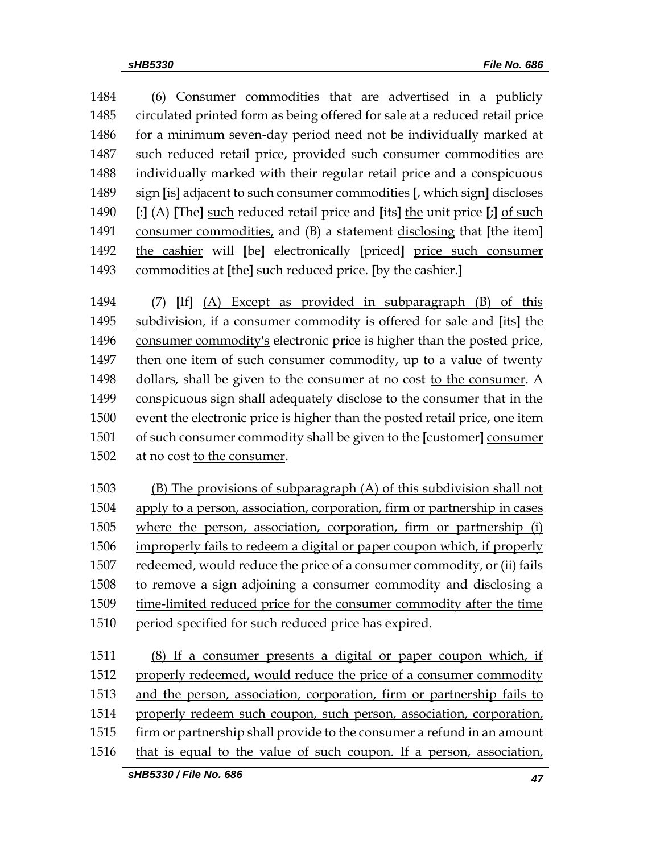(6) Consumer commodities that are advertised in a publicly 1485 circulated printed form as being offered for sale at a reduced retail price for a minimum seven-day period need not be individually marked at such reduced retail price, provided such consumer commodities are individually marked with their regular retail price and a conspicuous sign **[**is**]** adjacent to such consumer commodities **[**, which sign**]** discloses **[**:**]** (A) **[**The**]** such reduced retail price and **[**its**]** the unit price **[**;**]** of such consumer commodities, and (B) a statement disclosing that **[**the item**]** the cashier will **[**be**]** electronically **[**priced**]** price such consumer commodities at **[**the**]** such reduced price. **[**by the cashier.**]**

 (7) **[**If**]** (A) Except as provided in subparagraph (B) of this subdivision, if a consumer commodity is offered for sale and **[**its**]** the consumer commodity's electronic price is higher than the posted price, then one item of such consumer commodity, up to a value of twenty dollars, shall be given to the consumer at no cost to the consumer. A conspicuous sign shall adequately disclose to the consumer that in the event the electronic price is higher than the posted retail price, one item of such consumer commodity shall be given to the **[**customer**]** consumer at no cost to the consumer.

 (B) The provisions of subparagraph (A) of this subdivision shall not apply to a person, association, corporation, firm or partnership in cases where the person, association, corporation, firm or partnership (i) improperly fails to redeem a digital or paper coupon which, if properly redeemed, would reduce the price of a consumer commodity, or (ii) fails to remove a sign adjoining a consumer commodity and disclosing a time-limited reduced price for the consumer commodity after the time 1510 period specified for such reduced price has expired.

 (8) If a consumer presents a digital or paper coupon which, if properly redeemed, would reduce the price of a consumer commodity and the person, association, corporation, firm or partnership fails to properly redeem such coupon, such person, association, corporation, firm or partnership shall provide to the consumer a refund in an amount that is equal to the value of such coupon. If a person, association,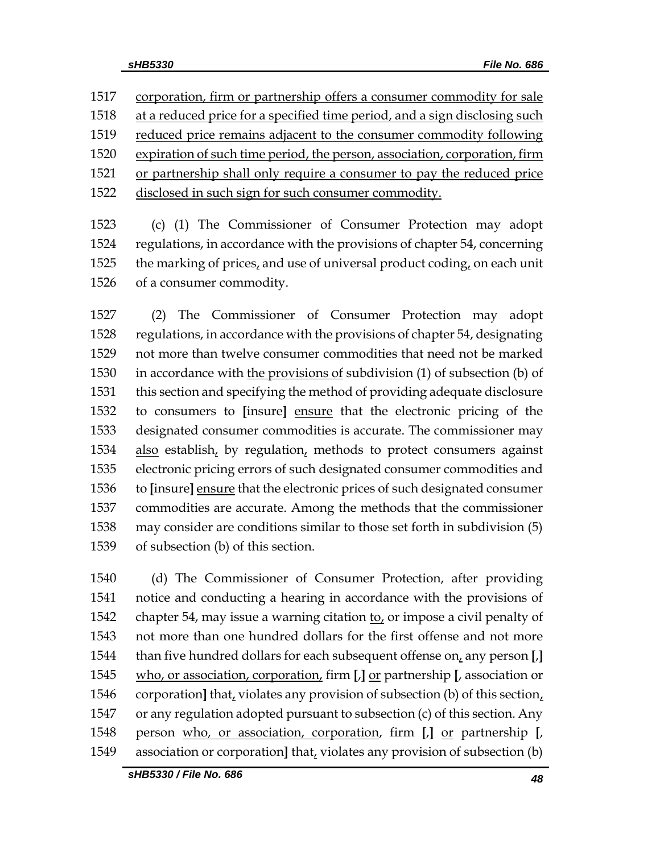1517 corporation, firm or partnership offers a consumer commodity for sale

1518 at a reduced price for a specified time period, and a sign disclosing such

- 1519 reduced price remains adjacent to the consumer commodity following
- expiration of such time period, the person, association, corporation, firm
- or partnership shall only require a consumer to pay the reduced price
- disclosed in such sign for such consumer commodity.

 (c) (1) The Commissioner of Consumer Protection may adopt regulations, in accordance with the provisions of chapter 54, concerning 1525 the marking of prices, and use of universal product coding, on each unit of a consumer commodity.

 (2) The Commissioner of Consumer Protection may adopt regulations, in accordance with the provisions of chapter 54, designating not more than twelve consumer commodities that need not be marked in accordance with the provisions of subdivision (1) of subsection (b) of this section and specifying the method of providing adequate disclosure to consumers to **[**insure**]** ensure that the electronic pricing of the designated consumer commodities is accurate. The commissioner may also establish, by regulation, methods to protect consumers against electronic pricing errors of such designated consumer commodities and to **[**insure**]** ensure that the electronic prices of such designated consumer commodities are accurate. Among the methods that the commissioner may consider are conditions similar to those set forth in subdivision (5) of subsection (b) of this section.

 (d) The Commissioner of Consumer Protection, after providing notice and conducting a hearing in accordance with the provisions of chapter 54, may issue a warning citation to, or impose a civil penalty of not more than one hundred dollars for the first offense and not more than five hundred dollars for each subsequent offense on, any person **[**,**]** who, or association, corporation, firm **[**,**]** or partnership **[**, association or corporation**]** that, violates any provision of subsection (b) of this section, or any regulation adopted pursuant to subsection (c) of this section. Any person who, or association, corporation, firm **[**,**]** or partnership **[**, association or corporation**]** that, violates any provision of subsection (b)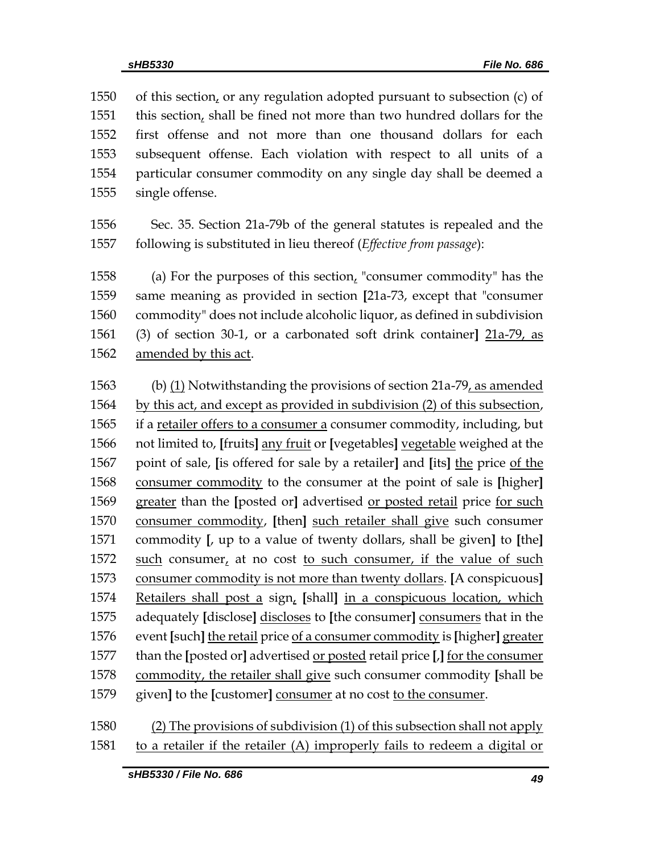of this section, or any regulation adopted pursuant to subsection (c) of this section, shall be fined not more than two hundred dollars for the first offense and not more than one thousand dollars for each subsequent offense. Each violation with respect to all units of a particular consumer commodity on any single day shall be deemed a single offense.

 Sec. 35. Section 21a-79b of the general statutes is repealed and the following is substituted in lieu thereof (*Effective from passage*):

1558 (a) For the purposes of this section, "consumer commodity" has the same meaning as provided in section **[**21a-73, except that "consumer commodity" does not include alcoholic liquor, as defined in subdivision (3) of section 30-1, or a carbonated soft drink container**]** 21a-79, as amended by this act.

 (b) (1) Notwithstanding the provisions of section 21a-79, as amended by this act, and except as provided in subdivision (2) of this subsection, if a retailer offers to a consumer a consumer commodity, including, but not limited to, **[**fruits**]** any fruit or **[**vegetables**]** vegetable weighed at the point of sale, **[**is offered for sale by a retailer**]** and **[**its**]** the price of the consumer commodity to the consumer at the point of sale is **[**higher**]** greater than the **[**posted or**]** advertised or posted retail price for such consumer commodity, **[**then**]** such retailer shall give such consumer commodity **[**, up to a value of twenty dollars, shall be given**]** to **[**the**]** 1572 such consumer, at no cost to such consumer, if the value of such consumer commodity is not more than twenty dollars. **[**A conspicuous**]** Retailers shall post a sign, **[**shall**]** in a conspicuous location, which adequately **[**disclose**]** discloses to **[**the consumer**]** consumers that in the event **[**such**]** the retail price of a consumer commodity is **[**higher**]** greater than the **[**posted or**]** advertised or posted retail price **[**,**]** for the consumer commodity, the retailer shall give such consumer commodity **[**shall be given**]** to the **[**customer**]** consumer at no cost to the consumer.

 (2) The provisions of subdivision (1) of this subsection shall not apply to a retailer if the retailer (A) improperly fails to redeem a digital or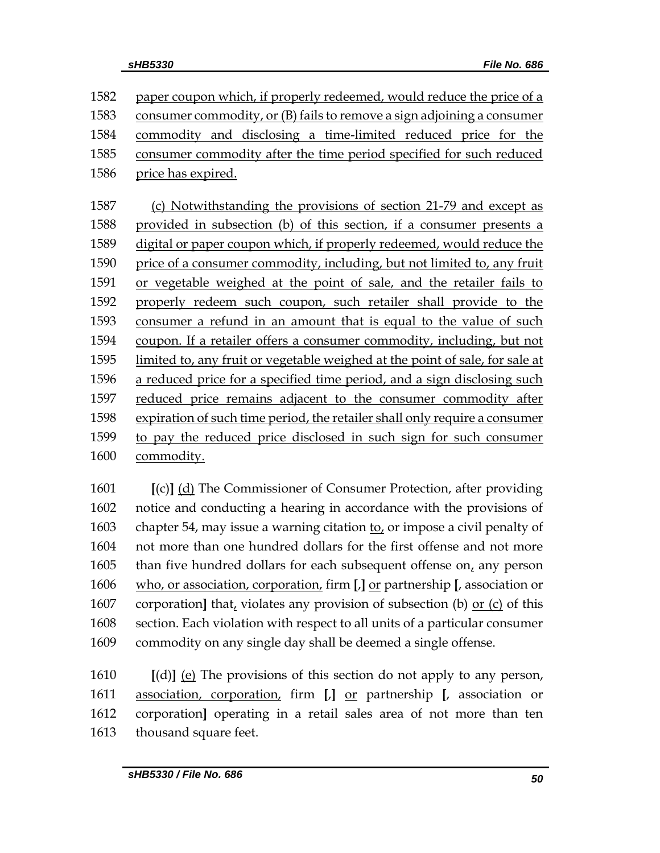1582 paper coupon which, if properly redeemed, would reduce the price of a consumer commodity, or (B) fails to remove a sign adjoining a consumer commodity and disclosing a time-limited reduced price for the consumer commodity after the time period specified for such reduced price has expired.

 (c) Notwithstanding the provisions of section 21-79 and except as provided in subsection (b) of this section, if a consumer presents a digital or paper coupon which, if properly redeemed, would reduce the price of a consumer commodity, including, but not limited to, any fruit or vegetable weighed at the point of sale, and the retailer fails to properly redeem such coupon, such retailer shall provide to the consumer a refund in an amount that is equal to the value of such coupon. If a retailer offers a consumer commodity, including, but not limited to, any fruit or vegetable weighed at the point of sale, for sale at a reduced price for a specified time period, and a sign disclosing such reduced price remains adjacent to the consumer commodity after expiration of such time period, the retailer shall only require a consumer to pay the reduced price disclosed in such sign for such consumer commodity.

 **[**(c)**]** (d) The Commissioner of Consumer Protection, after providing notice and conducting a hearing in accordance with the provisions of chapter 54, may issue a warning citation to, or impose a civil penalty of not more than one hundred dollars for the first offense and not more than five hundred dollars for each subsequent offense on, any person who, or association, corporation, firm **[**,**]** or partnership **[**, association or corporation**]** that, violates any provision of subsection (b) or (c) of this section. Each violation with respect to all units of a particular consumer commodity on any single day shall be deemed a single offense.

 **[**(d)**]** (e) The provisions of this section do not apply to any person, association, corporation, firm **[**,**]** or partnership **[**, association or corporation**]** operating in a retail sales area of not more than ten thousand square feet.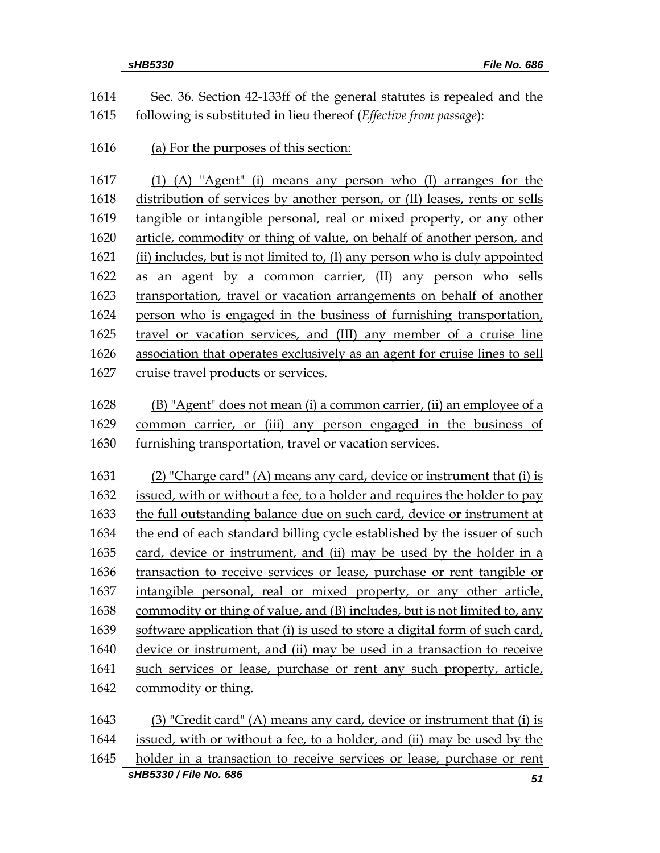|      | sHB5330 / File No. 686<br>51                                                |
|------|-----------------------------------------------------------------------------|
| 1645 | holder in a transaction to receive services or lease, purchase or rent      |
| 1644 | issued, with or without a fee, to a holder, and (ii) may be used by the     |
| 1643 | $(3)$ "Credit card" (A) means any card, device or instrument that (i) is    |
| 1642 | commodity or thing.                                                         |
| 1641 | such services or lease, purchase or rent any such property, article,        |
| 1640 | device or instrument, and (ii) may be used in a transaction to receive      |
| 1639 | software application that (i) is used to store a digital form of such card, |
| 1638 | commodity or thing of value, and (B) includes, but is not limited to, any   |
| 1637 | intangible personal, real or mixed property, or any other article,          |
| 1636 | transaction to receive services or lease, purchase or rent tangible or      |
| 1635 | card, device or instrument, and (ii) may be used by the holder in a         |
| 1634 | the end of each standard billing cycle established by the issuer of such    |
| 1633 | the full outstanding balance due on such card, device or instrument at      |
| 1632 | issued, with or without a fee, to a holder and requires the holder to pay   |
| 1631 | (2) "Charge card" (A) means any card, device or instrument that (i) is      |
|      |                                                                             |
| 1630 | furnishing transportation, travel or vacation services.                     |
| 1629 | common carrier, or (iii) any person engaged in the business of              |
| 1628 | (B) "Agent" does not mean (i) a common carrier, (ii) an employee of a       |
| 1627 | cruise travel products or services.                                         |
| 1626 | association that operates exclusively as an agent for cruise lines to sell  |
| 1625 | travel or vacation services, and (III) any member of a cruise line          |
| 1624 | person who is engaged in the business of furnishing transportation,         |
| 1623 | transportation, travel or vacation arrangements on behalf of another        |
| 1622 | as an agent by a common carrier, (II) any person who sells                  |
| 1621 | (ii) includes, but is not limited to, (I) any person who is duly appointed  |
| 1620 | article, commodity or thing of value, on behalf of another person, and      |
| 1619 | tangible or intangible personal, real or mixed property, or any other       |
| 1618 | distribution of services by another person, or (II) leases, rents or sells  |
| 1617 | (1) (A) "Agent" (i) means any person who (I) arranges for the               |
| 1616 | (a) For the purposes of this section:                                       |
| 1615 | following is substituted in lieu thereof (Effective from passage):          |
| 1614 | Sec. 36. Section 42-133ff of the general statutes is repealed and the       |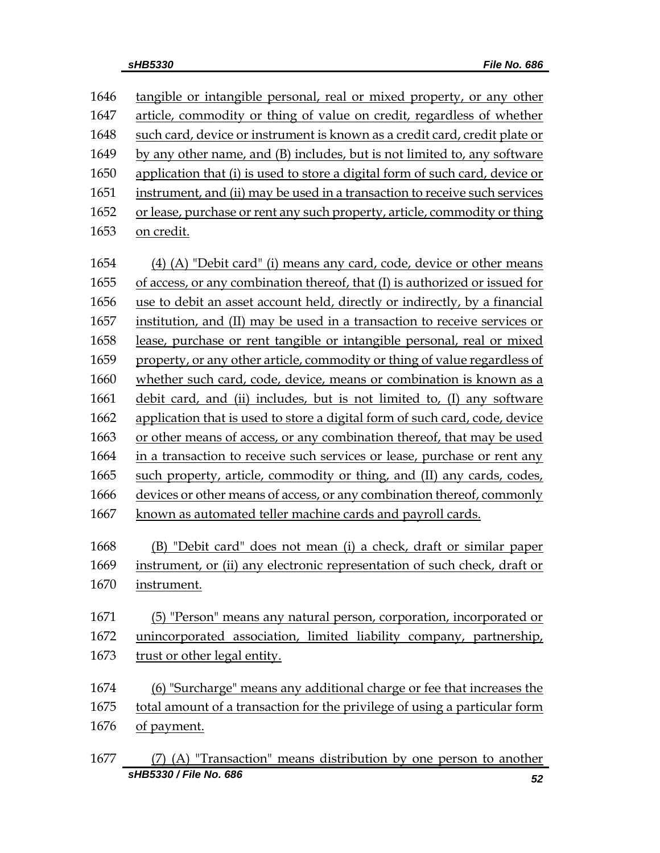tangible or intangible personal, real or mixed property, or any other article, commodity or thing of value on credit, regardless of whether such card, device or instrument is known as a credit card, credit plate or by any other name, and (B) includes, but is not limited to, any software application that (i) is used to store a digital form of such card, device or instrument, and (ii) may be used in a transaction to receive such services or lease, purchase or rent any such property, article, commodity or thing on credit. (4) (A) "Debit card" (i) means any card, code, device or other means of access, or any combination thereof, that (I) is authorized or issued for use to debit an asset account held, directly or indirectly, by a financial institution, and (II) may be used in a transaction to receive services or lease, purchase or rent tangible or intangible personal, real or mixed property, or any other article, commodity or thing of value regardless of whether such card, code, device, means or combination is known as a debit card, and (ii) includes, but is not limited to, (I) any software application that is used to store a digital form of such card, code, device or other means of access, or any combination thereof, that may be used in a transaction to receive such services or lease, purchase or rent any such property, article, commodity or thing, and (II) any cards, codes, devices or other means of access, or any combination thereof, commonly known as automated teller machine cards and payroll cards. (B) "Debit card" does not mean (i) a check, draft or similar paper instrument, or (ii) any electronic representation of such check, draft or instrument. (5) "Person" means any natural person, corporation, incorporated or unincorporated association, limited liability company, partnership, trust or other legal entity. (6) "Surcharge" means any additional charge or fee that increases the 1675 total amount of a transaction for the privilege of using a particular form of payment.

*sHB5330 / File No. 686 52* (7) (A) "Transaction" means distribution by one person to another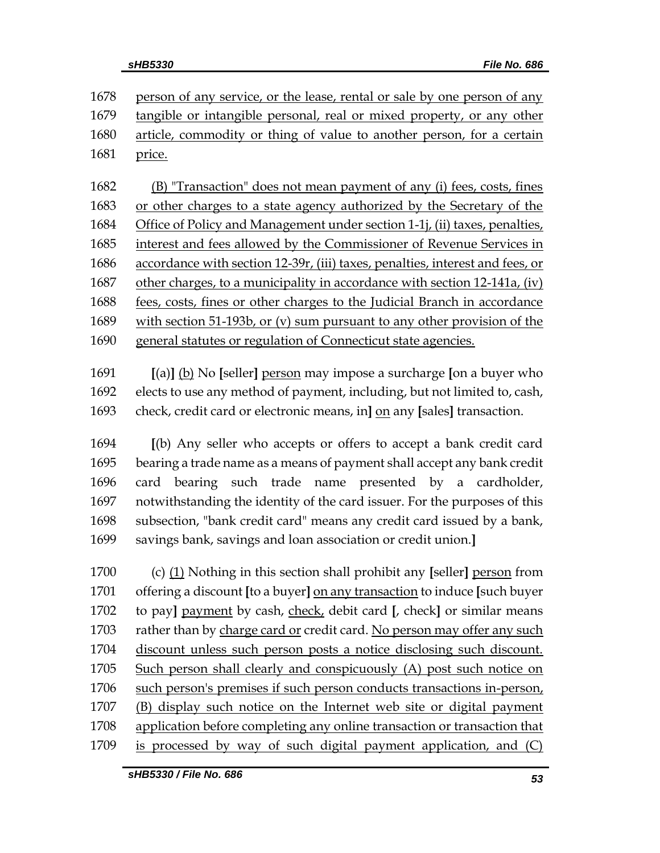1678 person of any service, or the lease, rental or sale by one person of any tangible or intangible personal, real or mixed property, or any other article, commodity or thing of value to another person, for a certain price.

 (B) "Transaction" does not mean payment of any (i) fees, costs, fines or other charges to a state agency authorized by the Secretary of the Office of Policy and Management under section 1-1j, (ii) taxes, penalties, interest and fees allowed by the Commissioner of Revenue Services in accordance with section 12-39r, (iii) taxes, penalties, interest and fees, or other charges, to a municipality in accordance with section 12-141a, (iv) fees, costs, fines or other charges to the Judicial Branch in accordance with section 51-193b, or (v) sum pursuant to any other provision of the general statutes or regulation of Connecticut state agencies.

 **[**(a)**]** (b) No **[**seller**]** person may impose a surcharge **[**on a buyer who elects to use any method of payment, including, but not limited to, cash, check, credit card or electronic means, in**]** on any **[**sales**]** transaction.

 **[**(b) Any seller who accepts or offers to accept a bank credit card bearing a trade name as a means of payment shall accept any bank credit card bearing such trade name presented by a cardholder, notwithstanding the identity of the card issuer. For the purposes of this subsection, "bank credit card" means any credit card issued by a bank, savings bank, savings and loan association or credit union.**]**

 (c) (1) Nothing in this section shall prohibit any **[**seller**]** person from offering a discount **[**to a buyer**]** on any transaction to induce **[**such buyer to pay**]** payment by cash, check, debit card **[**, check**]** or similar means rather than by charge card or credit card. No person may offer any such discount unless such person posts a notice disclosing such discount. Such person shall clearly and conspicuously (A) post such notice on such person's premises if such person conducts transactions in-person, (B) display such notice on the Internet web site or digital payment application before completing any online transaction or transaction that is processed by way of such digital payment application, and (C)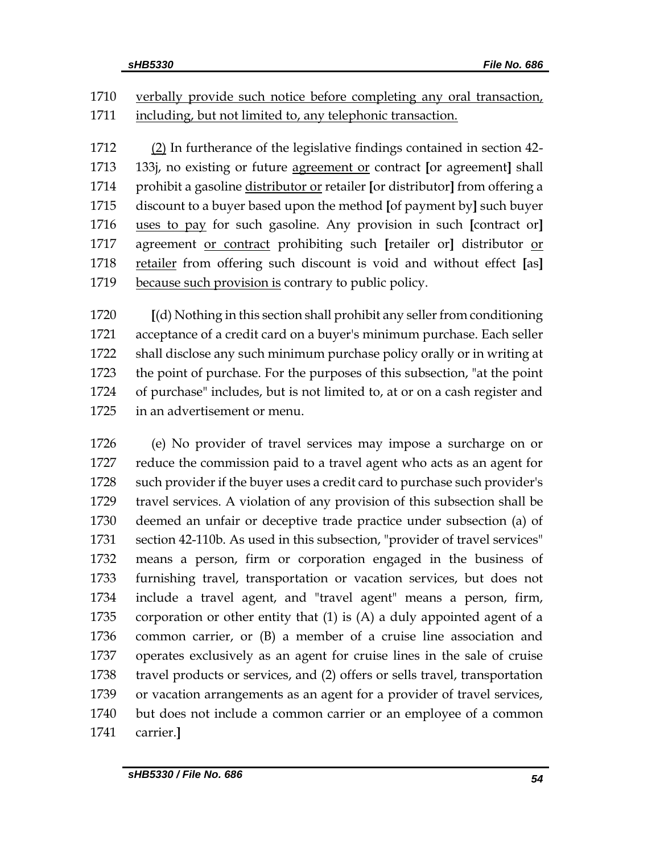1710 verbally provide such notice before completing any oral transaction, 1711 including, but not limited to, any telephonic transaction.

 (2) In furtherance of the legislative findings contained in section 42- 133j, no existing or future agreement or contract **[**or agreement**]** shall prohibit a gasoline distributor or retailer **[**or distributor**]** from offering a discount to a buyer based upon the method **[**of payment by**]** such buyer uses to pay for such gasoline. Any provision in such **[**contract or**]** agreement or contract prohibiting such **[**retailer or**]** distributor or retailer from offering such discount is void and without effect **[**as**]** 1719 because such provision is contrary to public policy.

 **[**(d) Nothing in this section shall prohibit any seller from conditioning acceptance of a credit card on a buyer's minimum purchase. Each seller shall disclose any such minimum purchase policy orally or in writing at the point of purchase. For the purposes of this subsection, "at the point of purchase" includes, but is not limited to, at or on a cash register and in an advertisement or menu.

 (e) No provider of travel services may impose a surcharge on or reduce the commission paid to a travel agent who acts as an agent for such provider if the buyer uses a credit card to purchase such provider's travel services. A violation of any provision of this subsection shall be deemed an unfair or deceptive trade practice under subsection (a) of section 42-110b. As used in this subsection, "provider of travel services" means a person, firm or corporation engaged in the business of furnishing travel, transportation or vacation services, but does not include a travel agent, and "travel agent" means a person, firm, corporation or other entity that (1) is (A) a duly appointed agent of a common carrier, or (B) a member of a cruise line association and operates exclusively as an agent for cruise lines in the sale of cruise travel products or services, and (2) offers or sells travel, transportation or vacation arrangements as an agent for a provider of travel services, but does not include a common carrier or an employee of a common carrier.**]**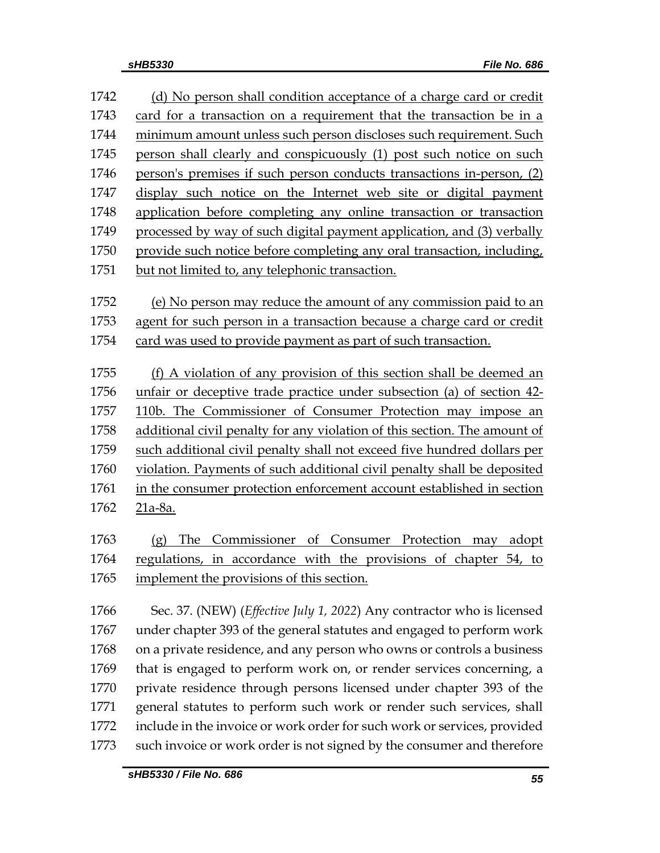| 1742 | (d) No person shall condition acceptance of a charge card or credit       |
|------|---------------------------------------------------------------------------|
| 1743 | card for a transaction on a requirement that the transaction be in a      |
| 1744 | minimum amount unless such person discloses such requirement. Such        |
| 1745 | person shall clearly and conspicuously (1) post such notice on such       |
| 1746 | person's premises if such person conducts transactions in-person, (2)     |
| 1747 | display such notice on the Internet web site or digital payment           |
| 1748 | application before completing any online transaction or transaction       |
| 1749 | processed by way of such digital payment application, and (3) verbally    |
| 1750 | provide such notice before completing any oral transaction, including,    |
| 1751 | but not limited to, any telephonic transaction.                           |
| 1752 | (e) No person may reduce the amount of any commission paid to an          |
| 1753 | agent for such person in a transaction because a charge card or credit    |
| 1754 | card was used to provide payment as part of such transaction.             |
| 1755 | (f) A violation of any provision of this section shall be deemed an       |
| 1756 | unfair or deceptive trade practice under subsection (a) of section 42-    |
| 1757 | 110b. The Commissioner of Consumer Protection may impose an               |
| 1758 | additional civil penalty for any violation of this section. The amount of |
| 1759 | such additional civil penalty shall not exceed five hundred dollars per   |
| 1760 | violation. Payments of such additional civil penalty shall be deposited   |
| 1761 | in the consumer protection enforcement account established in section     |
| 1762 | 21a-8a.                                                                   |
| 1763 | Commissioner<br>of Consumer Protection may<br>The<br>adopt<br>(g)         |
| 1764 | regulations, in accordance with the provisions of chapter 54, to          |
| 1765 | implement the provisions of this section.                                 |
| 1766 | Sec. 37. (NEW) (Effective July 1, 2022) Any contractor who is licensed    |
| 1767 | under chapter 393 of the general statutes and engaged to perform work     |
| 1768 | on a private residence, and any person who owns or controls a business    |
| 1769 | that is engaged to perform work on, or render services concerning, a      |
| 1770 | private residence through persons licensed under chapter 393 of the       |
| 1771 | general statutes to perform such work or render such services, shall      |
| 1772 | include in the invoice or work order for such work or services, provided  |
| 1773 | such invoice or work order is not signed by the consumer and therefore    |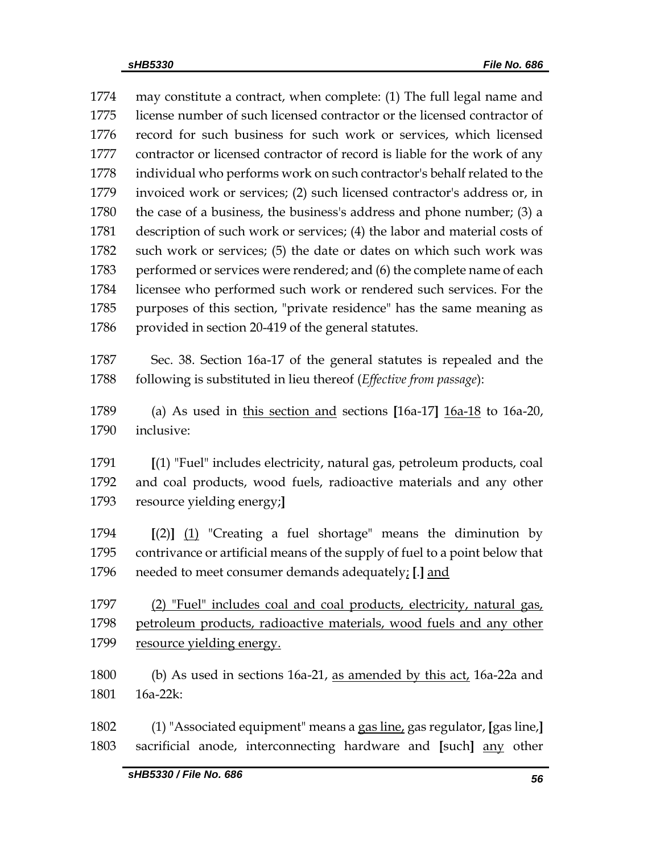may constitute a contract, when complete: (1) The full legal name and license number of such licensed contractor or the licensed contractor of record for such business for such work or services, which licensed contractor or licensed contractor of record is liable for the work of any individual who performs work on such contractor's behalf related to the invoiced work or services; (2) such licensed contractor's address or, in the case of a business, the business's address and phone number; (3) a description of such work or services; (4) the labor and material costs of such work or services; (5) the date or dates on which such work was performed or services were rendered; and (6) the complete name of each licensee who performed such work or rendered such services. For the purposes of this section, "private residence" has the same meaning as 1786 provided in section 20-419 of the general statutes. Sec. 38. Section 16a-17 of the general statutes is repealed and the following is substituted in lieu thereof (*Effective from passage*): (a) As used in this section and sections **[**16a-17**]** 16a-18 to 16a-20, inclusive: **[**(1) "Fuel" includes electricity, natural gas, petroleum products, coal and coal products, wood fuels, radioactive materials and any other resource yielding energy;**] [**(2)**]** (1) "Creating a fuel shortage" means the diminution by contrivance or artificial means of the supply of fuel to a point below that needed to meet consumer demands adequately; **[**.**]** and (2) "Fuel" includes coal and coal products, electricity, natural gas, petroleum products, radioactive materials, wood fuels and any other resource yielding energy. (b) As used in sections 16a-21, as amended by this act, 16a-22a and 16a-22k: (1) "Associated equipment" means a gas line, gas regulator, **[**gas line,**]** sacrificial anode, interconnecting hardware and **[**such**]** any other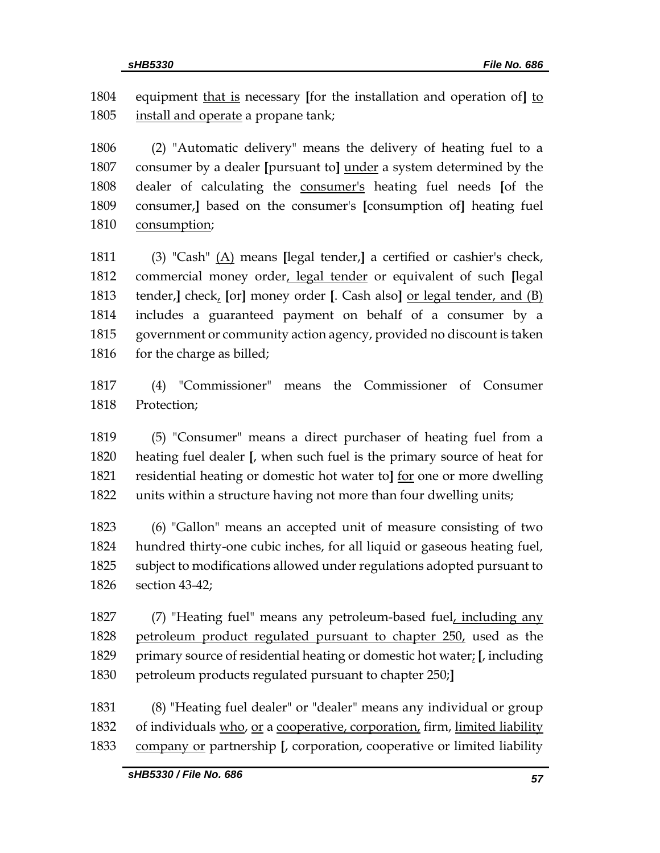equipment that is necessary **[**for the installation and operation of**]** to install and operate a propane tank;

 (2) "Automatic delivery" means the delivery of heating fuel to a consumer by a dealer **[**pursuant to**]** under a system determined by the dealer of calculating the consumer's heating fuel needs **[**of the consumer,**]** based on the consumer's **[**consumption of**]** heating fuel consumption;

 (3) "Cash" (A) means **[**legal tender,**]** a certified or cashier's check, commercial money order, legal tender or equivalent of such **[**legal tender,**]** check, **[**or**]** money order **[**. Cash also**]** or legal tender, and (B) includes a guaranteed payment on behalf of a consumer by a government or community action agency, provided no discount is taken 1816 for the charge as billed;

 (4) "Commissioner" means the Commissioner of Consumer Protection;

 (5) "Consumer" means a direct purchaser of heating fuel from a heating fuel dealer **[**, when such fuel is the primary source of heat for residential heating or domestic hot water to**]** for one or more dwelling units within a structure having not more than four dwelling units;

 (6) "Gallon" means an accepted unit of measure consisting of two hundred thirty-one cubic inches, for all liquid or gaseous heating fuel, subject to modifications allowed under regulations adopted pursuant to section 43-42;

 (7) "Heating fuel" means any petroleum-based fuel, including any petroleum product regulated pursuant to chapter 250, used as the primary source of residential heating or domestic hot water; **[**, including petroleum products regulated pursuant to chapter 250;**]**

 (8) "Heating fuel dealer" or "dealer" means any individual or group 1832 of individuals who, or a cooperative, corporation, firm, limited liability company or partnership **[**, corporation, cooperative or limited liability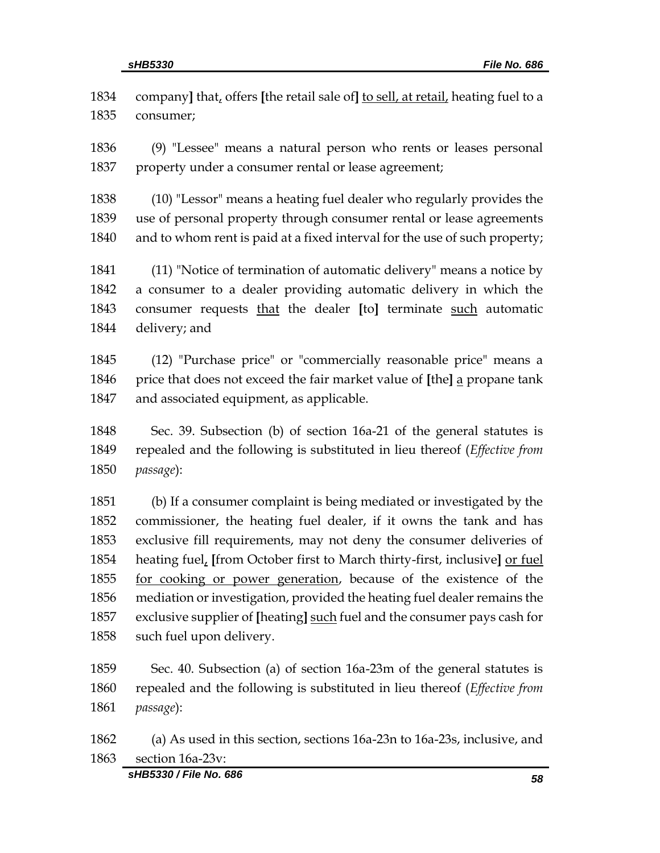company**]** that, offers **[**the retail sale of**]** to sell, at retail, heating fuel to a consumer; (9) "Lessee" means a natural person who rents or leases personal property under a consumer rental or lease agreement; (10) "Lessor" means a heating fuel dealer who regularly provides the use of personal property through consumer rental or lease agreements and to whom rent is paid at a fixed interval for the use of such property; (11) "Notice of termination of automatic delivery" means a notice by a consumer to a dealer providing automatic delivery in which the consumer requests that the dealer **[**to**]** terminate such automatic delivery; and (12) "Purchase price" or "commercially reasonable price" means a price that does not exceed the fair market value of **[**the**]** a propane tank and associated equipment, as applicable. Sec. 39. Subsection (b) of section 16a-21 of the general statutes is repealed and the following is substituted in lieu thereof (*Effective from passage*):

 (b) If a consumer complaint is being mediated or investigated by the commissioner, the heating fuel dealer, if it owns the tank and has exclusive fill requirements, may not deny the consumer deliveries of heating fuel, **[**from October first to March thirty-first, inclusive**]** or fuel for cooking or power generation, because of the existence of the mediation or investigation, provided the heating fuel dealer remains the exclusive supplier of **[**heating**]** such fuel and the consumer pays cash for such fuel upon delivery.

 Sec. 40. Subsection (a) of section 16a-23m of the general statutes is repealed and the following is substituted in lieu thereof (*Effective from passage*):

 (a) As used in this section, sections 16a-23n to 16a-23s, inclusive, and section 16a-23v: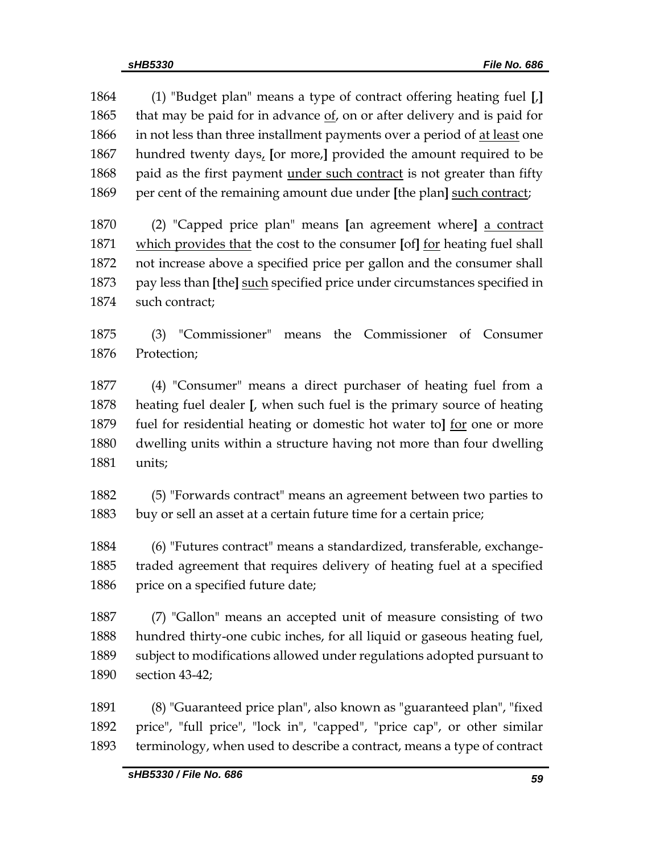(1) "Budget plan" means a type of contract offering heating fuel **[**,**]** 1865 that may be paid for in advance  $of$ , on or after delivery and is paid for 1866 in not less than three installment payments over a period of at least one hundred twenty days, **[**or more,**]** provided the amount required to be paid as the first payment under such contract is not greater than fifty per cent of the remaining amount due under **[**the plan**]** such contract;

 (2) "Capped price plan" means **[**an agreement where**]** a contract which provides that the cost to the consumer **[**of**]** for heating fuel shall not increase above a specified price per gallon and the consumer shall pay less than **[**the**]** such specified price under circumstances specified in such contract;

 (3) "Commissioner" means the Commissioner of Consumer Protection;

 (4) "Consumer" means a direct purchaser of heating fuel from a heating fuel dealer **[**, when such fuel is the primary source of heating fuel for residential heating or domestic hot water to**]** for one or more dwelling units within a structure having not more than four dwelling units;

 (5) "Forwards contract" means an agreement between two parties to buy or sell an asset at a certain future time for a certain price;

 (6) "Futures contract" means a standardized, transferable, exchange- traded agreement that requires delivery of heating fuel at a specified 1886 price on a specified future date;

 (7) "Gallon" means an accepted unit of measure consisting of two hundred thirty-one cubic inches, for all liquid or gaseous heating fuel, subject to modifications allowed under regulations adopted pursuant to section 43-42;

 (8) "Guaranteed price plan", also known as "guaranteed plan", "fixed price", "full price", "lock in", "capped", "price cap", or other similar terminology, when used to describe a contract, means a type of contract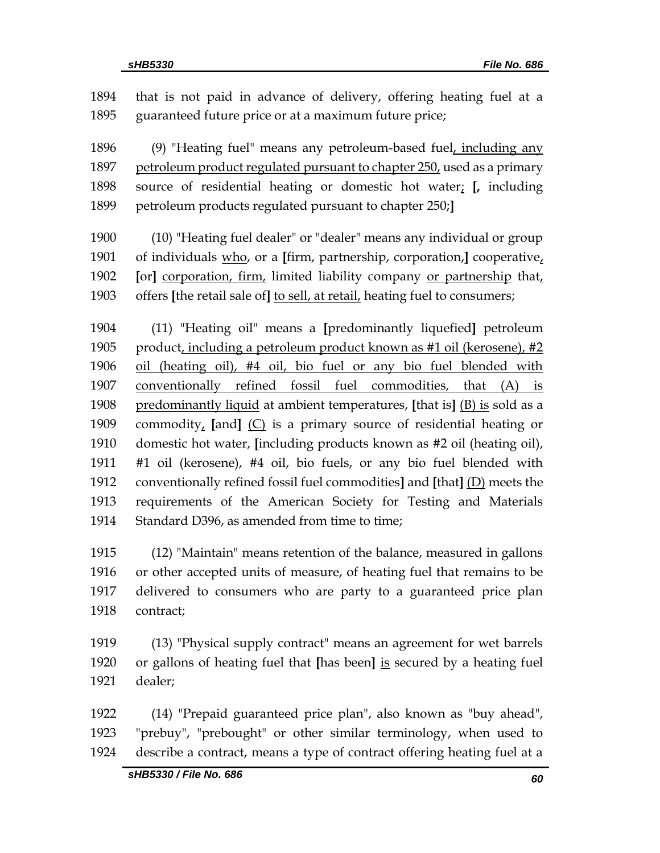that is not paid in advance of delivery, offering heating fuel at a guaranteed future price or at a maximum future price; (9) "Heating fuel" means any petroleum-based fuel, including any petroleum product regulated pursuant to chapter 250, used as a primary source of residential heating or domestic hot water; **[,** including petroleum products regulated pursuant to chapter 250;**]** (10) "Heating fuel dealer" or "dealer" means any individual or group of individuals who, or a **[**firm, partnership, corporation,**]** cooperative, **[**or**]** corporation, firm, limited liability company or partnership that, offers **[**the retail sale of**]** to sell, at retail, heating fuel to consumers; (11) "Heating oil" means a **[**predominantly liquefied**]** petroleum product, including a petroleum product known as #1 oil (kerosene), #2 oil (heating oil), #4 oil, bio fuel or any bio fuel blended with conventionally refined fossil fuel commodities, that (A) is predominantly liquid at ambient temperatures, **[**that is**]** (B) is sold as a commodity, **[**and**]** (C) is a primary source of residential heating or domestic hot water, **[**including products known as #2 oil (heating oil), #1 oil (kerosene), #4 oil, bio fuels, or any bio fuel blended with conventionally refined fossil fuel commodities**]** and **[**that**]** (D) meets the requirements of the American Society for Testing and Materials 1914 Standard D396, as amended from time to time; (12) "Maintain" means retention of the balance, measured in gallons or other accepted units of measure, of heating fuel that remains to be delivered to consumers who are party to a guaranteed price plan contract; (13) "Physical supply contract" means an agreement for wet barrels or gallons of heating fuel that **[**has been**]** is secured by a heating fuel dealer;

 (14) "Prepaid guaranteed price plan", also known as "buy ahead", "prebuy", "prebought" or other similar terminology, when used to describe a contract, means a type of contract offering heating fuel at a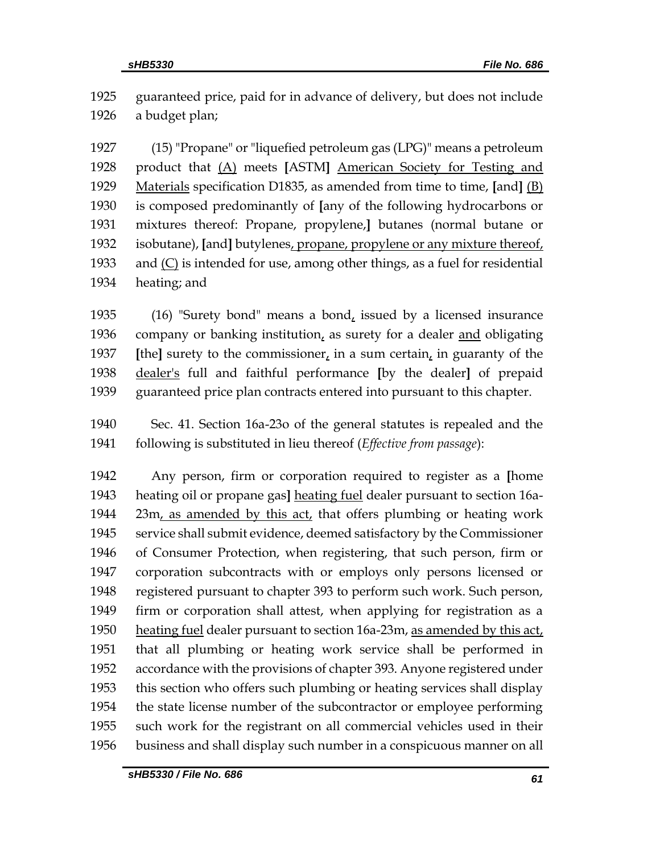guaranteed price, paid for in advance of delivery, but does not include a budget plan;

 (15) "Propane" or "liquefied petroleum gas (LPG)" means a petroleum product that (A) meets **[**ASTM**]** American Society for Testing and Materials specification D1835, as amended from time to time, **[**and**]** (B) is composed predominantly of **[**any of the following hydrocarbons or mixtures thereof: Propane, propylene,**]** butanes (normal butane or isobutane), **[**and**]** butylenes, propane, propylene or any mixture thereof, and (C) is intended for use, among other things, as a fuel for residential heating; and

 (16) "Surety bond" means a bond, issued by a licensed insurance company or banking institution, as surety for a dealer and obligating **[the]** surety to the commissioner, in a sum certain, in guaranty of the dealer's full and faithful performance **[**by the dealer**]** of prepaid guaranteed price plan contracts entered into pursuant to this chapter.

 Sec. 41. Section 16a-23o of the general statutes is repealed and the following is substituted in lieu thereof (*Effective from passage*):

 Any person, firm or corporation required to register as a **[**home heating oil or propane gas**]** heating fuel dealer pursuant to section 16a-1944 23m, as amended by this act, that offers plumbing or heating work service shall submit evidence, deemed satisfactory by the Commissioner of Consumer Protection, when registering, that such person, firm or corporation subcontracts with or employs only persons licensed or registered pursuant to chapter 393 to perform such work. Such person, firm or corporation shall attest, when applying for registration as a heating fuel dealer pursuant to section 16a-23m, as amended by this act, that all plumbing or heating work service shall be performed in accordance with the provisions of chapter 393. Anyone registered under this section who offers such plumbing or heating services shall display the state license number of the subcontractor or employee performing such work for the registrant on all commercial vehicles used in their business and shall display such number in a conspicuous manner on all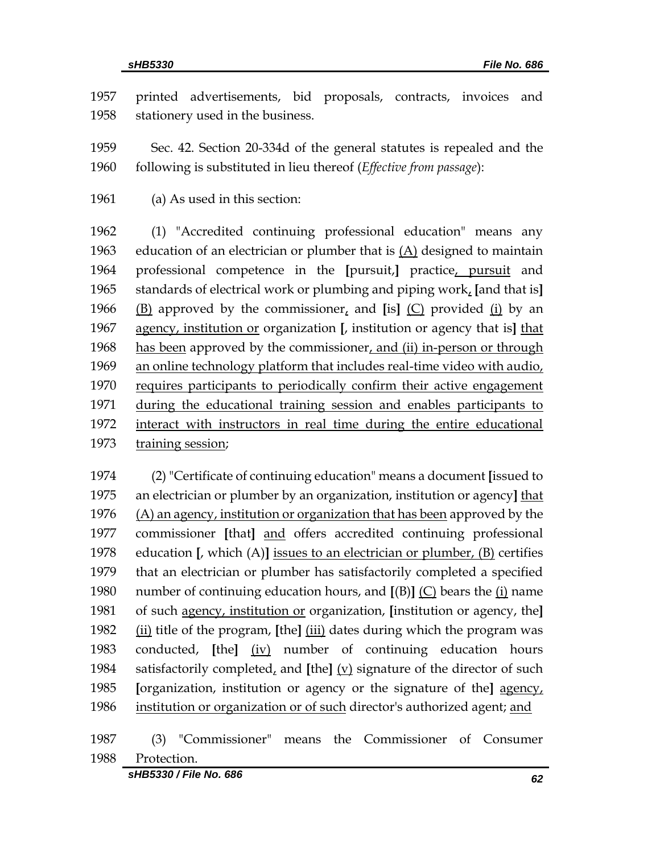printed advertisements, bid proposals, contracts, invoices and stationery used in the business.

 Sec. 42. Section 20-334d of the general statutes is repealed and the following is substituted in lieu thereof (*Effective from passage*):

(a) As used in this section:

 (1) "Accredited continuing professional education" means any education of an electrician or plumber that is (A) designed to maintain professional competence in the **[**pursuit,**]** practice, pursuit and standards of electrical work or plumbing and piping work, **[**and that is**]** (B) approved by the commissioner, and **[**is**]** (C) provided (i) by an agency, institution or organization **[**, institution or agency that is**]** that has been approved by the commissioner, and (ii) in-person or through 1969 an online technology platform that includes real-time video with audio, requires participants to periodically confirm their active engagement during the educational training session and enables participants to interact with instructors in real time during the entire educational 1973 training session;

 (2) "Certificate of continuing education" means a document **[**issued to an electrician or plumber by an organization, institution or agency**]** that 1976 (A) an agency, institution or organization that has been approved by the commissioner **[**that**]** and offers accredited continuing professional education **[**, which (A)**]** issues to an electrician or plumber, (B) certifies that an electrician or plumber has satisfactorily completed a specified number of continuing education hours, and **[**(B)**]** (C) bears the (i) name of such agency, institution or organization, **[**institution or agency, the**]** (ii) title of the program, **[**the**]** (iii) dates during which the program was conducted, **[**the**]** (iv) number of continuing education hours satisfactorily completed, and **[**the**]** (v) signature of the director of such **[**organization, institution or agency or the signature of the**]** agency, 1986 institution or organization or of such director's authorized agent; and

 (3) "Commissioner" means the Commissioner of Consumer Protection.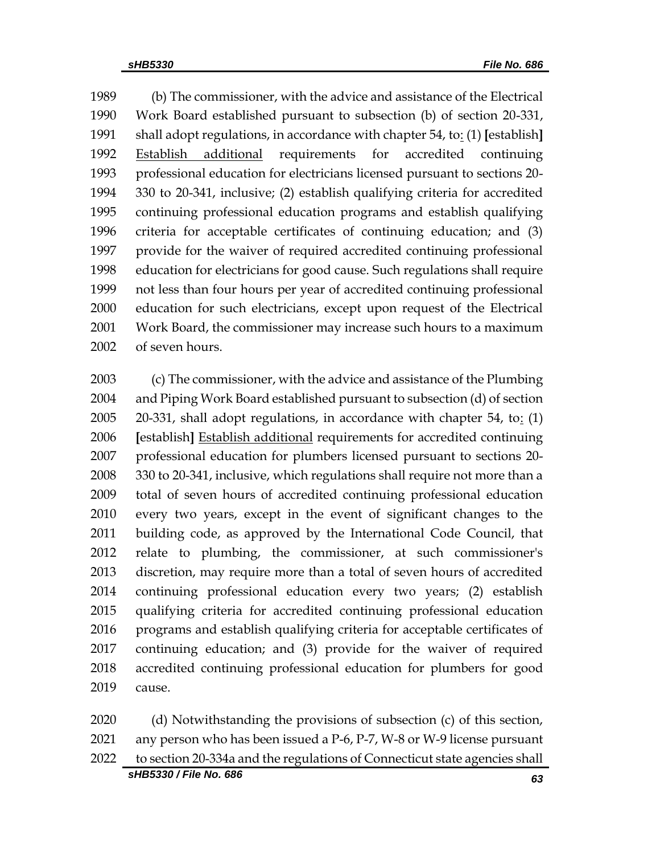(b) The commissioner, with the advice and assistance of the Electrical Work Board established pursuant to subsection (b) of section 20-331, shall adopt regulations, in accordance with chapter 54, to: (1) **[**establish**]** Establish additional requirements for accredited continuing professional education for electricians licensed pursuant to sections 20- 330 to 20-341, inclusive; (2) establish qualifying criteria for accredited continuing professional education programs and establish qualifying criteria for acceptable certificates of continuing education; and (3) provide for the waiver of required accredited continuing professional education for electricians for good cause. Such regulations shall require not less than four hours per year of accredited continuing professional education for such electricians, except upon request of the Electrical Work Board, the commissioner may increase such hours to a maximum of seven hours.

 (c) The commissioner, with the advice and assistance of the Plumbing and Piping Work Board established pursuant to subsection (d) of section 2005 20-331, shall adopt regulations, in accordance with chapter 54, to:  $(1)$  **[**establish**]** Establish additional requirements for accredited continuing professional education for plumbers licensed pursuant to sections 20- 330 to 20-341, inclusive, which regulations shall require not more than a total of seven hours of accredited continuing professional education every two years, except in the event of significant changes to the building code, as approved by the International Code Council, that relate to plumbing, the commissioner, at such commissioner's discretion, may require more than a total of seven hours of accredited continuing professional education every two years; (2) establish qualifying criteria for accredited continuing professional education programs and establish qualifying criteria for acceptable certificates of continuing education; and (3) provide for the waiver of required accredited continuing professional education for plumbers for good cause.

*sHB5330 / File No. 686 63* (d) Notwithstanding the provisions of subsection (c) of this section, any person who has been issued a P-6, P-7, W-8 or W-9 license pursuant to section 20-334a and the regulations of Connecticut state agencies shall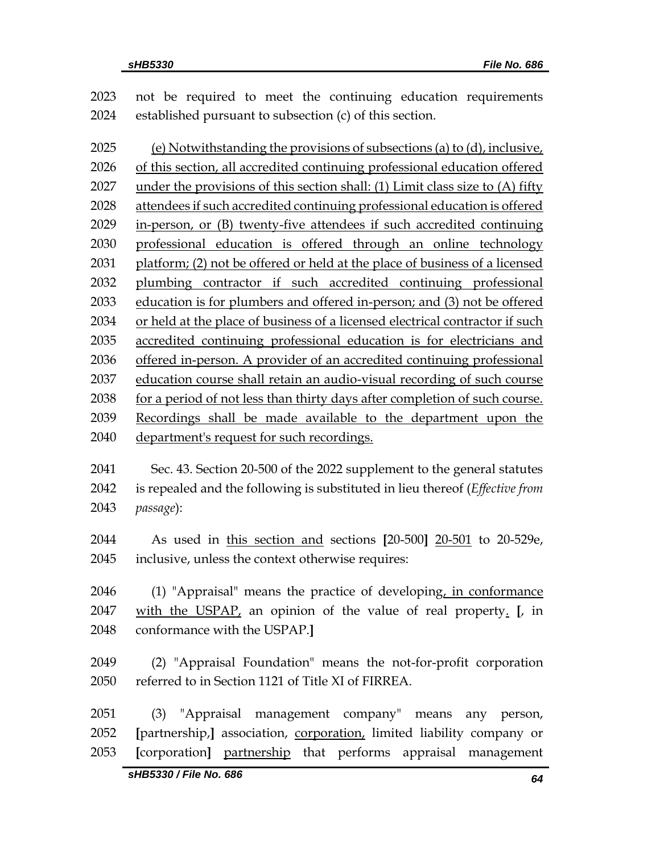| 2023 | not be required to meet the continuing education requirements                 |
|------|-------------------------------------------------------------------------------|
| 2024 | established pursuant to subsection (c) of this section.                       |
| 2025 | (e) Notwithstanding the provisions of subsections (a) to (d), inclusive,      |
| 2026 | of this section, all accredited continuing professional education offered     |
| 2027 | under the provisions of this section shall: (1) Limit class size to (A) fifty |
| 2028 | attendees if such accredited continuing professional education is offered     |
| 2029 | in-person, or (B) twenty-five attendees if such accredited continuing         |
| 2030 | professional education is offered through an online technology                |
| 2031 | platform; (2) not be offered or held at the place of business of a licensed   |
| 2032 | plumbing contractor if such accredited continuing professional                |
| 2033 | education is for plumbers and offered in-person; and (3) not be offered       |
| 2034 | or held at the place of business of a licensed electrical contractor if such  |
| 2035 | accredited continuing professional education is for electricians and          |
| 2036 | offered in-person. A provider of an accredited continuing professional        |
| 2037 | education course shall retain an audio-visual recording of such course        |
| 2038 | for a period of not less than thirty days after completion of such course.    |
| 2039 | Recordings shall be made available to the department upon the                 |
| 2040 | department's request for such recordings.                                     |
| 2041 | Sec. 43. Section 20-500 of the 2022 supplement to the general statutes        |
| 2042 | is repealed and the following is substituted in lieu thereof (Effective from  |
| 2043 | passage):                                                                     |
| 2044 | As used in this section and sections [20-500] 20-501 to 20-529e,              |
| 2045 | inclusive, unless the context otherwise requires:                             |
| 2046 | (1) "Appraisal" means the practice of developing, in conformance              |
| 2047 | with the USPAP, an opinion of the value of real property. $\left[ \right]$ in |
| 2048 | conformance with the USPAP.]                                                  |
| 2049 | (2) "Appraisal Foundation" means the not-for-profit corporation               |
| 2050 | referred to in Section 1121 of Title XI of FIRREA.                            |
| 2051 | (3) "Appraisal management company" means<br>any person,                       |
| 2052 | [partnership,] association, corporation, limited liability company or         |
| 2053 | [corporation] partnership that performs appraisal management                  |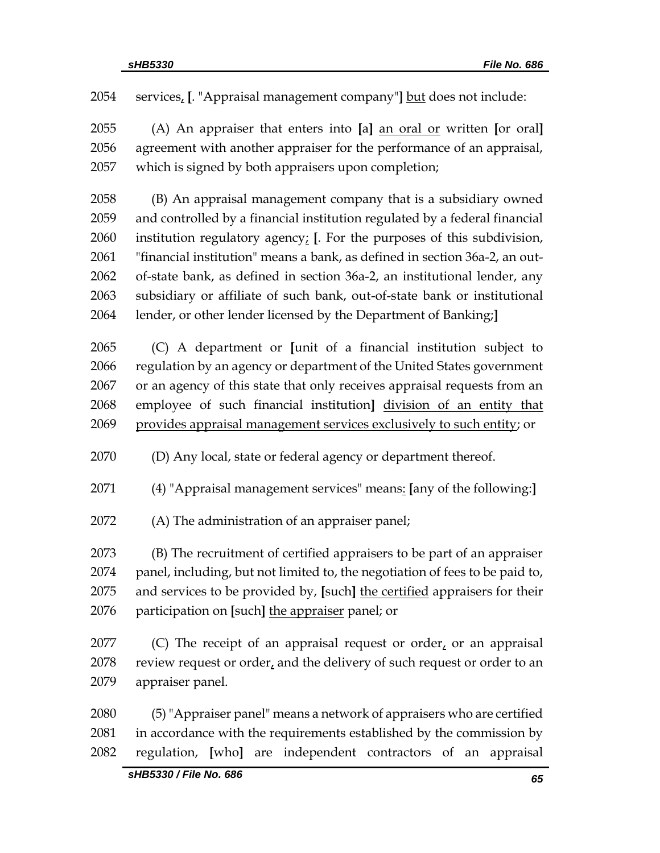services, **[**. "Appraisal management company"**]** but does not include:

 (A) An appraiser that enters into **[**a**]** an oral or written **[**or oral**]** agreement with another appraiser for the performance of an appraisal, which is signed by both appraisers upon completion;

 (B) An appraisal management company that is a subsidiary owned and controlled by a financial institution regulated by a federal financial institution regulatory agency; **[**. For the purposes of this subdivision, "financial institution" means a bank, as defined in section 36a-2, an out- of-state bank, as defined in section 36a-2, an institutional lender, any subsidiary or affiliate of such bank, out-of-state bank or institutional lender, or other lender licensed by the Department of Banking;**]**

 (C) A department or **[**unit of a financial institution subject to regulation by an agency or department of the United States government or an agency of this state that only receives appraisal requests from an employee of such financial institution**]** division of an entity that provides appraisal management services exclusively to such entity; or

(D) Any local, state or federal agency or department thereof.

(4) "Appraisal management services" means: **[**any of the following:**]**

(A) The administration of an appraiser panel;

 (B) The recruitment of certified appraisers to be part of an appraiser panel, including, but not limited to, the negotiation of fees to be paid to, and services to be provided by, **[**such**]** the certified appraisers for their participation on **[**such**]** the appraiser panel; or

2077 (C) The receipt of an appraisal request or order, or an appraisal 2078 review request or order, and the delivery of such request or order to an appraiser panel.

 (5)"Appraiser panel" means a network of appraisers who are certified 2081 in accordance with the requirements established by the commission by regulation, **[**who**]** are independent contractors of an appraisal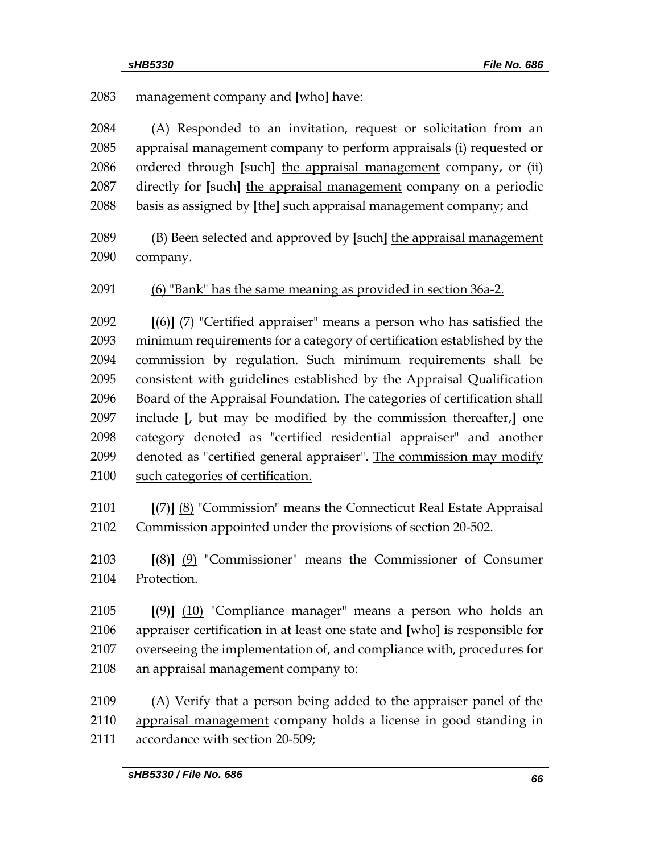management company and **[**who**]** have:

 (A) Responded to an invitation, request or solicitation from an appraisal management company to perform appraisals (i) requested or ordered through **[**such**]** the appraisal management company, or (ii) directly for **[**such**]** the appraisal management company on a periodic basis as assigned by **[**the**]** such appraisal management company; and

 (B) Been selected and approved by **[**such**]** the appraisal management company.

(6) "Bank" has the same meaning as provided in section 36a-2.

 **[**(6)**]** (7) "Certified appraiser" means a person who has satisfied the minimum requirements for a category of certification established by the commission by regulation. Such minimum requirements shall be consistent with guidelines established by the Appraisal Qualification Board of the Appraisal Foundation. The categories of certification shall include **[**, but may be modified by the commission thereafter,**]** one category denoted as "certified residential appraiser" and another denoted as "certified general appraiser". The commission may modify such categories of certification.

 **[**(7)**]** (8) "Commission" means the Connecticut Real Estate Appraisal Commission appointed under the provisions of section 20-502.

 **[**(8)**]** (9) "Commissioner" means the Commissioner of Consumer Protection.

 **[**(9)**]** (10) "Compliance manager" means a person who holds an appraiser certification in at least one state and **[**who**]** is responsible for overseeing the implementation of, and compliance with, procedures for an appraisal management company to:

 (A) Verify that a person being added to the appraiser panel of the appraisal management company holds a license in good standing in accordance with section 20-509;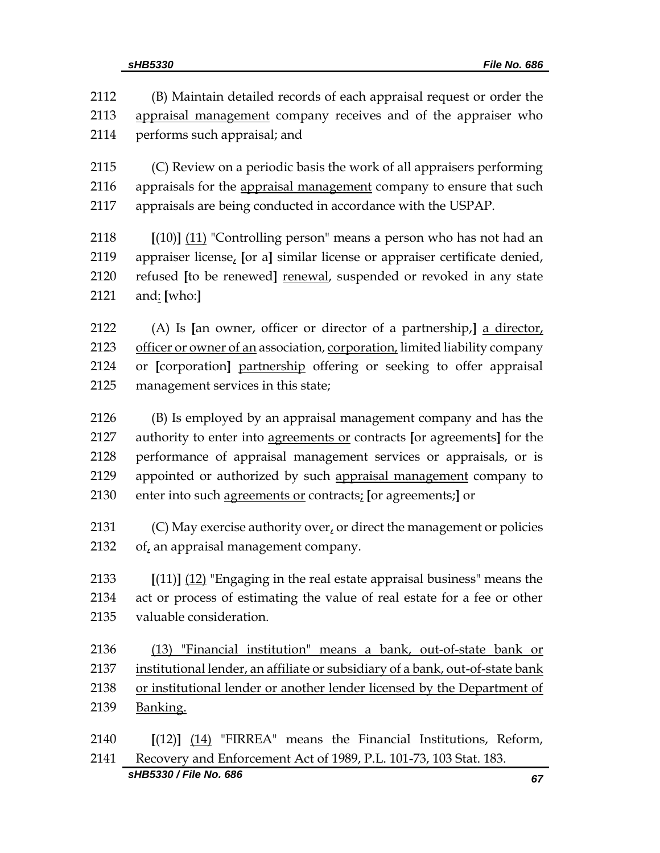| 2112 | (B) Maintain detailed records of each appraisal request or order the          |
|------|-------------------------------------------------------------------------------|
| 2113 | appraisal management company receives and of the appraiser who                |
| 2114 | performs such appraisal; and                                                  |
| 2115 | (C) Review on a periodic basis the work of all appraisers performing          |
| 2116 | appraisals for the appraisal management company to ensure that such           |
| 2117 | appraisals are being conducted in accordance with the USPAP.                  |
| 2118 | $[(10)]$ (11) "Controlling person" means a person who has not had an          |
| 2119 | appraiser license, [or a] similar license or appraiser certificate denied,    |
| 2120 | refused [to be renewed] renewal, suspended or revoked in any state            |
| 2121 | and: [who:]                                                                   |
| 2122 | (A) Is [an owner, officer or director of a partnership,] a director,          |
| 2123 | officer or owner of an association, corporation, limited liability company    |
| 2124 | or [corporation] partnership offering or seeking to offer appraisal           |
| 2125 | management services in this state;                                            |
| 2126 | (B) Is employed by an appraisal management company and has the                |
| 2127 | authority to enter into agreements or contracts [or agreements] for the       |
| 2128 | performance of appraisal management services or appraisals, or is             |
| 2129 | appointed or authorized by such appraisal management company to               |
| 2130 | enter into such agreements or contracts; [or agreements;] or                  |
| 2131 | (C) May exercise authority over, or direct the management or policies         |
| 2132 | of, an appraisal management company.                                          |
| 2133 | $[(11)]$ $(12)$ "Engaging in the real estate appraisal business" means the    |
| 2134 | act or process of estimating the value of real estate for a fee or other      |
| 2135 | valuable consideration.                                                       |
| 2136 | (13) "Financial institution" means a bank, out-of-state bank or               |
| 2137 | institutional lender, an affiliate or subsidiary of a bank, out-of-state bank |
| 2138 | or institutional lender or another lender licensed by the Department of       |
| 2139 | Banking.                                                                      |
| 2140 | $[(12)]$ $(14)$ "FIRREA" means the Financial Institutions, Reform,            |
| 2141 | Recovery and Enforcement Act of 1989, P.L. 101-73, 103 Stat. 183.             |

*sHB5330 / File No. 686 67*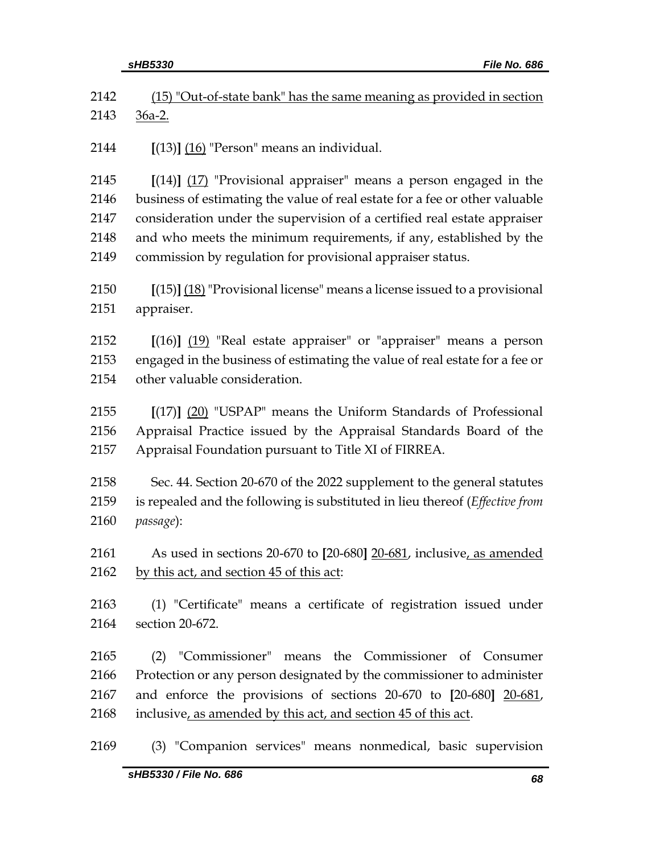|              | sHB5330<br>File No. 686                                                                                                                              |
|--------------|------------------------------------------------------------------------------------------------------------------------------------------------------|
| 2142         | (15) "Out-of-state bank" has the same meaning as provided in section                                                                                 |
| 2143         | <u>36a-2.</u>                                                                                                                                        |
| 2144         | $[(13)]$ $(16)$ "Person" means an individual.                                                                                                        |
| 2145         | $[(14)]$ $(17)$ "Provisional appraiser" means a person engaged in the                                                                                |
| 2146         | business of estimating the value of real estate for a fee or other valuable                                                                          |
| 2147         | consideration under the supervision of a certified real estate appraiser                                                                             |
| 2148         | and who meets the minimum requirements, if any, established by the                                                                                   |
| 2149         | commission by regulation for provisional appraiser status.                                                                                           |
| 2150<br>2151 | $[(15)]$ $(18)$ "Provisional license" means a license issued to a provisional<br>appraiser.                                                          |
| 2152         |                                                                                                                                                      |
| 2153         | $[(16)]$ $(19)$ "Real estate appraiser" or "appraiser" means a person<br>engaged in the business of estimating the value of real estate for a fee or |
| 2154         | other valuable consideration.                                                                                                                        |
|              |                                                                                                                                                      |
| 2155         | $[(17)]$ $(20)$ "USPAP" means the Uniform Standards of Professional                                                                                  |
| 2156         | Appraisal Practice issued by the Appraisal Standards Board of the                                                                                    |
| 2157         | Appraisal Foundation pursuant to Title XI of FIRREA.                                                                                                 |
| 2158         | Sec. 44. Section 20-670 of the 2022 supplement to the general statutes                                                                               |
| 2159         | is repealed and the following is substituted in lieu thereof ( <i>Effective from</i>                                                                 |
| 2160         | passage):                                                                                                                                            |
|              |                                                                                                                                                      |
| 2161         | As used in sections 20-670 to [20-680] 20-681, inclusive, as amended                                                                                 |
| 2162         | by this act, and section 45 of this act:                                                                                                             |
| 2163         | (1) "Certificate" means a certificate of registration issued under                                                                                   |
| 2164         | section 20-672.                                                                                                                                      |
| 2165         | (2) "Commissioner" means the Commissioner of Consumer                                                                                                |
| 2166         | Protection or any person designated by the commissioner to administer                                                                                |
| 2167         | and enforce the provisions of sections 20-670 to [20-680] 20-681,                                                                                    |
| 2168         | inclusive, as amended by this act, and section 45 of this act.                                                                                       |
| 2169         | (3) "Companion services" means nonmedical, basic supervision                                                                                         |
|              | sHB5330 / File No. 686<br>68                                                                                                                         |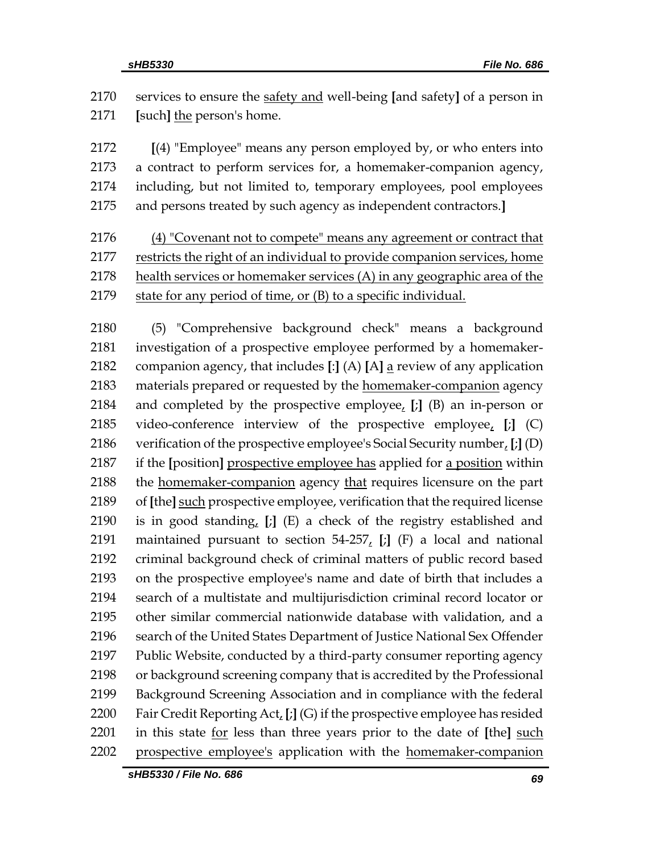services to ensure the safety and well-being **[**and safety**]** of a person in **[**such**]** the person's home.

 **[**(4) "Employee" means any person employed by, or who enters into a contract to perform services for, a homemaker-companion agency, including, but not limited to, temporary employees, pool employees and persons treated by such agency as independent contractors.**]**

 (4) "Covenant not to compete" means any agreement or contract that restricts the right of an individual to provide companion services, home health services or homemaker services (A) in any geographic area of the state for any period of time, or (B) to a specific individual.

 (5) "Comprehensive background check" means a background investigation of a prospective employee performed by a homemaker- companion agency, that includes **[**:**]** (A) **[**A**]** a review of any application materials prepared or requested by the homemaker-companion agency and completed by the prospective employee, **[**;**]** (B) an in-person or video-conference interview of the prospective employee, **[**;**]** (C) verification of the prospective employee's Social Security number, **[**;**]** (D) if the **[**position**]** prospective employee has applied for a position within the homemaker-companion agency that requires licensure on the part of **[**the**]** such prospective employee, verification that the required license is in good standing, **[**;**]** (E) a check of the registry established and maintained pursuant to section 54-257, **[**;**]** (F) a local and national criminal background check of criminal matters of public record based on the prospective employee's name and date of birth that includes a search of a multistate and multijurisdiction criminal record locator or other similar commercial nationwide database with validation, and a search of the United States Department of Justice National Sex Offender Public Website, conducted by a third-party consumer reporting agency or background screening company that is accredited by the Professional Background Screening Association and in compliance with the federal Fair Credit Reporting Act, **[**;**]** (G) if the prospective employee has resided in this state for less than three years prior to the date of **[**the**]** such prospective employee's application with the homemaker-companion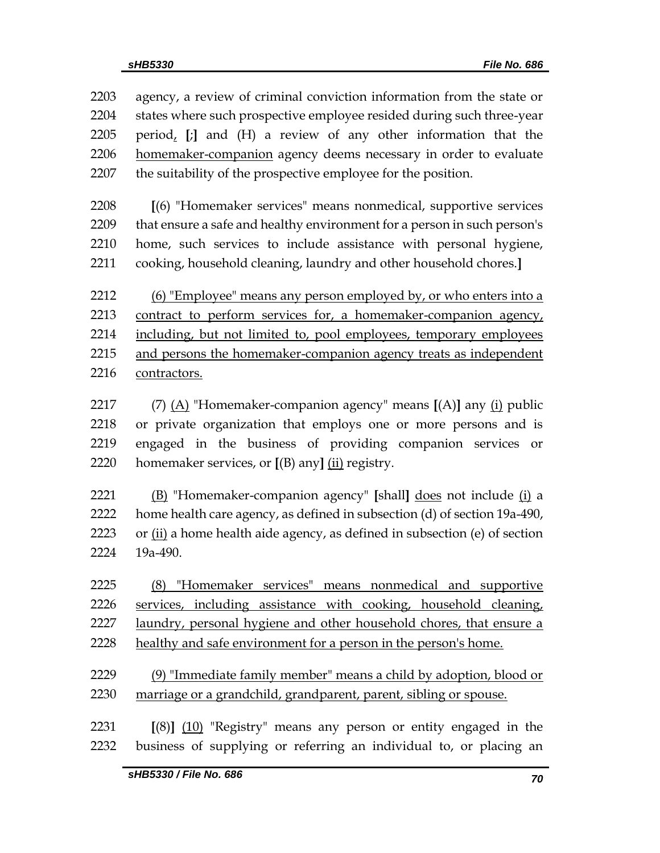| 2203 | agency, a review of criminal conviction information from the state or      |
|------|----------------------------------------------------------------------------|
| 2204 | states where such prospective employee resided during such three-year      |
| 2205 | period, [;] and (H) a review of any other information that the             |
| 2206 | homemaker-companion agency deems necessary in order to evaluate            |
| 2207 | the suitability of the prospective employee for the position.              |
| 2208 | [(6) "Homemaker services" means nonmedical, supportive services            |
| 2209 | that ensure a safe and healthy environment for a person in such person's   |
| 2210 | home, such services to include assistance with personal hygiene,           |
| 2211 | cooking, household cleaning, laundry and other household chores.]          |
| 2212 | (6) "Employee" means any person employed by, or who enters into a          |
| 2213 | contract to perform services for, a homemaker-companion agency,            |
| 2214 | including, but not limited to, pool employees, temporary employees         |
| 2215 | and persons the homemaker-companion agency treats as independent           |
| 2216 | contractors.                                                               |
| 2217 | (7) $(A)$ "Homemaker-companion agency" means $[(A)]$ any $(i)$ public      |
| 2218 | or private organization that employs one or more persons and is            |
| 2219 | engaged in the business of providing companion services<br>or              |
| 2220 | homemaker services, or $[(B)$ any] $(i)$ registry.                         |
| 2221 | (B) "Homemaker-companion agency" [shall] does not include (i) a            |
| 2222 | home health care agency, as defined in subsection (d) of section 19a-490,  |
| 2223 | or (ii) a home health aide agency, as defined in subsection (e) of section |
| 2224 | 19a-490.                                                                   |
| 2225 | (8) "Homemaker services" means nonmedical and supportive                   |
| 2226 | services, including assistance with cooking, household cleaning,           |
| 2227 | laundry, personal hygiene and other household chores, that ensure a        |
| 2228 | healthy and safe environment for a person in the person's home.            |
| 2229 | (9) "Immediate family member" means a child by adoption, blood or          |
| 2230 | marriage or a grandchild, grandparent, parent, sibling or spouse.          |
| 2231 | $[(8)]$ (10) "Registry" means any person or entity engaged in the          |
| 2232 | business of supplying or referring an individual to, or placing an         |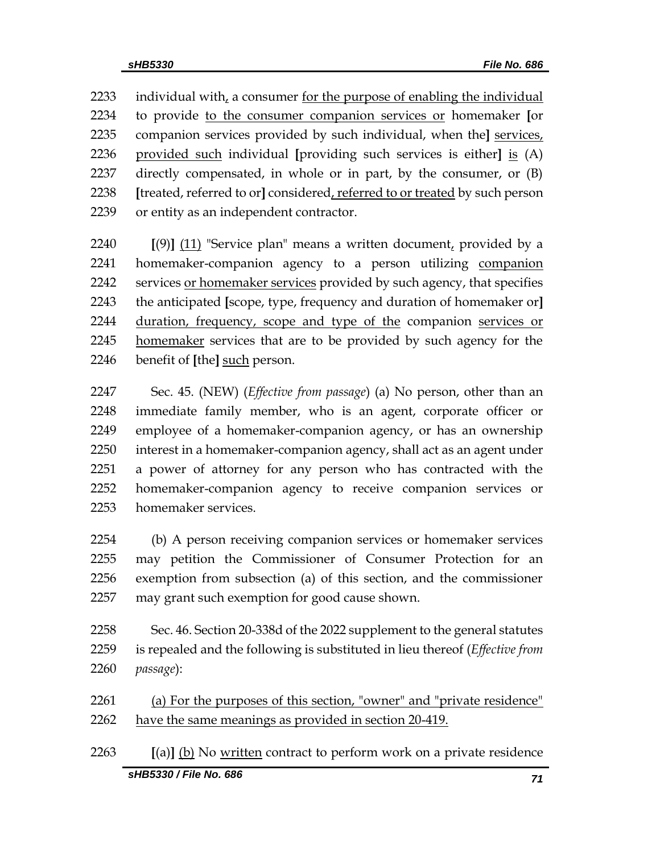2233 individual with, a consumer for the purpose of enabling the individual to provide to the consumer companion services or homemaker **[**or companion services provided by such individual, when the**]** services, provided such individual **[**providing such services is either**]** is (A) directly compensated, in whole or in part, by the consumer, or (B) **[**treated, referred to or**]** considered, referred to or treated by such person or entity as an independent contractor.

 **[**(9)**]** (11) "Service plan" means a written document, provided by a homemaker-companion agency to a person utilizing companion 2242 services or homemaker services provided by such agency, that specifies the anticipated **[**scope, type, frequency and duration of homemaker or**]** duration, frequency, scope and type of the companion services or 2245 homemaker services that are to be provided by such agency for the benefit of **[**the**]** such person.

 Sec. 45. (NEW) (*Effective from passage*) (a) No person, other than an immediate family member, who is an agent, corporate officer or employee of a homemaker-companion agency, or has an ownership interest in a homemaker-companion agency, shall act as an agent under a power of attorney for any person who has contracted with the homemaker-companion agency to receive companion services or homemaker services.

 (b) A person receiving companion services or homemaker services may petition the Commissioner of Consumer Protection for an exemption from subsection (a) of this section, and the commissioner may grant such exemption for good cause shown.

 Sec. 46. Section 20-338d of the 2022 supplement to the general statutes is repealed and the following is substituted in lieu thereof (*Effective from passage*):

 (a) For the purposes of this section, "owner" and "private residence" have the same meanings as provided in section 20-419.

*sHB5330 / File No. 686 71* **[**(a)**]** (b) No written contract to perform work on a private residence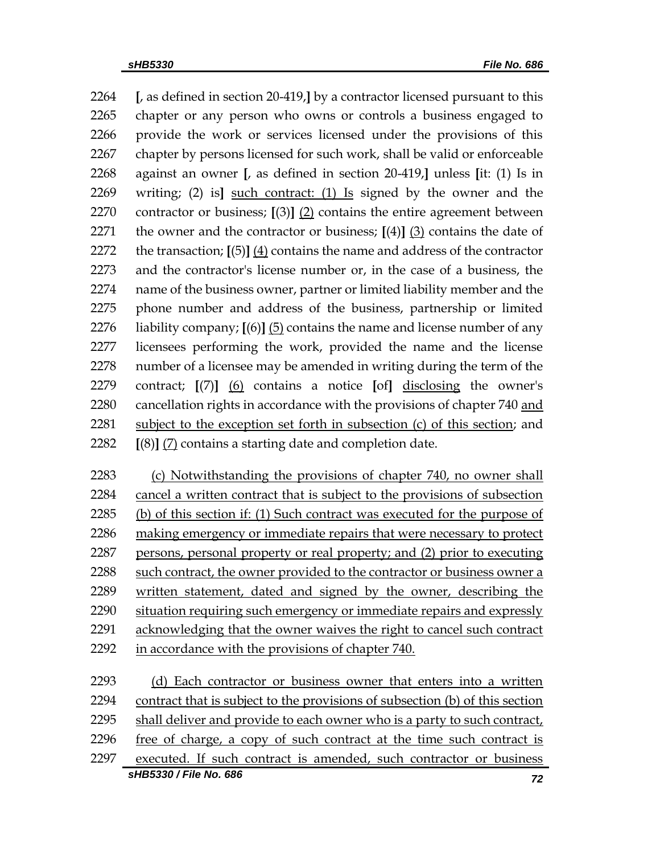**[**, as defined in section 20-419,**]** by a contractor licensed pursuant to this chapter or any person who owns or controls a business engaged to provide the work or services licensed under the provisions of this chapter by persons licensed for such work, shall be valid or enforceable against an owner **[**, as defined in section 20-419,**]** unless **[**it: (1) Is in writing; (2) is**]** such contract: (1) Is signed by the owner and the contractor or business; **[**(3)**]** (2) contains the entire agreement between the owner and the contractor or business; **[**(4)**]** (3) contains the date of the transaction; **[**(5)**]** (4) contains the name and address of the contractor and the contractor's license number or, in the case of a business, the name of the business owner, partner or limited liability member and the phone number and address of the business, partnership or limited liability company; **[**(6)**]** (5) contains the name and license number of any licensees performing the work, provided the name and the license number of a licensee may be amended in writing during the term of the contract; **[**(7)**]** (6) contains a notice **[**of**]** disclosing the owner's cancellation rights in accordance with the provisions of chapter 740 and subject to the exception set forth in subsection (c) of this section; and **[**(8)**]** (7) contains a starting date and completion date.

 (c) Notwithstanding the provisions of chapter 740, no owner shall cancel a written contract that is subject to the provisions of subsection (b) of this section if: (1) Such contract was executed for the purpose of making emergency or immediate repairs that were necessary to protect persons, personal property or real property; and (2) prior to executing 2288 such contract, the owner provided to the contractor or business owner a written statement, dated and signed by the owner, describing the situation requiring such emergency or immediate repairs and expressly acknowledging that the owner waives the right to cancel such contract in accordance with the provisions of chapter 740.

*sHB5330 / File No. 686 72* (d) Each contractor or business owner that enters into a written contract that is subject to the provisions of subsection (b) of this section shall deliver and provide to each owner who is a party to such contract, free of charge, a copy of such contract at the time such contract is executed. If such contract is amended, such contractor or business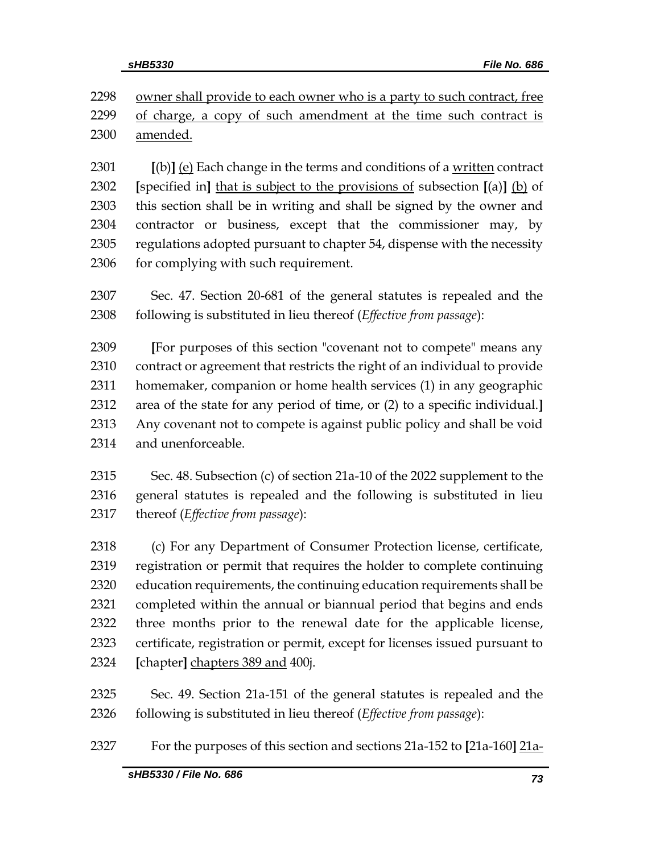2298 owner shall provide to each owner who is a party to such contract, free of charge, a copy of such amendment at the time such contract is amended.

 **[**(b)**]** (e) Each change in the terms and conditions of a written contract **[**specified in**]** that is subject to the provisions of subsection **[**(a)**]** (b) of this section shall be in writing and shall be signed by the owner and contractor or business, except that the commissioner may, by regulations adopted pursuant to chapter 54, dispense with the necessity 2306 for complying with such requirement.

 Sec. 47. Section 20-681 of the general statutes is repealed and the following is substituted in lieu thereof (*Effective from passage*):

 **[**For purposes of this section "covenant not to compete" means any contract or agreement that restricts the right of an individual to provide homemaker, companion or home health services (1) in any geographic area of the state for any period of time, or (2) to a specific individual.**]** Any covenant not to compete is against public policy and shall be void and unenforceable.

 Sec. 48. Subsection (c) of section 21a-10 of the 2022 supplement to the general statutes is repealed and the following is substituted in lieu thereof (*Effective from passage*):

 (c) For any Department of Consumer Protection license, certificate, registration or permit that requires the holder to complete continuing education requirements, the continuing education requirements shall be completed within the annual or biannual period that begins and ends three months prior to the renewal date for the applicable license, certificate, registration or permit, except for licenses issued pursuant to **[**chapter**]** chapters 389 and 400j.

 Sec. 49. Section 21a-151 of the general statutes is repealed and the following is substituted in lieu thereof (*Effective from passage*):

For the purposes of this section and sections 21a-152 to **[**21a-160**]** 21a-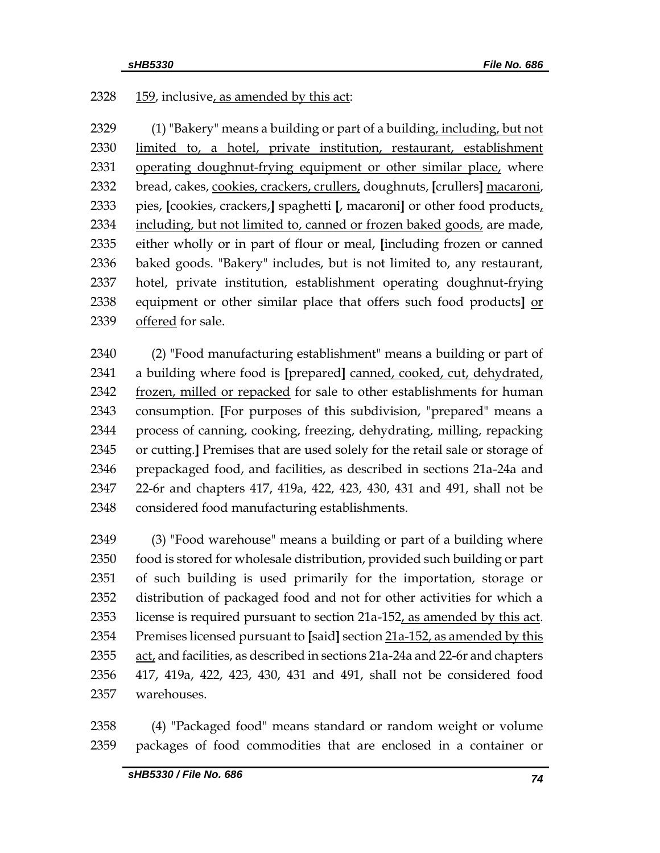# 2328 159, inclusive, as amended by this act:

2329 (1) "Bakery" means a building or part of a building, including, but not limited to, a hotel, private institution, restaurant, establishment operating doughnut-frying equipment or other similar place, where bread, cakes, cookies, crackers, crullers, doughnuts, **[**crullers**]** macaroni, pies, **[**cookies, crackers,**]** spaghetti **[**, macaroni**]** or other food products, including, but not limited to, canned or frozen baked goods, are made, either wholly or in part of flour or meal, **[**including frozen or canned baked goods. "Bakery" includes, but is not limited to, any restaurant, hotel, private institution, establishment operating doughnut-frying equipment or other similar place that offers such food products**]** or offered for sale.

 (2) "Food manufacturing establishment" means a building or part of a building where food is **[**prepared**]** canned, cooked, cut, dehydrated, frozen, milled or repacked for sale to other establishments for human consumption. **[**For purposes of this subdivision, "prepared" means a process of canning, cooking, freezing, dehydrating, milling, repacking or cutting.**]** Premises that are used solely for the retail sale or storage of prepackaged food, and facilities, as described in sections 21a-24a and 22-6r and chapters 417, 419a, 422, 423, 430, 431 and 491, shall not be considered food manufacturing establishments.

 (3) "Food warehouse" means a building or part of a building where food is stored for wholesale distribution, provided such building or part of such building is used primarily for the importation, storage or distribution of packaged food and not for other activities for which a license is required pursuant to section 21a-152, as amended by this act. Premises licensed pursuant to **[**said**]** section 21a-152, as amended by this act, and facilities, as described in sections 21a-24a and 22-6r and chapters 417, 419a, 422, 423, 430, 431 and 491, shall not be considered food warehouses.

 (4) "Packaged food" means standard or random weight or volume packages of food commodities that are enclosed in a container or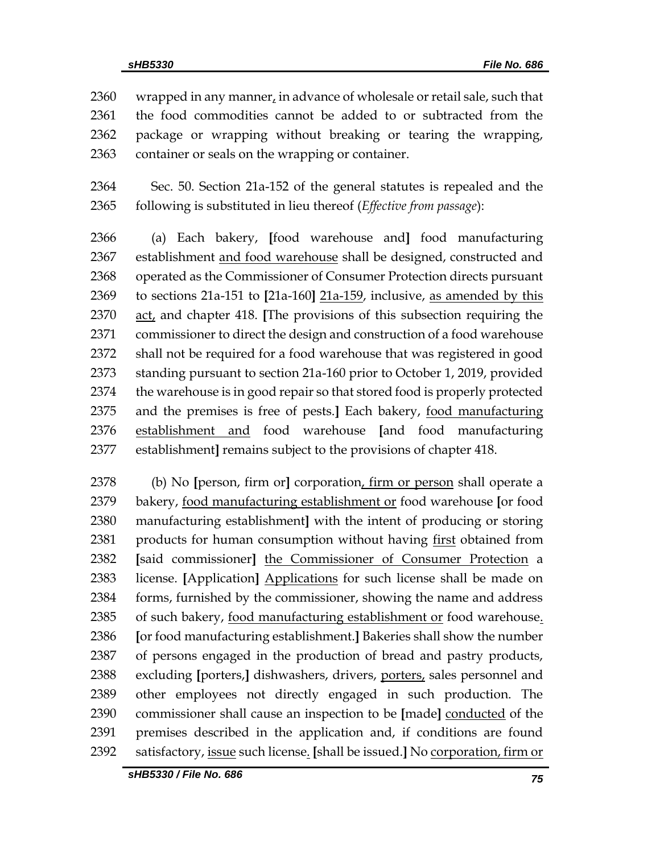2360 wrapped in any manner, in advance of wholesale or retail sale, such that the food commodities cannot be added to or subtracted from the package or wrapping without breaking or tearing the wrapping, container or seals on the wrapping or container.

 Sec. 50. Section 21a-152 of the general statutes is repealed and the following is substituted in lieu thereof (*Effective from passage*):

 (a) Each bakery, **[**food warehouse and**]** food manufacturing establishment and food warehouse shall be designed, constructed and operated as the Commissioner of Consumer Protection directs pursuant to sections 21a-151 to **[**21a-160**]** 21a-159, inclusive, as amended by this act, and chapter 418. **[**The provisions of this subsection requiring the commissioner to direct the design and construction of a food warehouse shall not be required for a food warehouse that was registered in good standing pursuant to section 21a-160 prior to October 1, 2019, provided the warehouse is in good repair so that stored food is properly protected and the premises is free of pests.**]** Each bakery, food manufacturing establishment and food warehouse **[**and food manufacturing establishment**]** remains subject to the provisions of chapter 418.

 (b) No **[**person, firm or**]** corporation, firm or person shall operate a bakery, food manufacturing establishment or food warehouse **[**or food manufacturing establishment**]** with the intent of producing or storing products for human consumption without having first obtained from **[**said commissioner**]** the Commissioner of Consumer Protection a license. **[**Application**]** Applications for such license shall be made on forms, furnished by the commissioner, showing the name and address of such bakery, food manufacturing establishment or food warehouse. **[**or food manufacturing establishment.**]** Bakeries shall show the number of persons engaged in the production of bread and pastry products, excluding **[**porters,**]** dishwashers, drivers, porters, sales personnel and other employees not directly engaged in such production. The commissioner shall cause an inspection to be **[**made**]** conducted of the premises described in the application and, if conditions are found satisfactory, issue such license. **[**shall be issued.**]** No corporation, firm or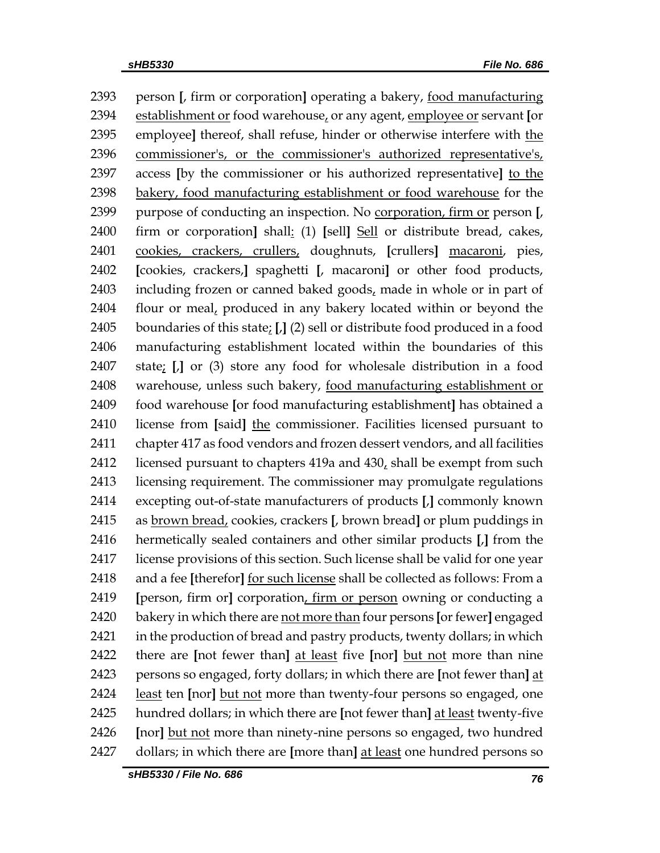person **[**, firm or corporation**]** operating a bakery, food manufacturing establishment or food warehouse, or any agent, employee or servant **[**or employee**]** thereof, shall refuse, hinder or otherwise interfere with the commissioner's, or the commissioner's authorized representative's, access **[**by the commissioner or his authorized representative**]** to the bakery, food manufacturing establishment or food warehouse for the purpose of conducting an inspection. No corporation, firm or person **[**, firm or corporation**]** shall: (1) **[**sell**]** Sell or distribute bread, cakes, cookies, crackers, crullers, doughnuts, **[**crullers**]** macaroni, pies, **[**cookies, crackers,**]** spaghetti **[**, macaroni**]** or other food products, including frozen or canned baked goods, made in whole or in part of flour or meal, produced in any bakery located within or beyond the boundaries of this state; **[**,**]** (2) sell or distribute food produced in a food manufacturing establishment located within the boundaries of this state; **[**,**]** or (3) store any food for wholesale distribution in a food warehouse, unless such bakery, food manufacturing establishment or food warehouse **[**or food manufacturing establishment**]** has obtained a license from **[**said**]** the commissioner. Facilities licensed pursuant to chapter 417 as food vendors and frozen dessert vendors, and all facilities licensed pursuant to chapters 419a and 430, shall be exempt from such licensing requirement. The commissioner may promulgate regulations excepting out-of-state manufacturers of products **[**,**]** commonly known as brown bread, cookies, crackers **[**, brown bread**]** or plum puddings in hermetically sealed containers and other similar products **[**,**]** from the license provisions of this section. Such license shall be valid for one year and a fee **[**therefor**]** for such license shall be collected as follows: From a **[**person, firm or**]** corporation, firm or person owning or conducting a bakery in which there are not more than four persons **[**or fewer**]** engaged in the production of bread and pastry products, twenty dollars; in which there are **[**not fewer than**]** at least five **[**nor**]** but not more than nine persons so engaged, forty dollars; in which there are **[**not fewer than**]** at least ten **[**nor**]** but not more than twenty-four persons so engaged, one hundred dollars; in which there are **[**not fewer than**]** at least twenty-five **[**nor**]** but not more than ninety-nine persons so engaged, two hundred dollars; in which there are **[**more than**]** at least one hundred persons so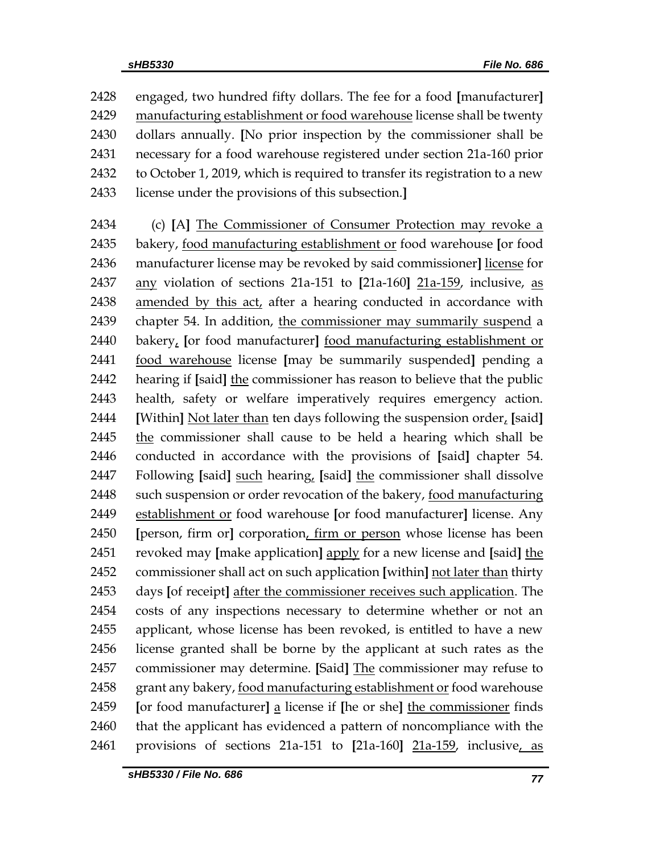engaged, two hundred fifty dollars. The fee for a food **[**manufacturer**]** manufacturing establishment or food warehouse license shall be twenty dollars annually. **[**No prior inspection by the commissioner shall be necessary for a food warehouse registered under section 21a-160 prior to October 1, 2019, which is required to transfer its registration to a new license under the provisions of this subsection.**]**

 (c) **[**A**]** The Commissioner of Consumer Protection may revoke a bakery, food manufacturing establishment or food warehouse **[**or food manufacturer license may be revoked by said commissioner**]** license for any violation of sections 21a-151 to **[**21a-160**]** 21a-159, inclusive, as amended by this act, after a hearing conducted in accordance with chapter 54. In addition, the commissioner may summarily suspend a bakery, **[**or food manufacturer**]** food manufacturing establishment or food warehouse license **[**may be summarily suspended**]** pending a hearing if **[**said**]** the commissioner has reason to believe that the public health, safety or welfare imperatively requires emergency action. **[**Within**]** Not later than ten days following the suspension order, **[**said**]** 2445 the commissioner shall cause to be held a hearing which shall be conducted in accordance with the provisions of **[**said**]** chapter 54. Following **[**said**]** such hearing, **[**said**]** the commissioner shall dissolve 2448 such suspension or order revocation of the bakery, food manufacturing establishment or food warehouse **[**or food manufacturer**]** license. Any **[**person, firm or**]** corporation, firm or person whose license has been revoked may **[**make application**]** apply for a new license and **[**said**]** the commissioner shall act on such application **[**within**]** not later than thirty days **[**of receipt**]** after the commissioner receives such application. The costs of any inspections necessary to determine whether or not an applicant, whose license has been revoked, is entitled to have a new license granted shall be borne by the applicant at such rates as the commissioner may determine. **[**Said**]** The commissioner may refuse to grant any bakery, food manufacturing establishment or food warehouse **[**or food manufacturer**]** a license if **[**he or she**]** the commissioner finds 2460 that the applicant has evidenced a pattern of noncompliance with the provisions of sections 21a-151 to **[**21a-160**]** 21a-159, inclusive, as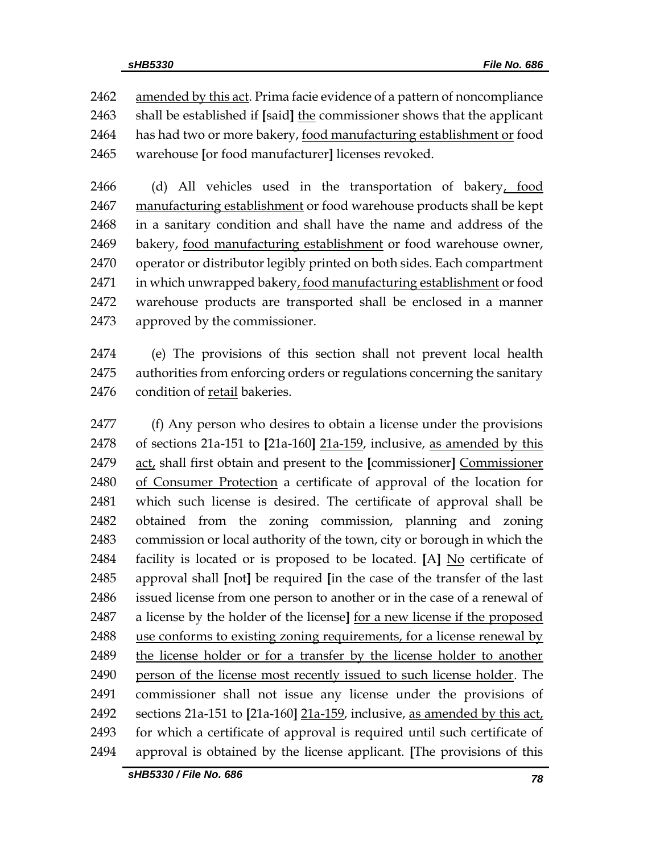2462 amended by this act. Prima facie evidence of a pattern of noncompliance shall be established if **[**said**]** the commissioner shows that the applicant has had two or more bakery, food manufacturing establishment or food warehouse **[**or food manufacturer**]** licenses revoked.

 (d) All vehicles used in the transportation of bakery, food manufacturing establishment or food warehouse products shall be kept in a sanitary condition and shall have the name and address of the bakery, food manufacturing establishment or food warehouse owner, operator or distributor legibly printed on both sides. Each compartment 2471 in which unwrapped bakery, food manufacturing establishment or food warehouse products are transported shall be enclosed in a manner approved by the commissioner.

 (e) The provisions of this section shall not prevent local health authorities from enforcing orders or regulations concerning the sanitary condition of retail bakeries.

 (f) Any person who desires to obtain a license under the provisions of sections 21a-151 to **[**21a-160**]** 21a-159, inclusive, as amended by this act, shall first obtain and present to the **[**commissioner**]** Commissioner of Consumer Protection a certificate of approval of the location for which such license is desired. The certificate of approval shall be obtained from the zoning commission, planning and zoning commission or local authority of the town, city or borough in which the facility is located or is proposed to be located. **[**A**]** No certificate of approval shall **[**not**]** be required **[**in the case of the transfer of the last issued license from one person to another or in the case of a renewal of a license by the holder of the license**]** for a new license if the proposed use conforms to existing zoning requirements, for a license renewal by the license holder or for a transfer by the license holder to another person of the license most recently issued to such license holder. The commissioner shall not issue any license under the provisions of sections 21a-151 to **[**21a-160**]** 21a-159, inclusive, as amended by this act, for which a certificate of approval is required until such certificate of approval is obtained by the license applicant. **[**The provisions of this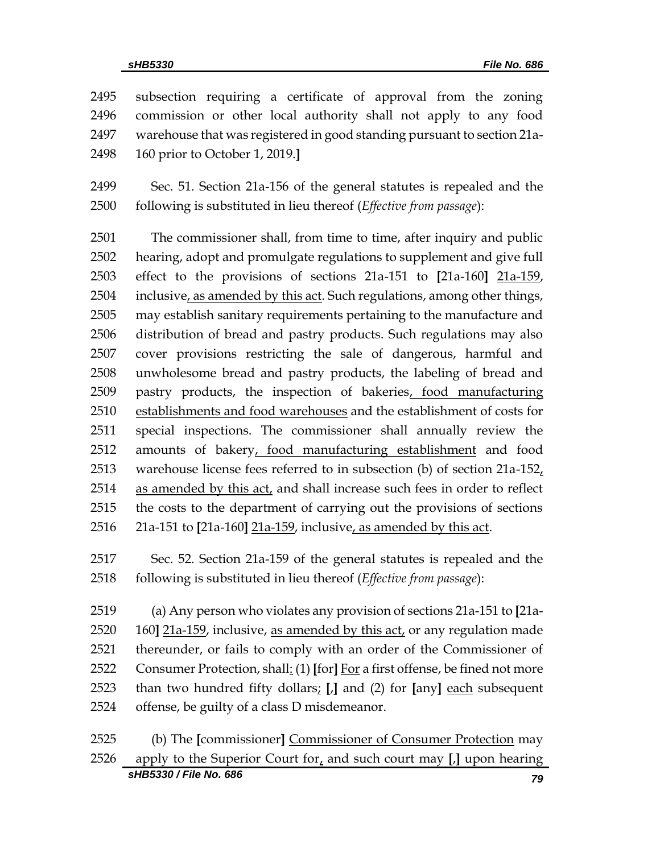subsection requiring a certificate of approval from the zoning commission or other local authority shall not apply to any food warehouse that was registered in good standing pursuant to section 21a-160 prior to October 1, 2019.**]**

 Sec. 51. Section 21a-156 of the general statutes is repealed and the following is substituted in lieu thereof (*Effective from passage*):

 The commissioner shall, from time to time, after inquiry and public hearing, adopt and promulgate regulations to supplement and give full effect to the provisions of sections 21a-151 to **[**21a-160**]** 21a-159, 2504 inclusive, as amended by this act. Such regulations, among other things, may establish sanitary requirements pertaining to the manufacture and distribution of bread and pastry products. Such regulations may also cover provisions restricting the sale of dangerous, harmful and unwholesome bread and pastry products, the labeling of bread and pastry products, the inspection of bakeries, food manufacturing establishments and food warehouses and the establishment of costs for special inspections. The commissioner shall annually review the amounts of bakery, food manufacturing establishment and food warehouse license fees referred to in subsection (b) of section 21a-152, as amended by this act, and shall increase such fees in order to reflect the costs to the department of carrying out the provisions of sections 21a-151 to **[**21a-160**]** 21a-159, inclusive, as amended by this act.

 Sec. 52. Section 21a-159 of the general statutes is repealed and the following is substituted in lieu thereof (*Effective from passage*):

 (a) Any person who violates any provision of sections 21a-151 to **[**21a- 160**]** 21a-159, inclusive, as amended by this act, or any regulation made thereunder, or fails to comply with an order of the Commissioner of Consumer Protection, shall: (1) **[**for**]** For a first offense, be fined not more than two hundred fifty dollars; **[**,**]** and (2) for **[**any**]** each subsequent offense, be guilty of a class D misdemeanor.

*sHB5330 / File No. 686 79* (b) The **[**commissioner**]** Commissioner of Consumer Protection may apply to the Superior Court for, and such court may **[**,**]** upon hearing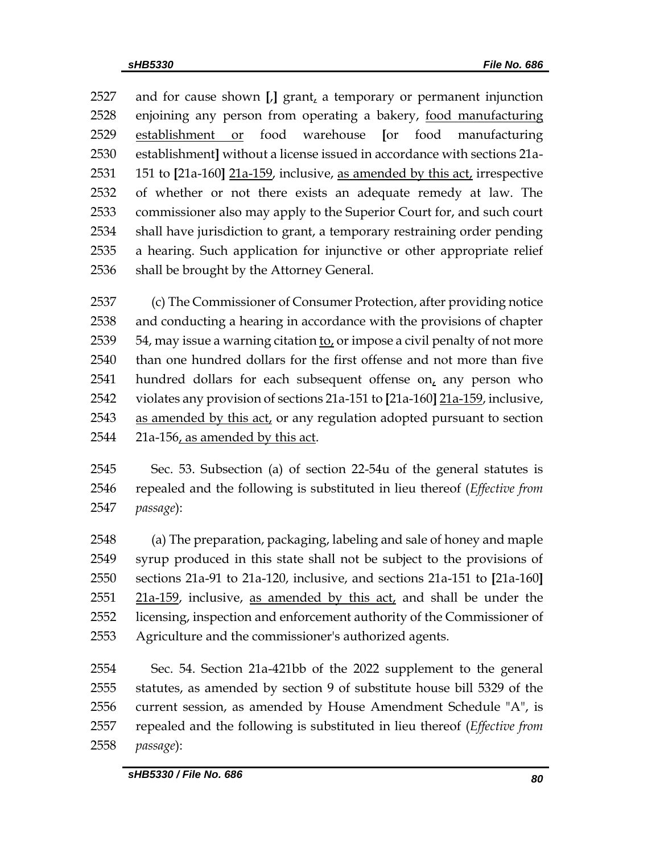and for cause shown **[**,**]** grant, a temporary or permanent injunction enjoining any person from operating a bakery, food manufacturing establishment or food warehouse **[**or food manufacturing establishment**]** without a license issued in accordance with sections 21a- 151 to **[**21a-160**]** 21a-159, inclusive, as amended by this act, irrespective of whether or not there exists an adequate remedy at law. The commissioner also may apply to the Superior Court for, and such court shall have jurisdiction to grant, a temporary restraining order pending a hearing. Such application for injunctive or other appropriate relief shall be brought by the Attorney General.

 (c) The Commissioner of Consumer Protection, after providing notice and conducting a hearing in accordance with the provisions of chapter , may issue a warning citation to, or impose a civil penalty of not more than one hundred dollars for the first offense and not more than five 2541 hundred dollars for each subsequent offense on $<sub>t</sub>$  any person who</sub> violates any provision of sections 21a-151 to **[**21a-160**]** 21a-159, inclusive, 2543 as amended by this act, or any regulation adopted pursuant to section 21a-156, as amended by this act.

 Sec. 53. Subsection (a) of section 22-54u of the general statutes is repealed and the following is substituted in lieu thereof (*Effective from passage*):

 (a) The preparation, packaging, labeling and sale of honey and maple syrup produced in this state shall not be subject to the provisions of sections 21a-91 to 21a-120, inclusive, and sections 21a-151 to **[**21a-160**]**  $21a-159$ , inclusive, as amended by this act, and shall be under the licensing, inspection and enforcement authority of the Commissioner of Agriculture and the commissioner's authorized agents.

 Sec. 54. Section 21a-421bb of the 2022 supplement to the general statutes, as amended by section 9 of substitute house bill 5329 of the current session, as amended by House Amendment Schedule "A", is repealed and the following is substituted in lieu thereof (*Effective from passage*):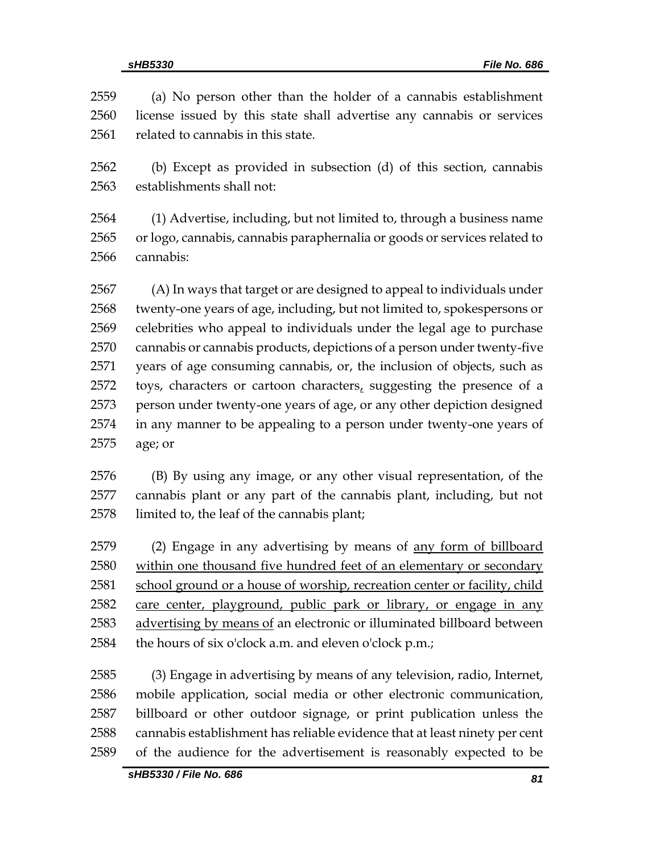(a) No person other than the holder of a cannabis establishment license issued by this state shall advertise any cannabis or services 2561 related to cannabis in this state. (b) Except as provided in subsection (d) of this section, cannabis establishments shall not: (1) Advertise, including, but not limited to, through a business name or logo, cannabis, cannabis paraphernalia or goods or services related to cannabis: (A) In ways that target or are designed to appeal to individuals under twenty-one years of age, including, but not limited to, spokespersons or celebrities who appeal to individuals under the legal age to purchase cannabis or cannabis products, depictions of a person under twenty-five years of age consuming cannabis, or, the inclusion of objects, such as toys, characters or cartoon characters, suggesting the presence of a person under twenty-one years of age, or any other depiction designed in any manner to be appealing to a person under twenty-one years of age; or

 (B) By using any image, or any other visual representation, of the cannabis plant or any part of the cannabis plant, including, but not limited to, the leaf of the cannabis plant;

 (2) Engage in any advertising by means of any form of billboard within one thousand five hundred feet of an elementary or secondary 2581 school ground or a house of worship, recreation center or facility, child care center, playground, public park or library, or engage in any advertising by means of an electronic or illuminated billboard between the hours of six o'clock a.m. and eleven o'clock p.m.;

 (3) Engage in advertising by means of any television, radio, Internet, mobile application, social media or other electronic communication, billboard or other outdoor signage, or print publication unless the cannabis establishment has reliable evidence that at least ninety per cent of the audience for the advertisement is reasonably expected to be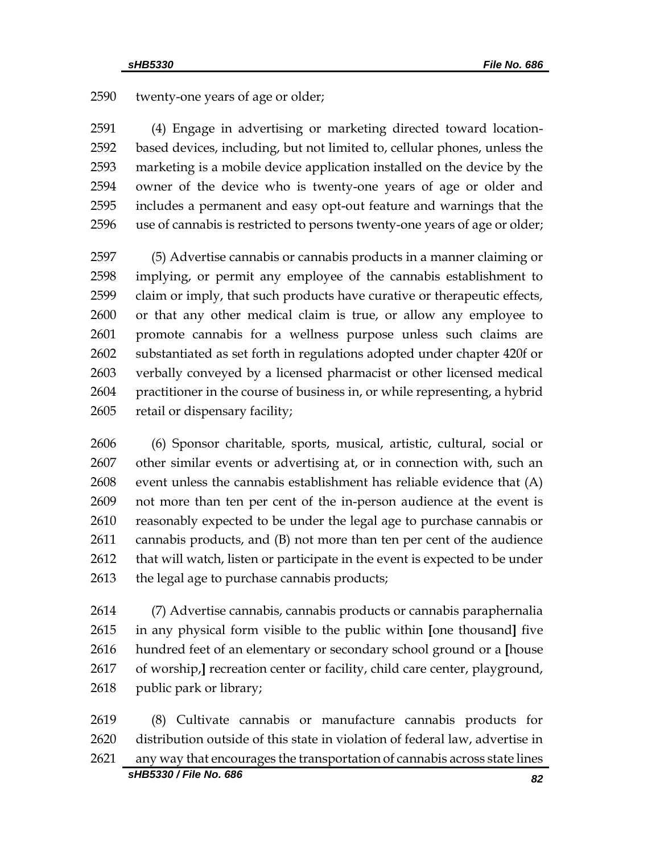twenty-one years of age or older;

 (4) Engage in advertising or marketing directed toward location- based devices, including, but not limited to, cellular phones, unless the marketing is a mobile device application installed on the device by the owner of the device who is twenty-one years of age or older and includes a permanent and easy opt-out feature and warnings that the use of cannabis is restricted to persons twenty-one years of age or older;

 (5) Advertise cannabis or cannabis products in a manner claiming or implying, or permit any employee of the cannabis establishment to claim or imply, that such products have curative or therapeutic effects, or that any other medical claim is true, or allow any employee to promote cannabis for a wellness purpose unless such claims are substantiated as set forth in regulations adopted under chapter 420f or verbally conveyed by a licensed pharmacist or other licensed medical practitioner in the course of business in, or while representing, a hybrid retail or dispensary facility;

 (6) Sponsor charitable, sports, musical, artistic, cultural, social or other similar events or advertising at, or in connection with, such an event unless the cannabis establishment has reliable evidence that (A) not more than ten per cent of the in-person audience at the event is reasonably expected to be under the legal age to purchase cannabis or cannabis products, and (B) not more than ten per cent of the audience 2612 that will watch, listen or participate in the event is expected to be under 2613 the legal age to purchase cannabis products;

 (7) Advertise cannabis, cannabis products or cannabis paraphernalia in any physical form visible to the public within **[**one thousand**]** five hundred feet of an elementary or secondary school ground or a **[**house of worship,**]** recreation center or facility, child care center, playground, 2618 public park or library;

*sHB5330 / File No. 686 82* (8) Cultivate cannabis or manufacture cannabis products for distribution outside of this state in violation of federal law, advertise in any way that encourages the transportation of cannabis across state lines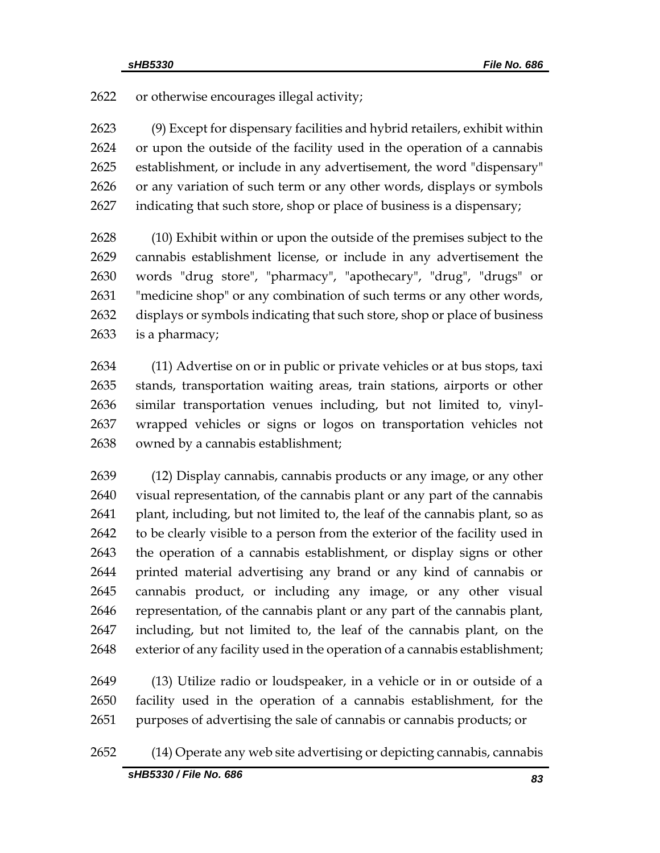or otherwise encourages illegal activity;

 (9) Except for dispensary facilities and hybrid retailers, exhibit within or upon the outside of the facility used in the operation of a cannabis establishment, or include in any advertisement, the word "dispensary" or any variation of such term or any other words, displays or symbols indicating that such store, shop or place of business is a dispensary;

 (10) Exhibit within or upon the outside of the premises subject to the cannabis establishment license, or include in any advertisement the words "drug store", "pharmacy", "apothecary", "drug", "drugs" or "medicine shop" or any combination of such terms or any other words, displays or symbols indicating that such store, shop or place of business is a pharmacy;

 (11) Advertise on or in public or private vehicles or at bus stops, taxi stands, transportation waiting areas, train stations, airports or other similar transportation venues including, but not limited to, vinyl- wrapped vehicles or signs or logos on transportation vehicles not owned by a cannabis establishment;

 (12) Display cannabis, cannabis products or any image, or any other visual representation, of the cannabis plant or any part of the cannabis 2641 plant, including, but not limited to, the leaf of the cannabis plant, so as to be clearly visible to a person from the exterior of the facility used in the operation of a cannabis establishment, or display signs or other printed material advertising any brand or any kind of cannabis or cannabis product, or including any image, or any other visual representation, of the cannabis plant or any part of the cannabis plant, including, but not limited to, the leaf of the cannabis plant, on the exterior of any facility used in the operation of a cannabis establishment;

 (13) Utilize radio or loudspeaker, in a vehicle or in or outside of a facility used in the operation of a cannabis establishment, for the purposes of advertising the sale of cannabis or cannabis products; or

# (14) Operate any web site advertising or depicting cannabis, cannabis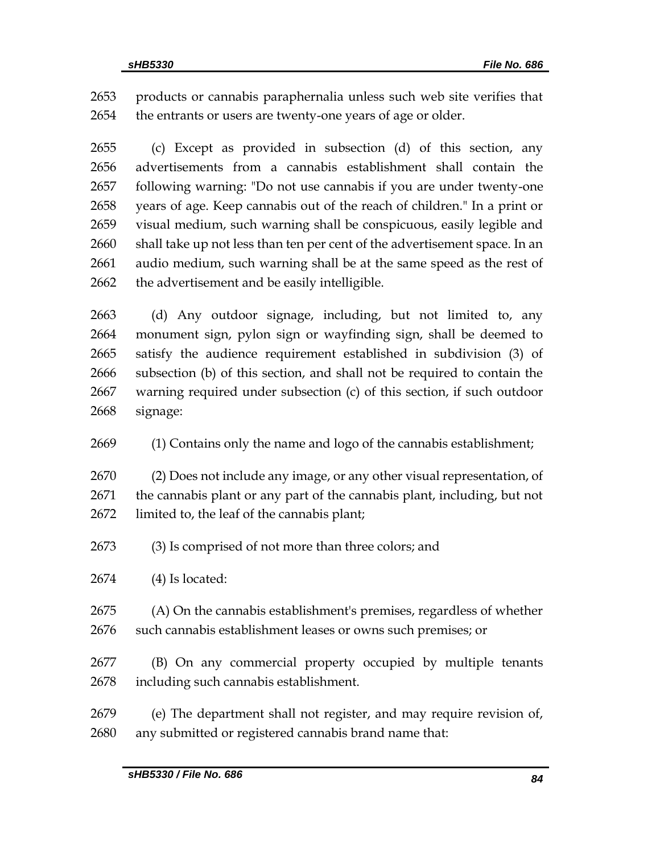products or cannabis paraphernalia unless such web site verifies that the entrants or users are twenty-one years of age or older.

 (c) Except as provided in subsection (d) of this section, any advertisements from a cannabis establishment shall contain the following warning: "Do not use cannabis if you are under twenty-one years of age. Keep cannabis out of the reach of children." In a print or visual medium, such warning shall be conspicuous, easily legible and shall take up not less than ten per cent of the advertisement space. In an audio medium, such warning shall be at the same speed as the rest of 2662 the advertisement and be easily intelligible.

 (d) Any outdoor signage, including, but not limited to, any monument sign, pylon sign or wayfinding sign, shall be deemed to satisfy the audience requirement established in subdivision (3) of subsection (b) of this section, and shall not be required to contain the warning required under subsection (c) of this section, if such outdoor signage:

(1) Contains only the name and logo of the cannabis establishment;

 (2) Does not include any image, or any other visual representation, of the cannabis plant or any part of the cannabis plant, including, but not limited to, the leaf of the cannabis plant;

(3) Is comprised of not more than three colors; and

(4) Is located:

 (A) On the cannabis establishment's premises, regardless of whether such cannabis establishment leases or owns such premises; or

 (B) On any commercial property occupied by multiple tenants including such cannabis establishment.

 (e) The department shall not register, and may require revision of, any submitted or registered cannabis brand name that: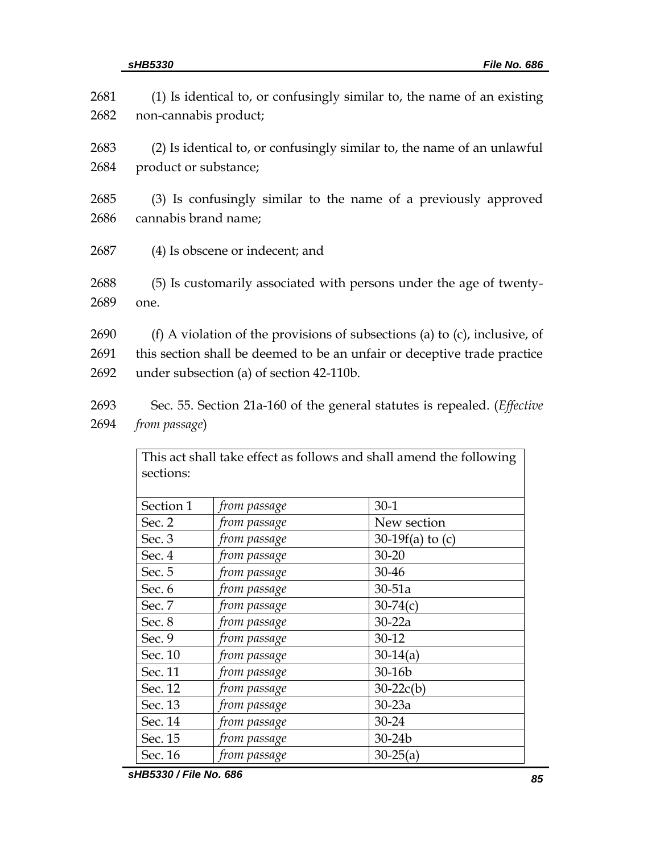| 2681 | (1) Is identical to, or confusingly similar to, the name of an existing    |
|------|----------------------------------------------------------------------------|
| 2682 | non-cannabis product;                                                      |
| 2683 | (2) Is identical to, or confusingly similar to, the name of an unlawful    |
| 2684 | product or substance;                                                      |
| 2685 | (3) Is confusingly similar to the name of a previously approved            |
| 2686 | cannabis brand name;                                                       |
| 2687 | (4) Is obscene or indecent; and                                            |
| 2688 | (5) Is customarily associated with persons under the age of twenty-        |
| 2689 | one.                                                                       |
| 2690 | (f) A violation of the provisions of subsections (a) to (c), inclusive, of |
| 2691 | this section shall be deemed to be an unfair or deceptive trade practice   |
| 2692 | under subsection (a) of section 42-110b.                                   |
| 2693 | Sec. 55. Section 21a-160 of the general statutes is repealed. (Effective   |
| 2694 | from passage)                                                              |

|           |              | This act shall take effect as follows and shall amend the following |  |  |
|-----------|--------------|---------------------------------------------------------------------|--|--|
| sections: |              |                                                                     |  |  |
|           |              |                                                                     |  |  |
| Section 1 | from passage | $30-1$                                                              |  |  |
| Sec. 2    | from passage | New section                                                         |  |  |
| Sec. 3    | from passage | 30-19 $f(a)$ to (c)                                                 |  |  |
| Sec. 4    | from passage | 30-20                                                               |  |  |
| Sec. 5    | from passage | 30-46                                                               |  |  |
| Sec. 6    | from passage | $30-51a$                                                            |  |  |
| Sec. 7    | from passage | $30 - 74(c)$                                                        |  |  |
| Sec. 8    | from passage | $30-22a$                                                            |  |  |
| Sec. 9    | from passage | 30-12                                                               |  |  |
| Sec. 10   | from passage | $30-14(a)$                                                          |  |  |
| Sec. 11   | from passage | 30-16b                                                              |  |  |
| Sec. 12   | from passage | $30-22c(b)$                                                         |  |  |
| Sec. 13   | from passage | $30-23a$                                                            |  |  |
| Sec. 14   | from passage | 30-24                                                               |  |  |
| Sec. 15   | from passage | 30-24b                                                              |  |  |
| Sec. 16   | from passage | $30 - 25(a)$                                                        |  |  |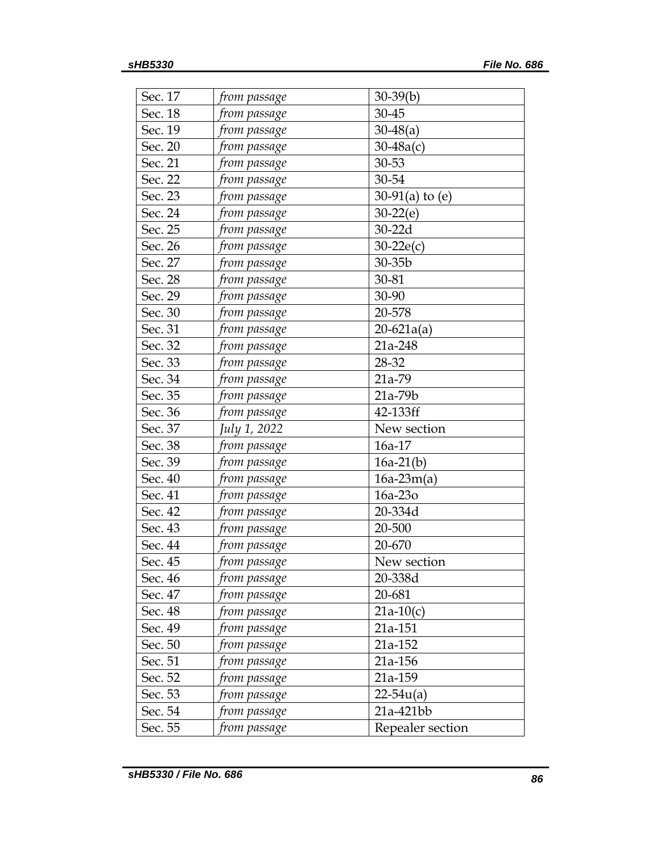| Sec. 17 | from passage          | $30-39(b)$        |
|---------|-----------------------|-------------------|
| Sec. 18 | from passage          | 30-45             |
| Sec. 19 | from passage          | $30-48(a)$        |
| Sec. 20 | from passage          | $30 - 48a(c)$     |
| Sec. 21 | from passage          | 30-53             |
| Sec. 22 | from passage          | 30-54             |
| Sec. 23 | from passage          | 30-91(a) to $(e)$ |
| Sec. 24 | from passage          | $30-22(e)$        |
| Sec. 25 | from passage          | 30-22d            |
| Sec. 26 | from passage          | $30-22e(c)$       |
| Sec. 27 | from passage          | $30-35b$          |
| Sec. 28 | from passage          | 30-81             |
| Sec. 29 | from passage          | 30-90             |
| Sec. 30 | from passage          | 20-578            |
| Sec. 31 | from passage          | $20-621a(a)$      |
| Sec. 32 | from passage          | 21a-248           |
| Sec. 33 | from passage          | 28-32             |
| Sec. 34 | from passage          | 21a-79            |
| Sec. 35 | from passage          | 21a-79b           |
| Sec. 36 | from passage          | 42-133ff          |
| Sec. 37 | July 1, 2022          | New section       |
| Sec. 38 | from passage          | 16a-17            |
| Sec. 39 | from passage          | $16a-21(b)$       |
| Sec. 40 | from passage          | $16a-23m(a)$      |
| Sec. 41 | from passage          | 16a-23o           |
| Sec. 42 | from passage          | 20-334d           |
| Sec. 43 | from passage          | 20-500            |
| Sec. 44 | from passage          | 20-670            |
| Sec. 45 | from p <u>assag</u> e | New section       |
| Sec. 46 | from passage          | 20-338d           |
| Sec. 47 | from passage          | 20-681            |
| Sec. 48 | from passage          | $21a-10(c)$       |
| Sec. 49 | from passage          | 21a-151           |
| Sec. 50 | from passage          | 21a-152           |
| Sec. 51 | from passage          | 21a-156           |
| Sec. 52 | from passage          | 21a-159           |
| Sec. 53 | from passage          | $22 - 54u(a)$     |
| Sec. 54 | from passage          | 21a-421bb         |
| Sec. 55 | from passage          | Repealer section  |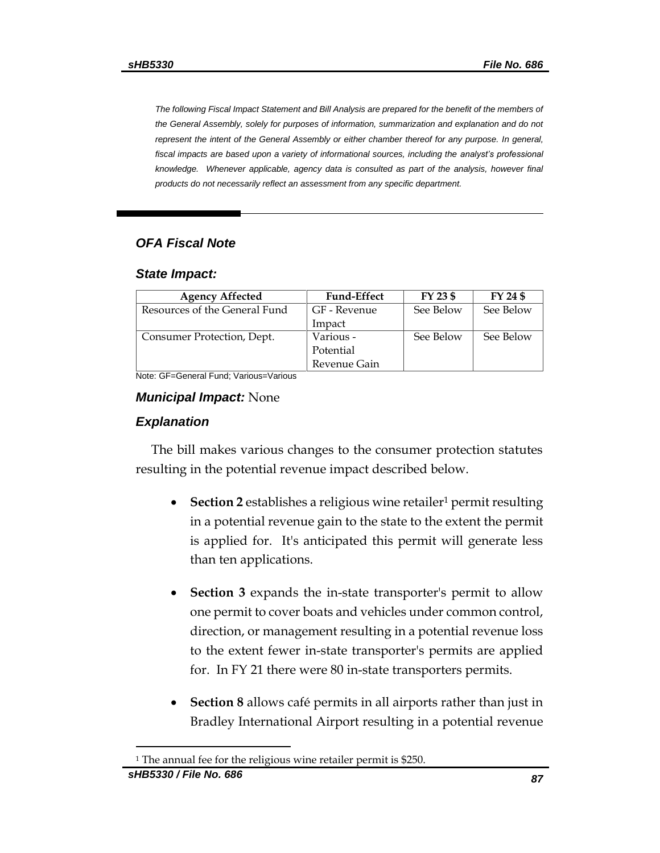*The following Fiscal Impact Statement and Bill Analysis are prepared for the benefit of the members of the General Assembly, solely for purposes of information, summarization and explanation and do not represent the intent of the General Assembly or either chamber thereof for any purpose. In general,*  fiscal impacts are based upon a variety of informational sources, including the analyst's professional *knowledge. Whenever applicable, agency data is consulted as part of the analysis, however final products do not necessarily reflect an assessment from any specific department.*

# *OFA Fiscal Note*

### *State Impact:*

| <b>Agency Affected</b>        | <b>Fund-Effect</b> | FY 23 \$  | FY 24 \$  |
|-------------------------------|--------------------|-----------|-----------|
| Resources of the General Fund | GF - Revenue       | See Below | See Below |
|                               | Impact             |           |           |
| Consumer Protection, Dept.    | Various -          | See Below | See Below |
|                               | Potential          |           |           |
|                               | Revenue Gain       |           |           |

Note: GF=General Fund; Various=Various

# *Municipal Impact:* None

# *Explanation*

The bill makes various changes to the consumer protection statutes resulting in the potential revenue impact described below.

- **Section 2** establishes a religious wine retailer<sup>1</sup> permit resulting in a potential revenue gain to the state to the extent the permit is applied for. It's anticipated this permit will generate less than ten applications.
- **Section 3** expands the in-state transporter's permit to allow one permit to cover boats and vehicles under common control, direction, or management resulting in a potential revenue loss to the extent fewer in-state transporter's permits are applied for. In FY 21 there were 80 in-state transporters permits.
- **Section 8** allows café permits in all airports rather than just in Bradley International Airport resulting in a potential revenue

<sup>&</sup>lt;sup>1</sup> The annual fee for the religious wine retailer permit is \$250.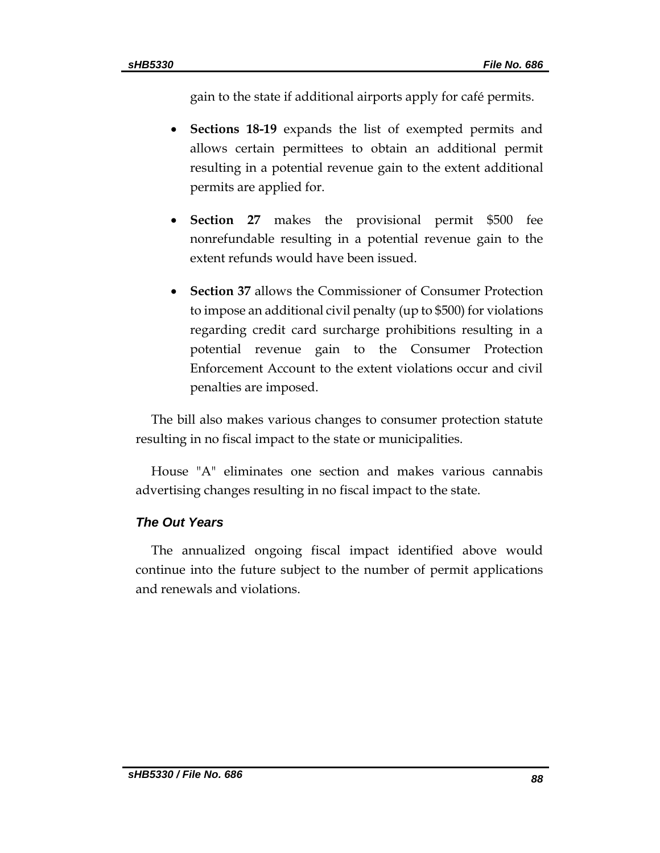gain to the state if additional airports apply for café permits.

- **Sections 18-19** expands the list of exempted permits and allows certain permittees to obtain an additional permit resulting in a potential revenue gain to the extent additional permits are applied for.
- **Section 27** makes the provisional permit \$500 fee nonrefundable resulting in a potential revenue gain to the extent refunds would have been issued.
- **Section 37** allows the Commissioner of Consumer Protection to impose an additional civil penalty (up to \$500) for violations regarding credit card surcharge prohibitions resulting in a potential revenue gain to the Consumer Protection Enforcement Account to the extent violations occur and civil penalties are imposed.

The bill also makes various changes to consumer protection statute resulting in no fiscal impact to the state or municipalities.

House "A" eliminates one section and makes various cannabis advertising changes resulting in no fiscal impact to the state.

# *The Out Years*

The annualized ongoing fiscal impact identified above would continue into the future subject to the number of permit applications and renewals and violations.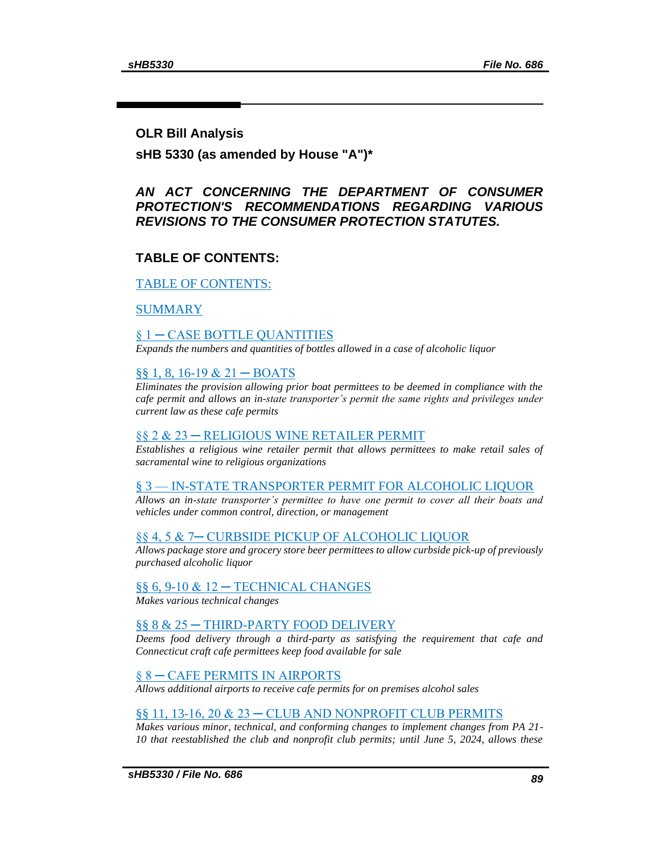### **OLR Bill Analysis**

**sHB 5330 (as amended by House "A")\***

# *AN ACT CONCERNING THE DEPARTMENT OF CONSUMER PROTECTION'S RECOMMENDATIONS REGARDING VARIOUS REVISIONS TO THE CONSUMER PROTECTION STATUTES.*

# <span id="page-88-0"></span>**TABLE OF CONTENTS:**

### [TABLE OF CONTENTS:](#page-88-0)

[SUMMARY](#page-91-0)

### [§ 1 ─ CASE BOTTLE QUANTITIES](#page-92-0)

*[Expands the numbers and quantities of bottles allowed in a case of alcoholic liquor](#page-92-1)*

### [§§ 1, 8, 16-19 & 21 ─ BOATS](#page-93-0)

*[Eliminates the provision allowing prior boat permittees to be deemed in compliance with the](#page-93-1)  [cafe permit and allows an in-state transporter's permit the same rights and privileges under](#page-93-1)  [current law as these cafe permits](#page-93-1)*

#### [§§ 2 & 23 ─ RELIGIOUS WINE RETAILER PERMIT](#page-93-2)

*[Establishes a religious wine retailer permit that allows permittees to make retail sales of](#page-93-3)  [sacramental wine to religious organizations](#page-93-3)*

#### § 3 — [IN-STATE TRANSPORTER PERMIT FOR ALCOHOLIC LIQUOR](#page-94-0)

*[Allows an in-state transporter's permittee to have one permit to cover all their boats and](#page-94-1)  [vehicles under common control, direction, or management](#page-94-1)*

#### [§§ 4, 5 & 7─ CURBSIDE PICKUP OF ALCOHOLIC LIQUOR](#page-94-2)

*[Allows package store and grocery store beer permittees to allow curbside pick-up of previously](#page-94-3)  [purchased alcoholic liquor](#page-94-3)*

#### [§§ 6, 9-10 & 12 ─ TECHNICAL CHANGES](#page-95-0)

*[Makes various technical changes](#page-95-1)*

#### [§§ 8 & 25 ─ THIRD-PARTY FOOD DELIVERY](#page-95-2)

*[Deems food delivery through a third-party as satisfying the requirement that cafe and](#page-95-3)  [Connecticut craft cafe permittees keep food available for sale](#page-95-3)*

#### § 8 - CAFE PERMITS IN AIRPORTS

*[Allows additional airports to receive cafe permits for on premises alcohol sales](#page-95-5)*

#### [§§ 11, 13-16, 20 & 23 ─ CLUB AND NONPROFIT CLUB PERMITS](#page-95-6)

*[Makes various minor, technical, and conforming changes to implement changes from PA 21-](#page-95-7) [10 that reestablished the club and nonprofit club permits; until June 5, 2024, allows these](#page-95-7)*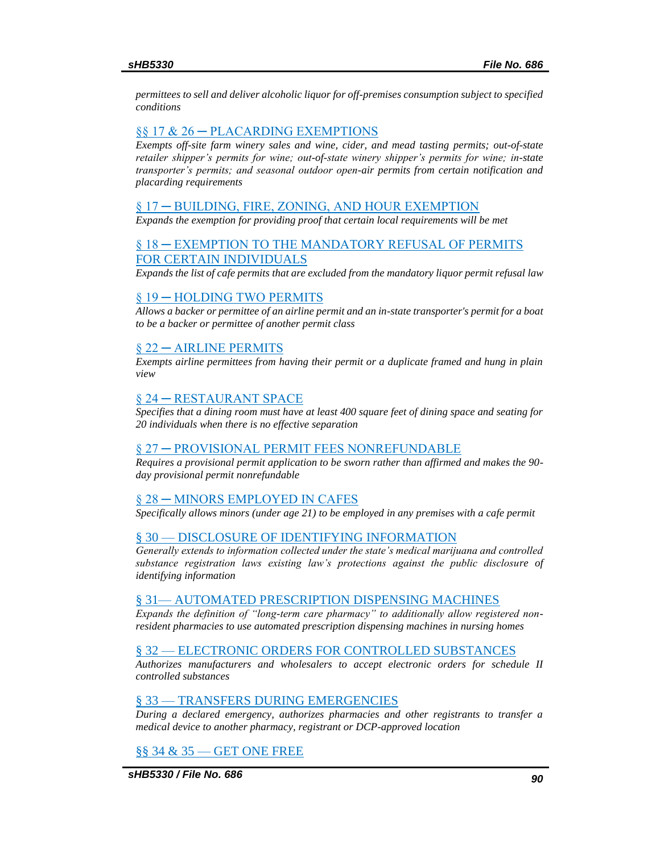*[permittees to sell and deliver alcoholic liquor for off-premises consumption subject to specified](#page-95-7)  [conditions](#page-95-7)*

#### [§§ 17 & 26 ─ PLACARDING EXEMPTIONS](#page-96-0)

*[Exempts off-site farm winery sales and wine, cider, and mead tasting permits; out-of-state](#page-96-1)  [retailer shipper's permits for wine; out-of-state winery shipper's permits for wine; in-state](#page-96-1)  [transporter's permits; and seasonal outdoor open-air permits from certain notification and](#page-96-1)  [placarding requirements](#page-96-1)*

#### [§ 17 ─ BUILDING, FIRE, ZONING, AND HOUR EXEMPTION](#page-97-0)

*[Expands the exemption for providing proof that certain local requirements will be met](#page-97-1)*

### [§ 18 ─ EXEMPTION TO THE MANDATORY REFUSAL OF PERMITS](#page-97-2)  [FOR CERTAIN INDIVIDUALS](#page-97-2)

*[Expands the list of cafe permits that are excluded from the mandatory liquor permit refusal law](#page-97-3)*

#### [§ 19 ─ HOLDING TWO PERMITS](#page-97-4)

*[Allows a backer or permittee of an airline permit and an in-state transporter's permit for a boat](#page-97-5)  [to be a backer or permittee of another permit class](#page-97-5)*

#### [§ 22 ─ AIRLINE PERMITS](#page-98-0)

*[Exempts airline permittees from having their permit or a duplicate framed and hung in plain](#page-98-1)  [view](#page-98-1)*

#### [§ 24 ─ RESTAURANT SPACE](#page-98-2)

*[Specifies that a dining room must have at least 400 square feet of dining space and seating for](#page-98-3)  [20 individuals when there is no effective separation](#page-98-3)*

#### § 27 - PROVISIONAL PERMIT FEES NONREFUNDABLE

*[Requires a provisional permit application to be sworn rather than affirmed and makes the 90](#page-98-5) [day provisional permit nonrefundable](#page-98-5)*

#### [§ 28 ─ MINORS EMPLOYED IN CAFES](#page-98-6)

*[Specifically allows minors \(under age 21\) to be employed in any premises with a cafe permit](#page-98-7)*

#### § 30 — [DISCLOSURE OF IDENTIFYING INFORMATION](#page-99-0)

*[Generally extends to information collected under the state's medical marijuana and controlled](#page-99-1)  [substance registration laws existing law's protections against the public disclosure of](#page-99-1)  [identifying information](#page-99-1)*

#### § 31— [AUTOMATED PRESCRIPTION DISPENSING MACHINES](#page-99-2)

*[Expands the definition of "long-term care pharmacy" to additionally allow registered non](#page-99-3)[resident pharmacies to use automated prescription dispensing machines in nursing homes](#page-99-3)*

#### § 32 — [ELECTRONIC ORDERS FOR CONTROLLED SUBSTANCES](#page-99-4)

*[Authorizes manufacturers and wholesalers to accept electronic orders for schedule II](#page-99-5)  [controlled substances](#page-99-5)*

#### § 33 — [TRANSFERS DURING EMERGENCIES](#page-100-0)

*[During a declared emergency, authorizes pharmacies and other registrants to transfer a](#page-100-1)  [medical device to another pharmacy, registrant or DCP-approved location](#page-100-1)*

#### §§ 34 & 35 — [GET ONE FREE](#page-100-2)

*sHB5330 / File No. 686 90*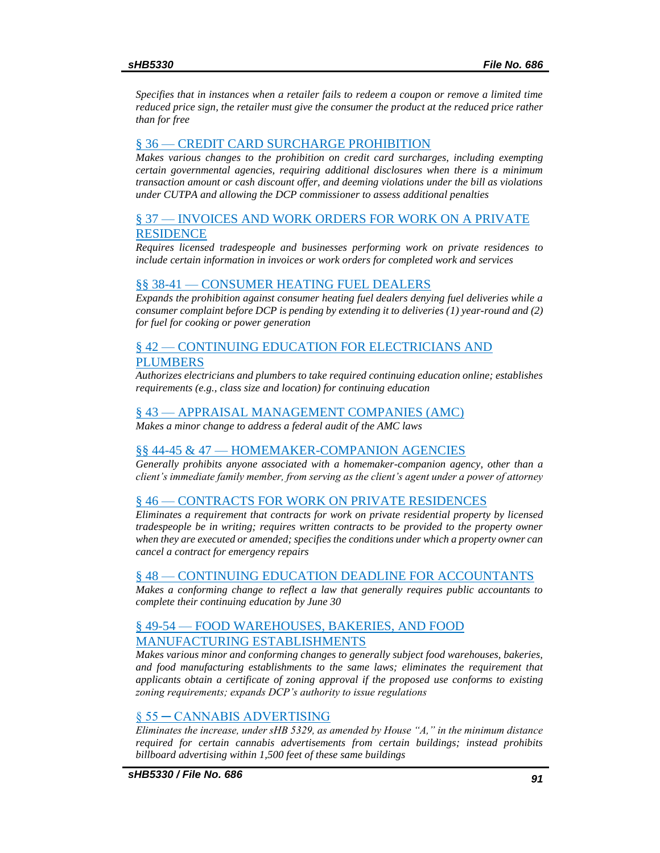*[Specifies that in instances when a retailer fails to redeem a coupon or remove a limited time](#page-100-3)  [reduced price sign, the retailer must give the consumer the product at the reduced price rather](#page-100-3)  [than for free](#page-100-3)*

#### § 36 — [CREDIT CARD SURCHARGE PROHIBITION](#page-101-0)

*[Makes various changes to the prohibition on credit card surcharges, including exempting](#page-101-1)  [certain governmental agencies, requiring additional disclosures when there is a minimum](#page-101-1)  [transaction amount or cash discount offer, and deeming violations under the bill as violations](#page-101-1)  [under CUTPA and allowing the DCP commissioner to assess additional penalties](#page-101-1)*

### § 37 — [INVOICES AND WORK ORDERS FOR WORK ON A PRIVATE](#page-106-0)  **[RESIDENCE](#page-106-0)**

*[Requires licensed tradespeople and businesses performing work on private residences to](#page-106-1)  [include certain information in invoices or work orders for completed work and services](#page-106-1)*

#### §§ 38-41 — [CONSUMER HEATING FUEL DEALERS](#page-107-0)

*[Expands the prohibition against consumer heating fuel dealers denying fuel deliveries while a](#page-107-1)  [consumer complaint before DCP is pending by extending it to deliveries \(1\) year-round and \(2\)](#page-107-1)  [for fuel for cooking or power generation](#page-107-1)*

### § 42 — [CONTINUING EDUCATION FOR ELECTRICIANS AND](#page-108-0)  [PLUMBERS](#page-108-0)

*[Authorizes electricians and plumbers to take required continuing education online; establishes](#page-108-1)  [requirements \(e.g., class size and location\) for continuing education](#page-108-1)*

#### § 43 — [APPRAISAL MANAGEMENT COMPANIES \(AMC\)](#page-108-2)

*[Makes a minor change to address a federal audit of the AMC laws](#page-108-3)*

### §§ 44-45 & 47 — [HOMEMAKER-COMPANION AGENCIES](#page-109-0)

*[Generally prohibits anyone associated with a homemaker-companion agency, other than a](#page-109-1)  [client's immediate family member, from serving as the client's agent under a power of attorney](#page-109-1)*

#### § 46 — [CONTRACTS FOR WORK ON PRIVATE RESIDENCES](#page-109-2)

*[Eliminates a requirement that contracts for work on private residential property by licensed](#page-110-0)  [tradespeople be in writing; requires written contracts to be provided to the property owner](#page-110-0)  [when they are executed or amended; specifies the conditions under which a property owner can](#page-110-0)  [cancel a contract for emergency repairs](#page-110-0)*

#### § 48 — [CONTINUING EDUCATION DEADLINE FOR ACCOUNTANTS](#page-111-0)

*[Makes a conforming change to reflect a law that generally requires public accountants to](#page-111-1)  [complete their continuing education by June 30](#page-111-1)*

### § 49-54 — [FOOD WAREHOUSES, BAKERIES, AND FOOD](#page-111-2)  [MANUFACTURING ESTABLISHMENTS](#page-111-2)

*[Makes various minor and conforming changes to generally subject food warehouses, bakeries,](#page-111-3)  [and food manufacturing establishments to the same laws; eliminates the requirement that](#page-111-3)  [applicants obtain a certificate of zoning approval if the proposed use conforms to existing](#page-111-3)  [zoning requirements; expands DCP's authority to issue regulations](#page-111-3)*

#### [§ 55 ─ CANNABIS ADVERTISING](#page-113-0)

*[Eliminates the increase, under sHB 5329, as amended by House "A," in the minimum distance](#page-113-1)  [required for certain cannabis advertisements from certain buildings; instead prohibits](#page-113-1)  [billboard advertising within 1,500 feet of these same buildings](#page-113-1)*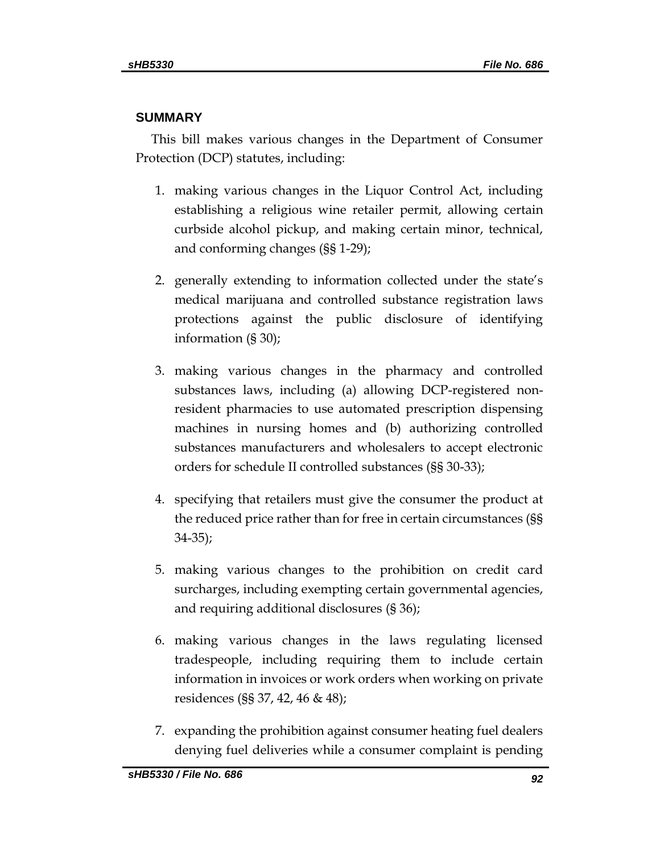# <span id="page-91-0"></span>**SUMMARY**

This bill makes various changes in the Department of Consumer Protection (DCP) statutes, including:

- 1. making various changes in the Liquor Control Act, including establishing a religious wine retailer permit, allowing certain curbside alcohol pickup, and making certain minor, technical, and conforming changes (§§ 1-29);
- 2. generally extending to information collected under the state's medical marijuana and controlled substance registration laws protections against the public disclosure of identifying information (§ 30);
- 3. making various changes in the pharmacy and controlled substances laws, including (a) allowing DCP-registered nonresident pharmacies to use automated prescription dispensing machines in nursing homes and (b) authorizing controlled substances manufacturers and wholesalers to accept electronic orders for schedule II controlled substances (§§ 30-33);
- 4. specifying that retailers must give the consumer the product at the reduced price rather than for free in certain circumstances (§§ 34-35);
- 5. making various changes to the prohibition on credit card surcharges, including exempting certain governmental agencies, and requiring additional disclosures (§ 36);
- 6. making various changes in the laws regulating licensed tradespeople, including requiring them to include certain information in invoices or work orders when working on private residences (§§ 37, 42, 46 & 48);
- 7. expanding the prohibition against consumer heating fuel dealers denying fuel deliveries while a consumer complaint is pending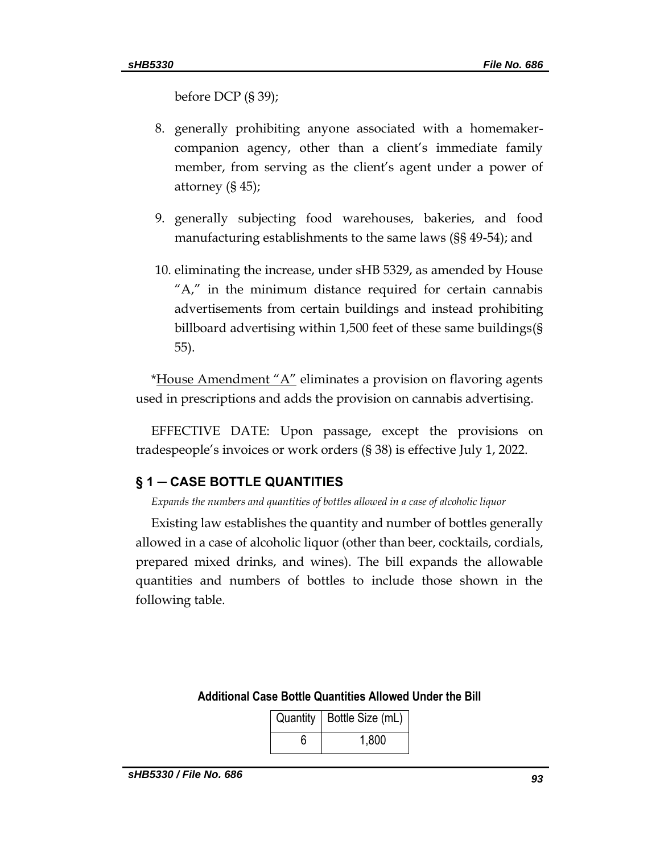before DCP (§ 39);

- 8. generally prohibiting anyone associated with a homemakercompanion agency, other than a client's immediate family member, from serving as the client's agent under a power of attorney (§ 45);
- 9. generally subjecting food warehouses, bakeries, and food manufacturing establishments to the same laws (§§ 49-54); and
- 10. eliminating the increase, under sHB 5329, as amended by House "A," in the minimum distance required for certain cannabis advertisements from certain buildings and instead prohibiting billboard advertising within 1,500 feet of these same buildings(§ 55).

\*House Amendment "A" eliminates a provision on flavoring agents used in prescriptions and adds the provision on cannabis advertising.

EFFECTIVE DATE: Upon passage, except the provisions on tradespeople's invoices or work orders (§ 38) is effective July 1, 2022.

# <span id="page-92-0"></span>**§ 1 ─ CASE BOTTLE QUANTITIES**

<span id="page-92-1"></span>*Expands the numbers and quantities of bottles allowed in a case of alcoholic liquor*

Existing law establishes the quantity and number of bottles generally allowed in a case of alcoholic liquor (other than beer, cocktails, cordials, prepared mixed drinks, and wines). The bill expands the allowable quantities and numbers of bottles to include those shown in the following table.

| Quantity   Bottle Size (mL) |
|-----------------------------|
| 1.800                       |

### **Additional Case Bottle Quantities Allowed Under the Bill**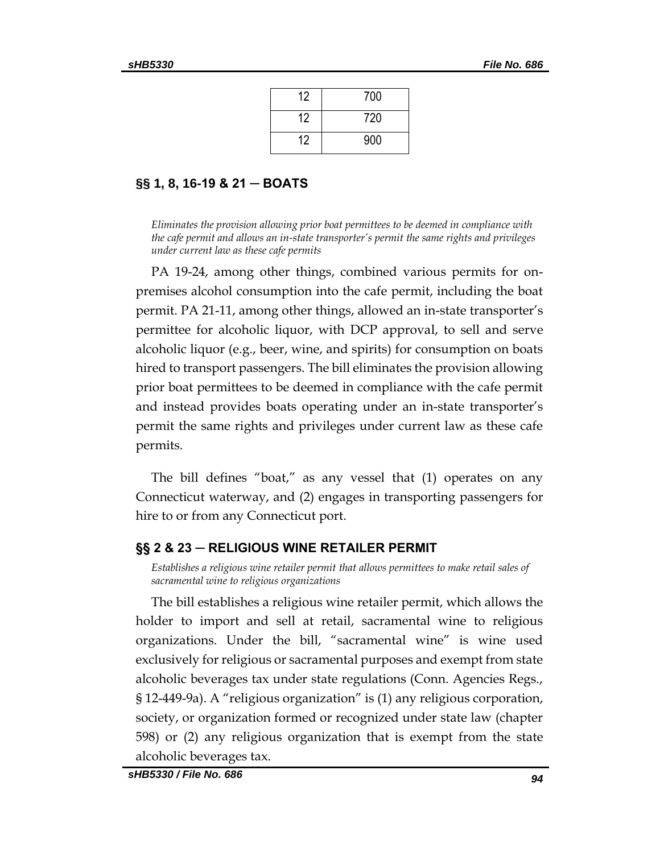| 12 | 700 |
|----|-----|
| 12 | 720 |
| 12 | 900 |

# <span id="page-93-0"></span>**§§ 1, 8, 16-19 & 21 ─ BOATS**

<span id="page-93-1"></span>*Eliminates the provision allowing prior boat permittees to be deemed in compliance with the cafe permit and allows an in-state transporter's permit the same rights and privileges under current law as these cafe permits*

PA 19-24, among other things, combined various permits for onpremises alcohol consumption into the cafe permit, including the boat permit. PA 21-11, among other things, allowed an in-state transporter's permittee for alcoholic liquor, with DCP approval, to sell and serve alcoholic liquor (e.g., beer, wine, and spirits) for consumption on boats hired to transport passengers. The bill eliminates the provision allowing prior boat permittees to be deemed in compliance with the cafe permit and instead provides boats operating under an in-state transporter's permit the same rights and privileges under current law as these cafe permits.

The bill defines "boat," as any vessel that (1) operates on any Connecticut waterway, and (2) engages in transporting passengers for hire to or from any Connecticut port.

# <span id="page-93-2"></span>**§§ 2 & 23 ─ RELIGIOUS WINE RETAILER PERMIT**

<span id="page-93-3"></span>*Establishes a religious wine retailer permit that allows permittees to make retail sales of sacramental wine to religious organizations*

The bill establishes a religious wine retailer permit, which allows the holder to import and sell at retail, sacramental wine to religious organizations. Under the bill, "sacramental wine" is wine used exclusively for religious or sacramental purposes and exempt from state alcoholic beverages tax under state regulations (Conn. Agencies Regs., § 12-449-9a). A "religious organization" is (1) any religious corporation, society, or organization formed or recognized under state law (chapter 598) or (2) any religious organization that is exempt from the state alcoholic beverages tax.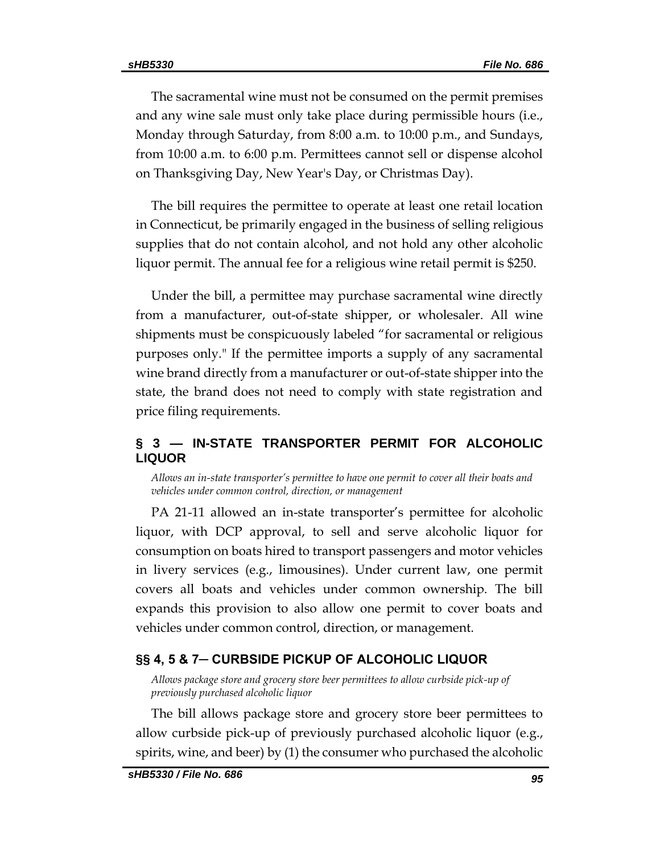The sacramental wine must not be consumed on the permit premises and any wine sale must only take place during permissible hours (i.e., Monday through Saturday, from 8:00 a.m. to 10:00 p.m., and Sundays, from 10:00 a.m. to 6:00 p.m. Permittees cannot sell or dispense alcohol on Thanksgiving Day, New Year's Day, or Christmas Day).

The bill requires the permittee to operate at least one retail location in Connecticut, be primarily engaged in the business of selling religious supplies that do not contain alcohol, and not hold any other alcoholic liquor permit. The annual fee for a religious wine retail permit is \$250.

Under the bill, a permittee may purchase sacramental wine directly from a manufacturer, out-of-state shipper, or wholesaler. All wine shipments must be conspicuously labeled "for sacramental or religious purposes only." If the permittee imports a supply of any sacramental wine brand directly from a manufacturer or out-of-state shipper into the state, the brand does not need to comply with state registration and price filing requirements.

# <span id="page-94-0"></span>**§ 3 — IN-STATE TRANSPORTER PERMIT FOR ALCOHOLIC LIQUOR**

<span id="page-94-1"></span>*Allows an in-state transporter's permittee to have one permit to cover all their boats and vehicles under common control, direction, or management*

PA 21-11 allowed an in-state transporter's permittee for alcoholic liquor, with DCP approval, to sell and serve alcoholic liquor for consumption on boats hired to transport passengers and motor vehicles in livery services (e.g., limousines). Under current law, one permit covers all boats and vehicles under common ownership. The bill expands this provision to also allow one permit to cover boats and vehicles under common control, direction, or management.

# <span id="page-94-2"></span>**§§ 4, 5 & 7─ CURBSIDE PICKUP OF ALCOHOLIC LIQUOR**

<span id="page-94-3"></span>*Allows package store and grocery store beer permittees to allow curbside pick-up of previously purchased alcoholic liquor*

The bill allows package store and grocery store beer permittees to allow curbside pick-up of previously purchased alcoholic liquor (e.g., spirits, wine, and beer) by (1) the consumer who purchased the alcoholic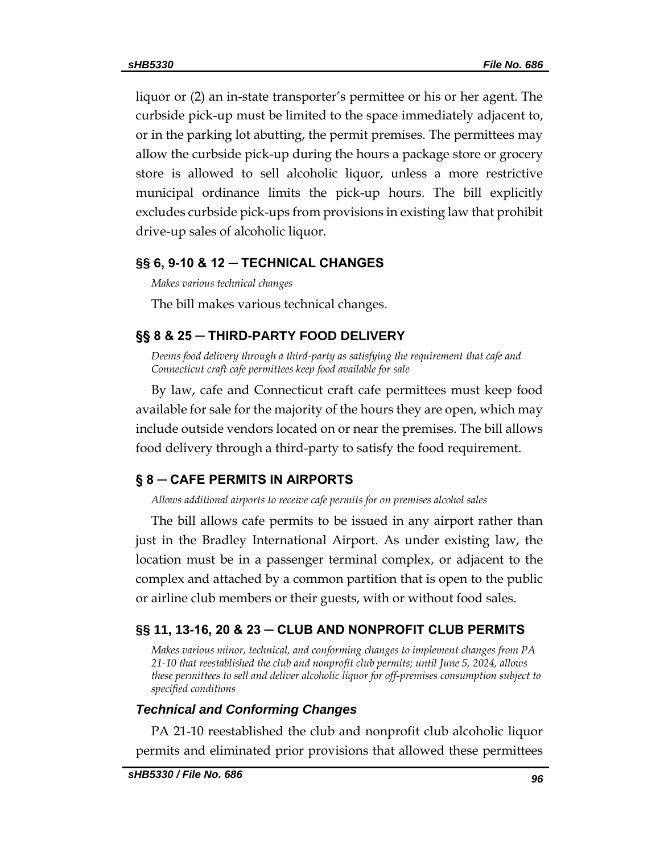liquor or (2) an in-state transporter's permittee or his or her agent. The curbside pick-up must be limited to the space immediately adjacent to, or in the parking lot abutting, the permit premises. The permittees may allow the curbside pick-up during the hours a package store or grocery store is allowed to sell alcoholic liquor, unless a more restrictive municipal ordinance limits the pick-up hours. The bill explicitly excludes curbside pick-ups from provisions in existing law that prohibit drive-up sales of alcoholic liquor.

# <span id="page-95-0"></span>**§§ 6, 9-10 & 12 ─ TECHNICAL CHANGES**

<span id="page-95-1"></span>*Makes various technical changes*

The bill makes various technical changes.

# <span id="page-95-2"></span>**§§ 8 & 25 ─ THIRD-PARTY FOOD DELIVERY**

<span id="page-95-3"></span>*Deems food delivery through a third-party as satisfying the requirement that cafe and Connecticut craft cafe permittees keep food available for sale*

By law, cafe and Connecticut craft cafe permittees must keep food available for sale for the majority of the hours they are open, which may include outside vendors located on or near the premises. The bill allows food delivery through a third-party to satisfy the food requirement.

# <span id="page-95-4"></span>**§ 8 ─ CAFE PERMITS IN AIRPORTS**

<span id="page-95-5"></span>*Allows additional airports to receive cafe permits for on premises alcohol sales*

The bill allows cafe permits to be issued in any airport rather than just in the Bradley International Airport. As under existing law, the location must be in a passenger terminal complex, or adjacent to the complex and attached by a common partition that is open to the public or airline club members or their guests, with or without food sales.

# <span id="page-95-6"></span>**§§ 11, 13-16, 20 & 23 ─ CLUB AND NONPROFIT CLUB PERMITS**

<span id="page-95-7"></span>*Makes various minor, technical, and conforming changes to implement changes from PA 21-10 that reestablished the club and nonprofit club permits; until June 5, 2024, allows these permittees to sell and deliver alcoholic liquor for off-premises consumption subject to specified conditions*

# *Technical and Conforming Changes*

PA 21-10 reestablished the club and nonprofit club alcoholic liquor permits and eliminated prior provisions that allowed these permittees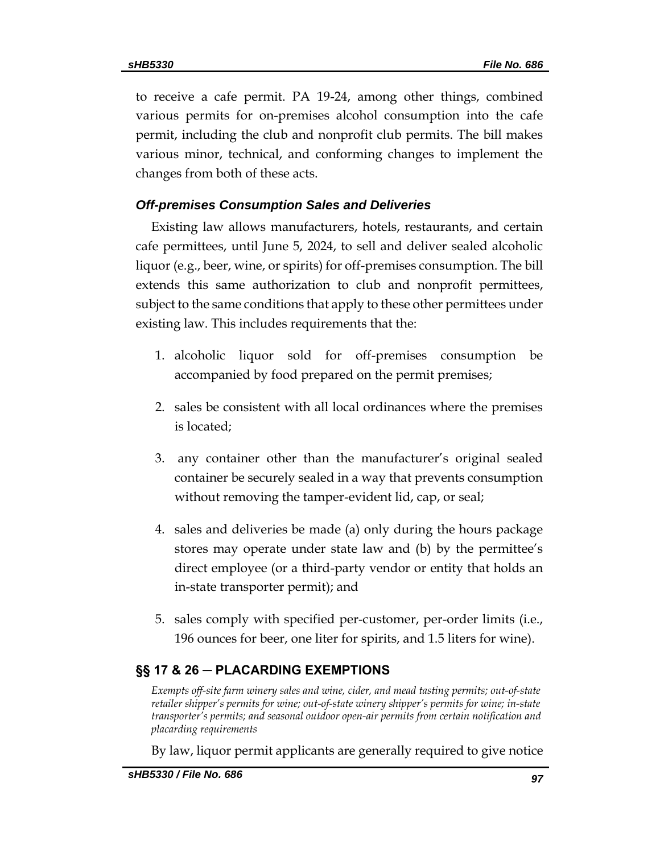to receive a cafe permit. PA 19-24, among other things, combined various permits for on-premises alcohol consumption into the cafe permit, including the club and nonprofit club permits. The bill makes various minor, technical, and conforming changes to implement the changes from both of these acts.

# *Off-premises Consumption Sales and Deliveries*

Existing law allows manufacturers, hotels, restaurants, and certain cafe permittees, until June 5, 2024, to sell and deliver sealed alcoholic liquor (e.g., beer, wine, or spirits) for off-premises consumption. The bill extends this same authorization to club and nonprofit permittees, subject to the same conditions that apply to these other permittees under existing law. This includes requirements that the:

- 1. alcoholic liquor sold for off-premises consumption be accompanied by food prepared on the permit premises;
- 2. sales be consistent with all local ordinances where the premises is located;
- 3. any container other than the manufacturer's original sealed container be securely sealed in a way that prevents consumption without removing the tamper-evident lid, cap, or seal;
- 4. sales and deliveries be made (a) only during the hours package stores may operate under state law and (b) by the permittee's direct employee (or a third-party vendor or entity that holds an in-state transporter permit); and
- 5. sales comply with specified per-customer, per-order limits (i.e., 196 ounces for beer, one liter for spirits, and 1.5 liters for wine).

# <span id="page-96-0"></span>**§§ 17 & 26 ─ PLACARDING EXEMPTIONS**

<span id="page-96-1"></span>*Exempts off-site farm winery sales and wine, cider, and mead tasting permits; out-of-state retailer shipper's permits for wine; out-of-state winery shipper's permits for wine; in-state transporter's permits; and seasonal outdoor open-air permits from certain notification and placarding requirements*

By law, liquor permit applicants are generally required to give notice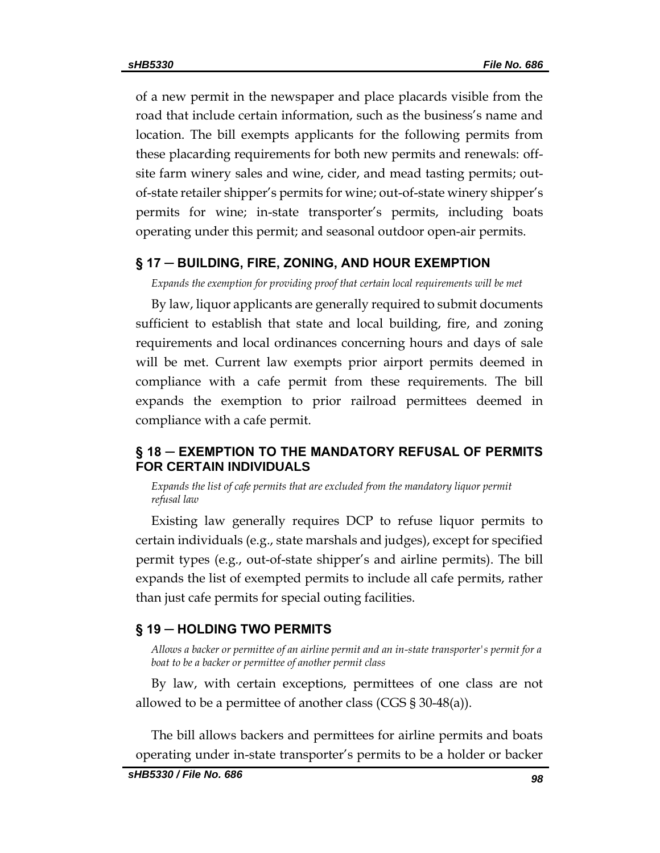of a new permit in the newspaper and place placards visible from the road that include certain information, such as the business's name and location. The bill exempts applicants for the following permits from these placarding requirements for both new permits and renewals: offsite farm winery sales and wine, cider, and mead tasting permits; outof-state retailer shipper's permits for wine; out-of-state winery shipper's permits for wine; in-state transporter's permits, including boats operating under this permit; and seasonal outdoor open-air permits.

### <span id="page-97-0"></span>**§ 17 ─ BUILDING, FIRE, ZONING, AND HOUR EXEMPTION**

<span id="page-97-1"></span>*Expands the exemption for providing proof that certain local requirements will be met*

By law, liquor applicants are generally required to submit documents sufficient to establish that state and local building, fire, and zoning requirements and local ordinances concerning hours and days of sale will be met. Current law exempts prior airport permits deemed in compliance with a cafe permit from these requirements. The bill expands the exemption to prior railroad permittees deemed in compliance with a cafe permit.

# <span id="page-97-2"></span>**§ 18 ─ EXEMPTION TO THE MANDATORY REFUSAL OF PERMITS FOR CERTAIN INDIVIDUALS**

<span id="page-97-3"></span>Expands the list of cafe permits that are excluded from the mandatory liquor permit *refusal law*

Existing law generally requires DCP to refuse liquor permits to certain individuals (e.g., state marshals and judges), except for specified permit types (e.g., out-of-state shipper's and airline permits). The bill expands the list of exempted permits to include all cafe permits, rather than just cafe permits for special outing facilities.

### <span id="page-97-4"></span>**§ 19 ─ HOLDING TWO PERMITS**

<span id="page-97-5"></span>*Allows a backer or permittee of an airline permit and an in-state transporter's permit for a boat to be a backer or permittee of another permit class*

By law, with certain exceptions, permittees of one class are not allowed to be a permittee of another class (CGS § 30-48(a)).

The bill allows backers and permittees for airline permits and boats operating under in-state transporter's permits to be a holder or backer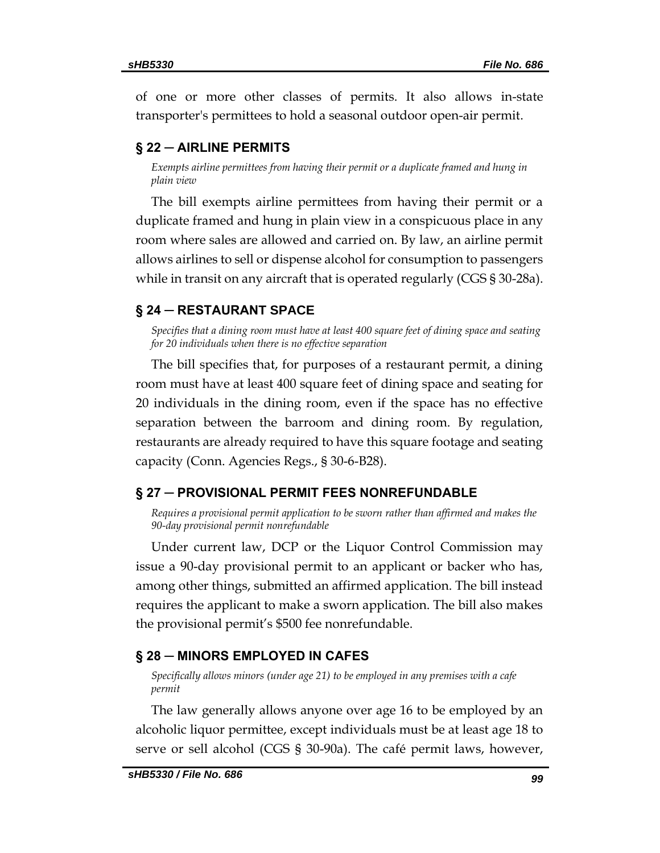of one or more other classes of permits. It also allows in-state transporter's permittees to hold a seasonal outdoor open-air permit.

# <span id="page-98-0"></span>**§ 22 ─ AIRLINE PERMITS**

<span id="page-98-1"></span>*Exempts airline permittees from having their permit or a duplicate framed and hung in plain view*

The bill exempts airline permittees from having their permit or a duplicate framed and hung in plain view in a conspicuous place in any room where sales are allowed and carried on. By law, an airline permit allows airlines to sell or dispense alcohol for consumption to passengers while in transit on any aircraft that is operated regularly (CGS § 30-28a).

### <span id="page-98-2"></span>**§ 24 ─ RESTAURANT SPACE**

<span id="page-98-3"></span>*Specifies that a dining room must have at least 400 square feet of dining space and seating for 20 individuals when there is no effective separation*

The bill specifies that, for purposes of a restaurant permit, a dining room must have at least 400 square feet of dining space and seating for 20 individuals in the dining room, even if the space has no effective separation between the barroom and dining room. By regulation, restaurants are already required to have this square footage and seating capacity (Conn. Agencies Regs., § 30-6-B28).

### <span id="page-98-4"></span>**§ 27 ─ PROVISIONAL PERMIT FEES NONREFUNDABLE**

<span id="page-98-5"></span>*Requires a provisional permit application to be sworn rather than affirmed and makes the 90-day provisional permit nonrefundable*

Under current law, DCP or the Liquor Control Commission may issue a 90-day provisional permit to an applicant or backer who has, among other things, submitted an affirmed application. The bill instead requires the applicant to make a sworn application. The bill also makes the provisional permit's \$500 fee nonrefundable.

### <span id="page-98-6"></span>**§ 28 ─ MINORS EMPLOYED IN CAFES**

<span id="page-98-7"></span>*Specifically allows minors (under age 21) to be employed in any premises with a cafe permit*

The law generally allows anyone over age 16 to be employed by an alcoholic liquor permittee, except individuals must be at least age 18 to serve or sell alcohol (CGS § 30-90a). The café permit laws, however,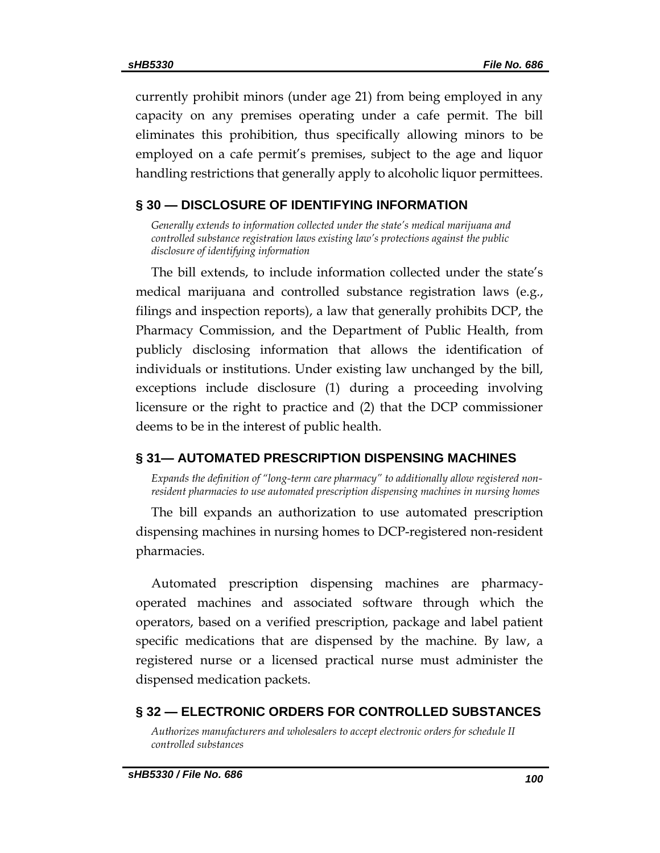currently prohibit minors (under age 21) from being employed in any capacity on any premises operating under a cafe permit. The bill eliminates this prohibition, thus specifically allowing minors to be employed on a cafe permit's premises, subject to the age and liquor handling restrictions that generally apply to alcoholic liquor permittees.

# <span id="page-99-0"></span>**§ 30 — DISCLOSURE OF IDENTIFYING INFORMATION**

<span id="page-99-1"></span>*Generally extends to information collected under the state's medical marijuana and controlled substance registration laws existing law's protections against the public disclosure of identifying information*

The bill extends, to include information collected under the state's medical marijuana and controlled substance registration laws (e.g., filings and inspection reports), a law that generally prohibits DCP, the Pharmacy Commission, and the Department of Public Health, from publicly disclosing information that allows the identification of individuals or institutions. Under existing law unchanged by the bill, exceptions include disclosure (1) during a proceeding involving licensure or the right to practice and (2) that the DCP commissioner deems to be in the interest of public health.

# <span id="page-99-2"></span>**§ 31— AUTOMATED PRESCRIPTION DISPENSING MACHINES**

<span id="page-99-3"></span>*Expands the definition of "long-term care pharmacy" to additionally allow registered nonresident pharmacies to use automated prescription dispensing machines in nursing homes*

The bill expands an authorization to use automated prescription dispensing machines in nursing homes to DCP-registered non-resident pharmacies.

Automated prescription dispensing machines are pharmacyoperated machines and associated software through which the operators, based on a verified prescription, package and label patient specific medications that are dispensed by the machine. By law, a registered nurse or a licensed practical nurse must administer the dispensed medication packets.

# <span id="page-99-4"></span>**§ 32 — ELECTRONIC ORDERS FOR CONTROLLED SUBSTANCES**

<span id="page-99-5"></span>*Authorizes manufacturers and wholesalers to accept electronic orders for schedule II controlled substances*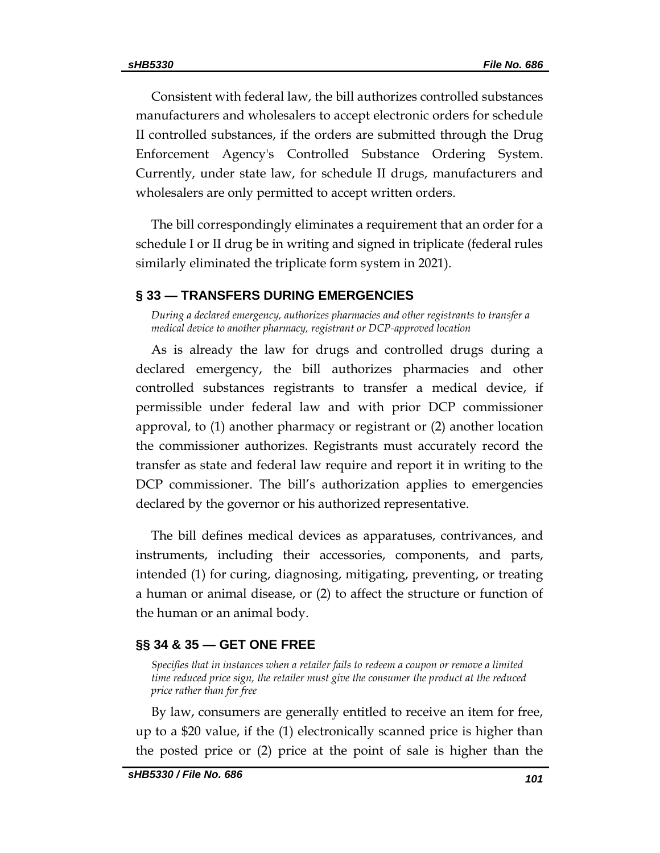Consistent with federal law, the bill authorizes controlled substances manufacturers and wholesalers to accept electronic orders for schedule II controlled substances, if the orders are submitted through the Drug Enforcement Agency's Controlled Substance Ordering System. Currently, under state law, for schedule II drugs, manufacturers and wholesalers are only permitted to accept written orders.

The bill correspondingly eliminates a requirement that an order for a schedule I or II drug be in writing and signed in triplicate (federal rules similarly eliminated the triplicate form system in 2021).

# <span id="page-100-0"></span>**§ 33 — TRANSFERS DURING EMERGENCIES**

<span id="page-100-1"></span>*During a declared emergency, authorizes pharmacies and other registrants to transfer a medical device to another pharmacy, registrant or DCP-approved location*

As is already the law for drugs and controlled drugs during a declared emergency, the bill authorizes pharmacies and other controlled substances registrants to transfer a medical device, if permissible under federal law and with prior DCP commissioner approval, to (1) another pharmacy or registrant or (2) another location the commissioner authorizes. Registrants must accurately record the transfer as state and federal law require and report it in writing to the DCP commissioner. The bill's authorization applies to emergencies declared by the governor or his authorized representative.

The bill defines medical devices as apparatuses, contrivances, and instruments, including their accessories, components, and parts, intended (1) for curing, diagnosing, mitigating, preventing, or treating a human or animal disease, or (2) to affect the structure or function of the human or an animal body.

# <span id="page-100-2"></span>**§§ 34 & 35 — GET ONE FREE**

<span id="page-100-3"></span>*Specifies that in instances when a retailer fails to redeem a coupon or remove a limited time reduced price sign, the retailer must give the consumer the product at the reduced price rather than for free*

By law, consumers are generally entitled to receive an item for free, up to a \$20 value, if the (1) electronically scanned price is higher than the posted price or (2) price at the point of sale is higher than the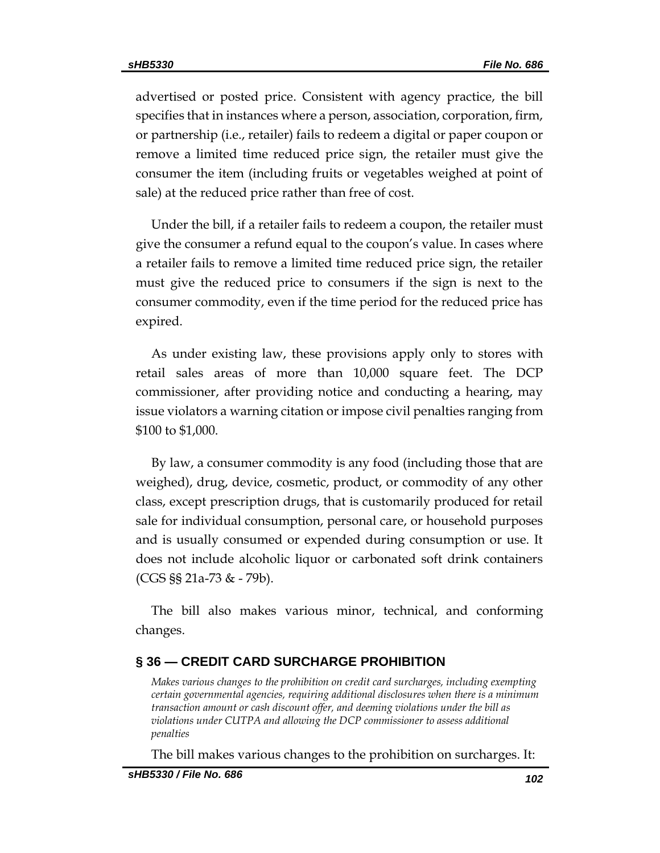advertised or posted price. Consistent with agency practice, the bill specifies that in instances where a person, association, corporation, firm, or partnership (i.e., retailer) fails to redeem a digital or paper coupon or remove a limited time reduced price sign, the retailer must give the consumer the item (including fruits or vegetables weighed at point of sale) at the reduced price rather than free of cost.

Under the bill, if a retailer fails to redeem a coupon, the retailer must give the consumer a refund equal to the coupon's value. In cases where a retailer fails to remove a limited time reduced price sign, the retailer must give the reduced price to consumers if the sign is next to the consumer commodity, even if the time period for the reduced price has expired.

As under existing law, these provisions apply only to stores with retail sales areas of more than 10,000 square feet. The DCP commissioner, after providing notice and conducting a hearing, may issue violators a warning citation or impose civil penalties ranging from \$100 to \$1,000.

By law, a consumer commodity is any food (including those that are weighed), drug, device, cosmetic, product, or commodity of any other class, except prescription drugs, that is customarily produced for retail sale for individual consumption, personal care, or household purposes and is usually consumed or expended during consumption or use. It does not include alcoholic liquor or carbonated soft drink containers (CGS §§ 21a-73 & - 79b).

The bill also makes various minor, technical, and conforming changes.

# <span id="page-101-0"></span>**§ 36 — CREDIT CARD SURCHARGE PROHIBITION**

<span id="page-101-1"></span>*Makes various changes to the prohibition on credit card surcharges, including exempting certain governmental agencies, requiring additional disclosures when there is a minimum transaction amount or cash discount offer, and deeming violations under the bill as violations under CUTPA and allowing the DCP commissioner to assess additional penalties*

The bill makes various changes to the prohibition on surcharges. It: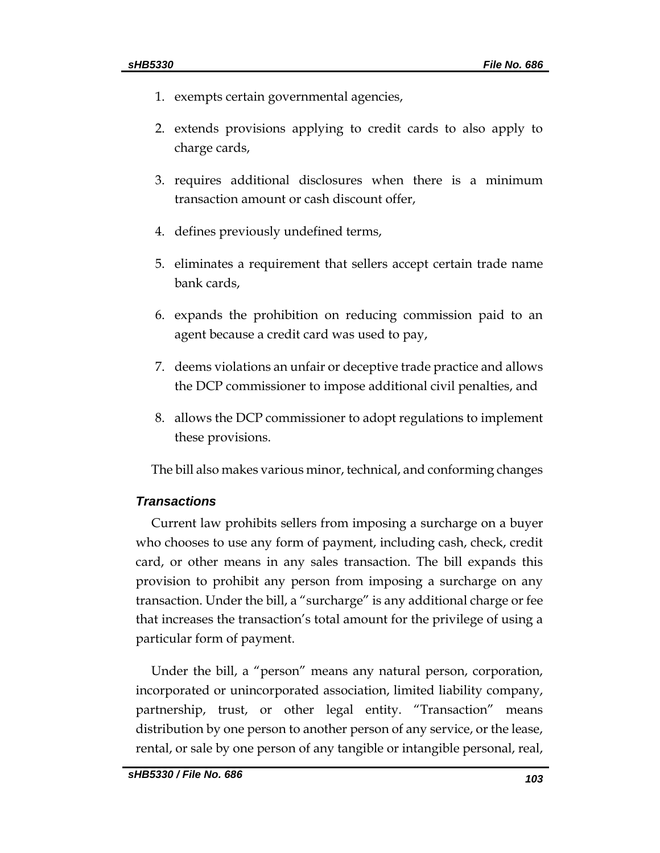- 1. exempts certain governmental agencies,
- 2. extends provisions applying to credit cards to also apply to charge cards,
- 3. requires additional disclosures when there is a minimum transaction amount or cash discount offer,
- 4. defines previously undefined terms,
- 5. eliminates a requirement that sellers accept certain trade name bank cards,
- 6. expands the prohibition on reducing commission paid to an agent because a credit card was used to pay,
- 7. deems violations an unfair or deceptive trade practice and allows the DCP commissioner to impose additional civil penalties, and
- 8. allows the DCP commissioner to adopt regulations to implement these provisions.

The bill also makes various minor, technical, and conforming changes

### *Transactions*

Current law prohibits sellers from imposing a surcharge on a buyer who chooses to use any form of payment, including cash, check, credit card, or other means in any sales transaction. The bill expands this provision to prohibit any person from imposing a surcharge on any transaction. Under the bill, a "surcharge" is any additional charge or fee that increases the transaction's total amount for the privilege of using a particular form of payment.

Under the bill, a "person" means any natural person, corporation, incorporated or unincorporated association, limited liability company, partnership, trust, or other legal entity. "Transaction" means distribution by one person to another person of any service, or the lease, rental, or sale by one person of any tangible or intangible personal, real,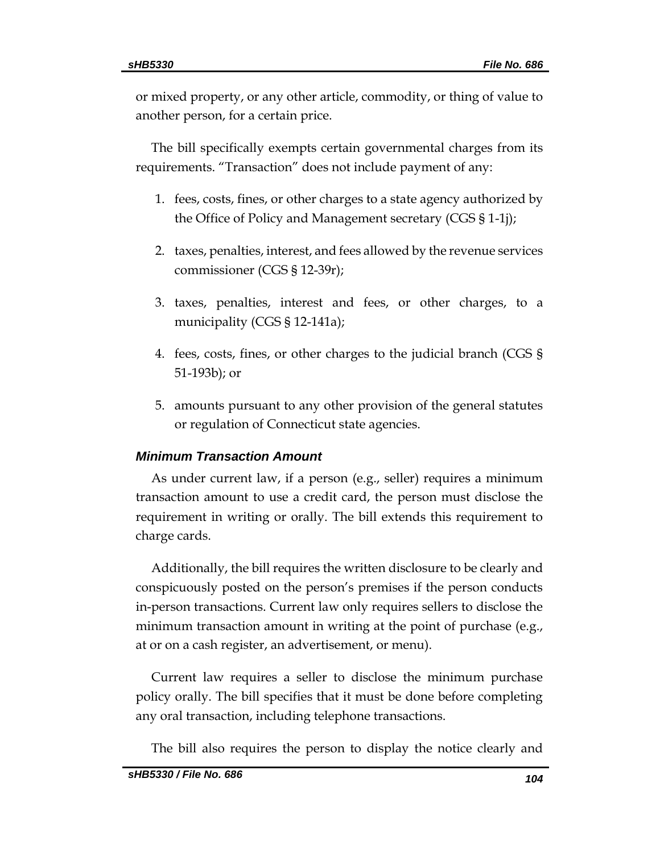or mixed property, or any other article, commodity, or thing of value to another person, for a certain price.

The bill specifically exempts certain governmental charges from its requirements. "Transaction" does not include payment of any:

- 1. fees, costs, fines, or other charges to a state agency authorized by the Office of Policy and Management secretary (CGS § 1-1j);
- 2. taxes, penalties, interest, and fees allowed by the revenue services commissioner (CGS § 12-39r);
- 3. taxes, penalties, interest and fees, or other charges, to a municipality (CGS § 12-141a);
- 4. fees, costs, fines, or other charges to the judicial branch (CGS § 51-193b); or
- 5. amounts pursuant to any other provision of the general statutes or regulation of Connecticut state agencies.

# *Minimum Transaction Amount*

As under current law, if a person (e.g., seller) requires a minimum transaction amount to use a credit card, the person must disclose the requirement in writing or orally. The bill extends this requirement to charge cards.

Additionally, the bill requires the written disclosure to be clearly and conspicuously posted on the person's premises if the person conducts in-person transactions. Current law only requires sellers to disclose the minimum transaction amount in writing at the point of purchase (e.g., at or on a cash register, an advertisement, or menu).

Current law requires a seller to disclose the minimum purchase policy orally. The bill specifies that it must be done before completing any oral transaction, including telephone transactions.

The bill also requires the person to display the notice clearly and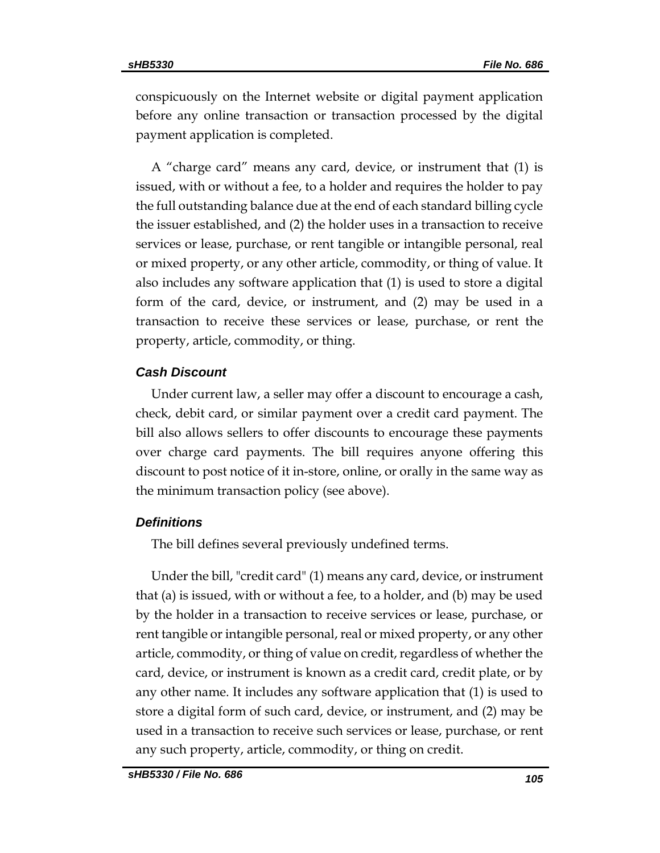conspicuously on the Internet website or digital payment application before any online transaction or transaction processed by the digital payment application is completed.

A "charge card" means any card, device, or instrument that (1) is issued, with or without a fee, to a holder and requires the holder to pay the full outstanding balance due at the end of each standard billing cycle the issuer established, and (2) the holder uses in a transaction to receive services or lease, purchase, or rent tangible or intangible personal, real or mixed property, or any other article, commodity, or thing of value. It also includes any software application that (1) is used to store a digital form of the card, device, or instrument, and (2) may be used in a transaction to receive these services or lease, purchase, or rent the property, article, commodity, or thing.

### *Cash Discount*

Under current law, a seller may offer a discount to encourage a cash, check, debit card, or similar payment over a credit card payment. The bill also allows sellers to offer discounts to encourage these payments over charge card payments. The bill requires anyone offering this discount to post notice of it in-store, online, or orally in the same way as the minimum transaction policy (see above).

### *Definitions*

The bill defines several previously undefined terms.

Under the bill, "credit card" (1) means any card, device, or instrument that (a) is issued, with or without a fee, to a holder, and (b) may be used by the holder in a transaction to receive services or lease, purchase, or rent tangible or intangible personal, real or mixed property, or any other article, commodity, or thing of value on credit, regardless of whether the card, device, or instrument is known as a credit card, credit plate, or by any other name. It includes any software application that (1) is used to store a digital form of such card, device, or instrument, and (2) may be used in a transaction to receive such services or lease, purchase, or rent any such property, article, commodity, or thing on credit.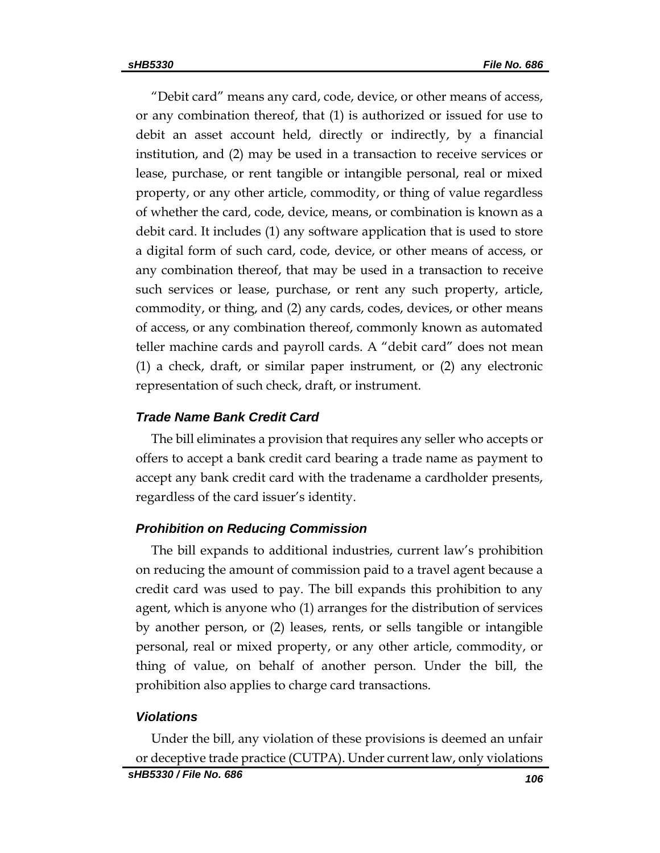"Debit card" means any card, code, device, or other means of access, or any combination thereof, that (1) is authorized or issued for use to debit an asset account held, directly or indirectly, by a financial institution, and (2) may be used in a transaction to receive services or lease, purchase, or rent tangible or intangible personal, real or mixed property, or any other article, commodity, or thing of value regardless of whether the card, code, device, means, or combination is known as a debit card. It includes (1) any software application that is used to store a digital form of such card, code, device, or other means of access, or any combination thereof, that may be used in a transaction to receive such services or lease, purchase, or rent any such property, article, commodity, or thing, and (2) any cards, codes, devices, or other means of access, or any combination thereof, commonly known as automated teller machine cards and payroll cards. A "debit card" does not mean (1) a check, draft, or similar paper instrument, or (2) any electronic representation of such check, draft, or instrument.

# *Trade Name Bank Credit Card*

The bill eliminates a provision that requires any seller who accepts or offers to accept a bank credit card bearing a trade name as payment to accept any bank credit card with the tradename a cardholder presents, regardless of the card issuer's identity.

# *Prohibition on Reducing Commission*

The bill expands to additional industries, current law's prohibition on reducing the amount of commission paid to a travel agent because a credit card was used to pay. The bill expands this prohibition to any agent, which is anyone who (1) arranges for the distribution of services by another person, or (2) leases, rents, or sells tangible or intangible personal, real or mixed property, or any other article, commodity, or thing of value, on behalf of another person. Under the bill, the prohibition also applies to charge card transactions.

### *Violations*

Under the bill, any violation of these provisions is deemed an unfair or deceptive trade practice (CUTPA). Under current law, only violations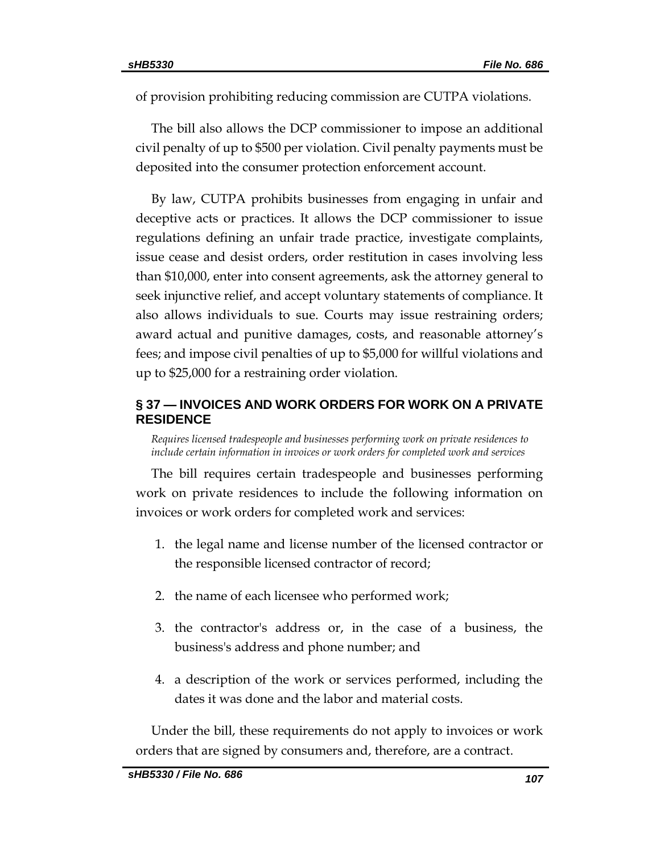of provision prohibiting reducing commission are CUTPA violations.

The bill also allows the DCP commissioner to impose an additional civil penalty of up to \$500 per violation. Civil penalty payments must be deposited into the consumer protection enforcement account.

By law, CUTPA prohibits businesses from engaging in unfair and deceptive acts or practices. It allows the DCP commissioner to issue regulations defining an unfair trade practice, investigate complaints, issue cease and desist orders, order restitution in cases involving less than \$10,000, enter into consent agreements, ask the attorney general to seek injunctive relief, and accept voluntary statements of compliance. It also allows individuals to sue. Courts may issue restraining orders; award actual and punitive damages, costs, and reasonable attorney's fees; and impose civil penalties of up to \$5,000 for willful violations and up to \$25,000 for a restraining order violation.

# <span id="page-106-0"></span>**§ 37 — INVOICES AND WORK ORDERS FOR WORK ON A PRIVATE RESIDENCE**

<span id="page-106-1"></span>*Requires licensed tradespeople and businesses performing work on private residences to include certain information in invoices or work orders for completed work and services*

The bill requires certain tradespeople and businesses performing work on private residences to include the following information on invoices or work orders for completed work and services:

- 1. the legal name and license number of the licensed contractor or the responsible licensed contractor of record;
- 2. the name of each licensee who performed work;
- 3. the contractor's address or, in the case of a business, the business's address and phone number; and
- 4. a description of the work or services performed, including the dates it was done and the labor and material costs.

Under the bill, these requirements do not apply to invoices or work orders that are signed by consumers and, therefore, are a contract.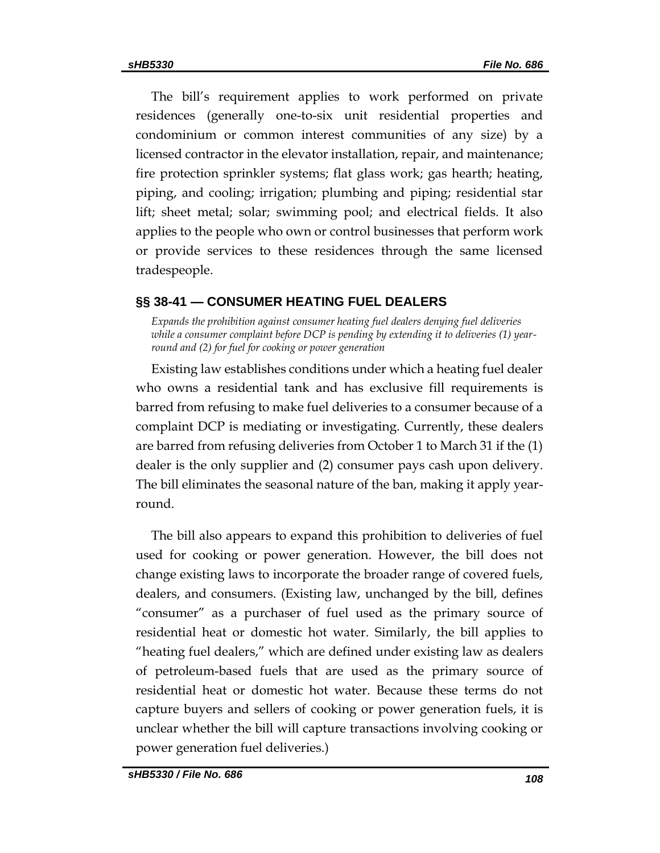The bill's requirement applies to work performed on private residences (generally one-to-six unit residential properties and condominium or common interest communities of any size) by a licensed contractor in the elevator installation, repair, and maintenance; fire protection sprinkler systems; flat glass work; gas hearth; heating, piping, and cooling; irrigation; plumbing and piping; residential star lift; sheet metal; solar; swimming pool; and electrical fields. It also applies to the people who own or control businesses that perform work or provide services to these residences through the same licensed tradespeople.

# <span id="page-107-0"></span>**§§ 38-41 — CONSUMER HEATING FUEL DEALERS**

<span id="page-107-1"></span>*Expands the prohibition against consumer heating fuel dealers denying fuel deliveries while a consumer complaint before DCP is pending by extending it to deliveries (1) yearround and (2) for fuel for cooking or power generation* 

Existing law establishes conditions under which a heating fuel dealer who owns a residential tank and has exclusive fill requirements is barred from refusing to make fuel deliveries to a consumer because of a complaint DCP is mediating or investigating. Currently, these dealers are barred from refusing deliveries from October 1 to March 31 if the (1) dealer is the only supplier and (2) consumer pays cash upon delivery. The bill eliminates the seasonal nature of the ban, making it apply yearround.

The bill also appears to expand this prohibition to deliveries of fuel used for cooking or power generation. However, the bill does not change existing laws to incorporate the broader range of covered fuels, dealers, and consumers. (Existing law, unchanged by the bill, defines "consumer" as a purchaser of fuel used as the primary source of residential heat or domestic hot water. Similarly, the bill applies to "heating fuel dealers," which are defined under existing law as dealers of petroleum-based fuels that are used as the primary source of residential heat or domestic hot water. Because these terms do not capture buyers and sellers of cooking or power generation fuels, it is unclear whether the bill will capture transactions involving cooking or power generation fuel deliveries.)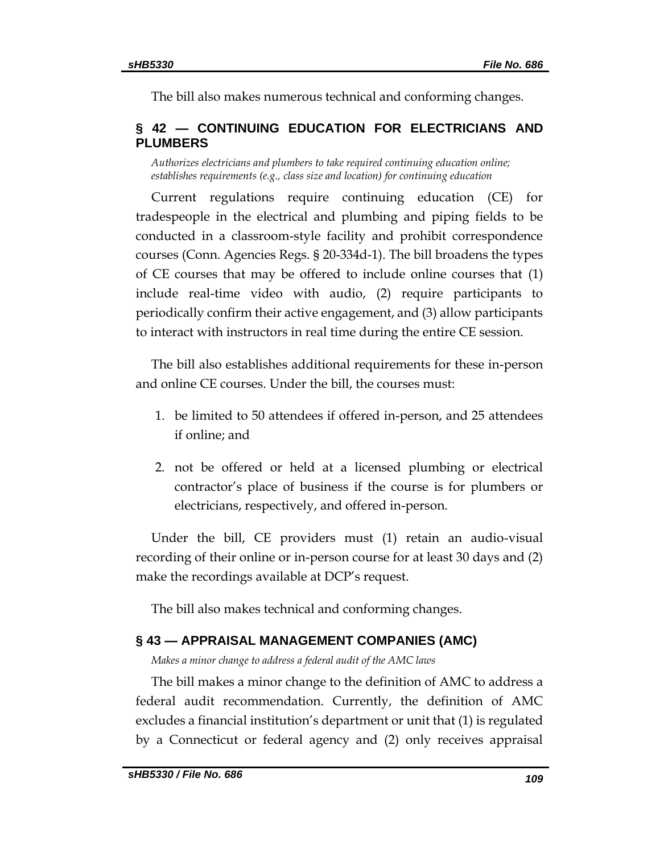The bill also makes numerous technical and conforming changes.

# **§ 42 — CONTINUING EDUCATION FOR ELECTRICIANS AND PLUMBERS**

*Authorizes electricians and plumbers to take required continuing education online; establishes requirements (e.g., class size and location) for continuing education* 

Current regulations require continuing education (CE) for tradespeople in the electrical and plumbing and piping fields to be conducted in a classroom-style facility and prohibit correspondence courses (Conn. Agencies Regs. § 20-334d-1). The bill broadens the types of CE courses that may be offered to include online courses that (1) include real-time video with audio, (2) require participants to periodically confirm their active engagement, and (3) allow participants to interact with instructors in real time during the entire CE session.

The bill also establishes additional requirements for these in-person and online CE courses. Under the bill, the courses must:

- 1. be limited to 50 attendees if offered in-person, and 25 attendees if online; and
- 2. not be offered or held at a licensed plumbing or electrical contractor's place of business if the course is for plumbers or electricians, respectively, and offered in-person.

Under the bill, CE providers must (1) retain an audio-visual recording of their online or in-person course for at least 30 days and (2) make the recordings available at DCP's request.

The bill also makes technical and conforming changes.

## **§ 43 — APPRAISAL MANAGEMENT COMPANIES (AMC)**

*Makes a minor change to address a federal audit of the AMC laws*

The bill makes a minor change to the definition of AMC to address a federal audit recommendation. Currently, the definition of AMC excludes a financial institution's department or unit that (1) is regulated by a Connecticut or federal agency and (2) only receives appraisal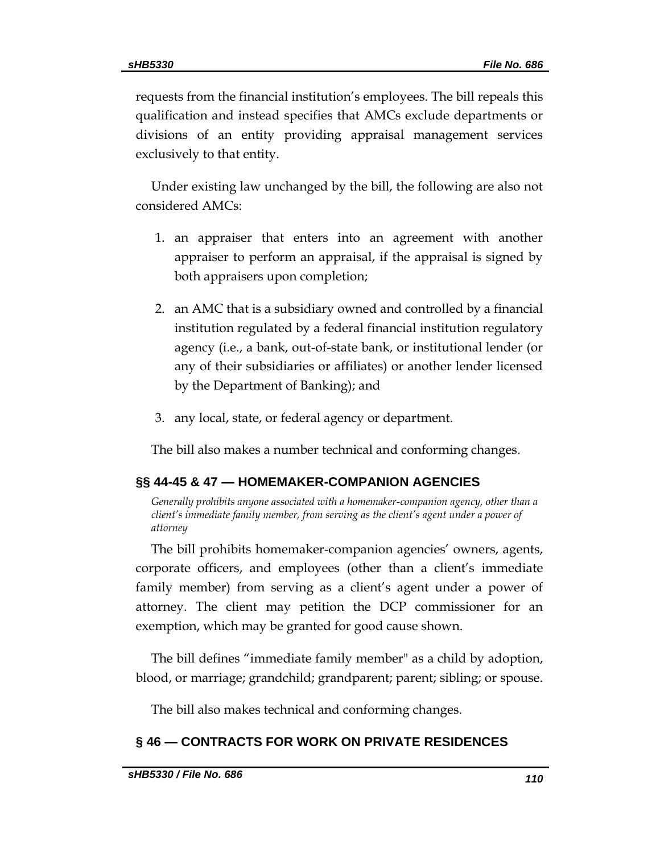requests from the financial institution's employees. The bill repeals this qualification and instead specifies that AMCs exclude departments or divisions of an entity providing appraisal management services exclusively to that entity.

Under existing law unchanged by the bill, the following are also not considered AMCs:

- 1. an appraiser that enters into an agreement with another appraiser to perform an appraisal, if the appraisal is signed by both appraisers upon completion;
- 2. an AMC that is a subsidiary owned and controlled by a financial institution regulated by a federal financial institution regulatory agency (i.e., a bank, out-of-state bank, or institutional lender (or any of their subsidiaries or affiliates) or another lender licensed by the Department of Banking); and
- 3. any local, state, or federal agency or department.

The bill also makes a number technical and conforming changes.

### **§§ 44-45 & 47 — HOMEMAKER-COMPANION AGENCIES**

*Generally prohibits anyone associated with a homemaker-companion agency, other than a client's immediate family member, from serving as the client's agent under a power of attorney*

The bill prohibits homemaker-companion agencies' owners, agents, corporate officers, and employees (other than a client's immediate family member) from serving as a client's agent under a power of attorney. The client may petition the DCP commissioner for an exemption, which may be granted for good cause shown.

The bill defines "immediate family member" as a child by adoption, blood, or marriage; grandchild; grandparent; parent; sibling; or spouse.

The bill also makes technical and conforming changes.

## **§ 46 — CONTRACTS FOR WORK ON PRIVATE RESIDENCES**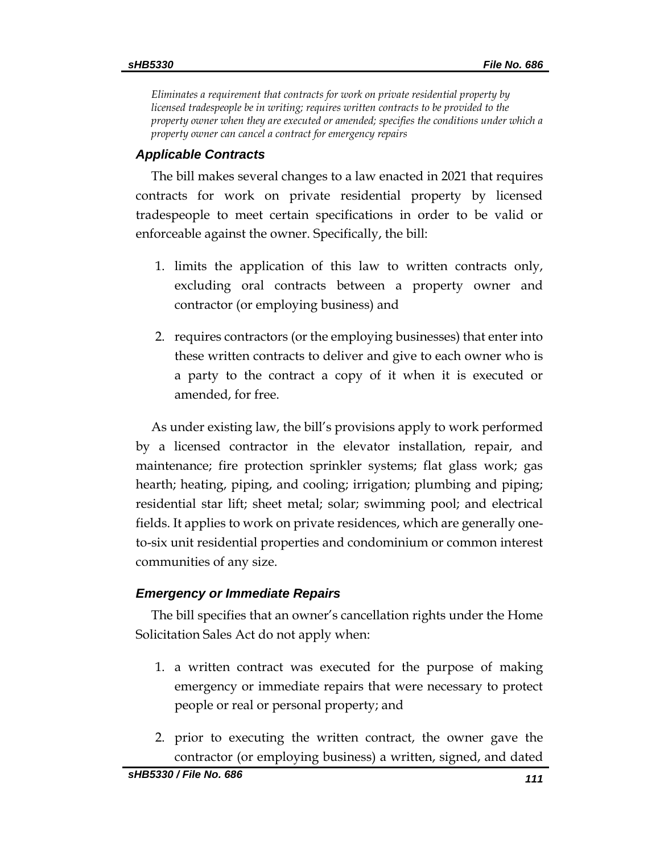*Eliminates a requirement that contracts for work on private residential property by licensed tradespeople be in writing; requires written contracts to be provided to the property owner when they are executed or amended; specifies the conditions under which a property owner can cancel a contract for emergency repairs*

### *Applicable Contracts*

The bill makes several changes to a law enacted in 2021 that requires contracts for work on private residential property by licensed tradespeople to meet certain specifications in order to be valid or enforceable against the owner. Specifically, the bill:

- 1. limits the application of this law to written contracts only, excluding oral contracts between a property owner and contractor (or employing business) and
- 2. requires contractors (or the employing businesses) that enter into these written contracts to deliver and give to each owner who is a party to the contract a copy of it when it is executed or amended, for free.

As under existing law, the bill's provisions apply to work performed by a licensed contractor in the elevator installation, repair, and maintenance; fire protection sprinkler systems; flat glass work; gas hearth; heating, piping, and cooling; irrigation; plumbing and piping; residential star lift; sheet metal; solar; swimming pool; and electrical fields. It applies to work on private residences, which are generally oneto-six unit residential properties and condominium or common interest communities of any size.

## *Emergency or Immediate Repairs*

The bill specifies that an owner's cancellation rights under the Home Solicitation Sales Act do not apply when:

- 1. a written contract was executed for the purpose of making emergency or immediate repairs that were necessary to protect people or real or personal property; and
- 2. prior to executing the written contract, the owner gave the contractor (or employing business) a written, signed, and dated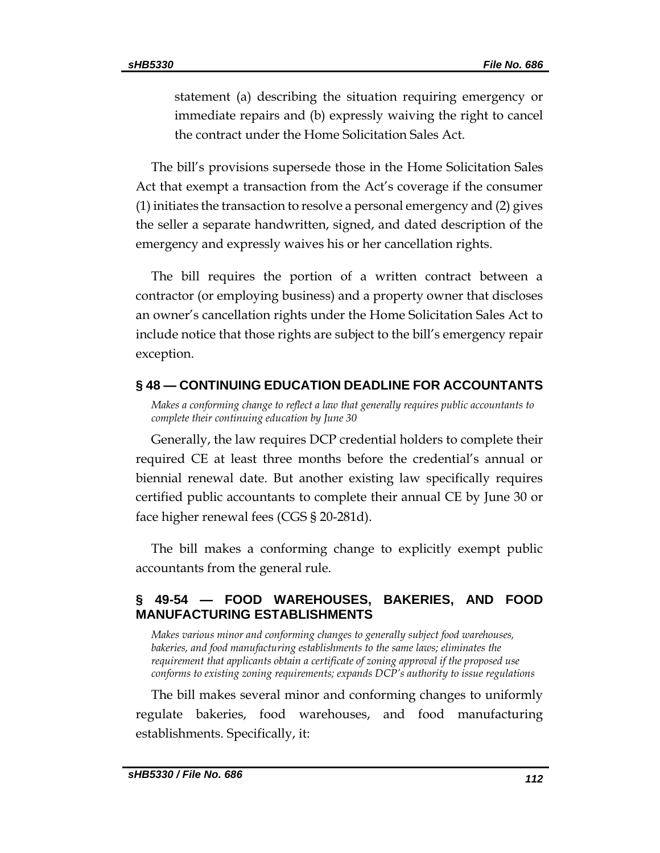statement (a) describing the situation requiring emergency or immediate repairs and (b) expressly waiving the right to cancel the contract under the Home Solicitation Sales Act.

The bill's provisions supersede those in the Home Solicitation Sales Act that exempt a transaction from the Act's coverage if the consumer (1) initiates the transaction to resolve a personal emergency and (2) gives the seller a separate handwritten, signed, and dated description of the emergency and expressly waives his or her cancellation rights.

The bill requires the portion of a written contract between a contractor (or employing business) and a property owner that discloses an owner's cancellation rights under the Home Solicitation Sales Act to include notice that those rights are subject to the bill's emergency repair exception.

### **§ 48 — CONTINUING EDUCATION DEADLINE FOR ACCOUNTANTS**

*Makes a conforming change to reflect a law that generally requires public accountants to complete their continuing education by June 30*

Generally, the law requires DCP credential holders to complete their required CE at least three months before the credential's annual or biennial renewal date. But another existing law specifically requires certified public accountants to complete their annual CE by June 30 or face higher renewal fees (CGS § 20-281d).

The bill makes a conforming change to explicitly exempt public accountants from the general rule.

## **§ 49-54 — FOOD WAREHOUSES, BAKERIES, AND FOOD MANUFACTURING ESTABLISHMENTS**

*Makes various minor and conforming changes to generally subject food warehouses, bakeries, and food manufacturing establishments to the same laws; eliminates the requirement that applicants obtain a certificate of zoning approval if the proposed use conforms to existing zoning requirements; expands DCP's authority to issue regulations*

The bill makes several minor and conforming changes to uniformly regulate bakeries, food warehouses, and food manufacturing establishments. Specifically, it: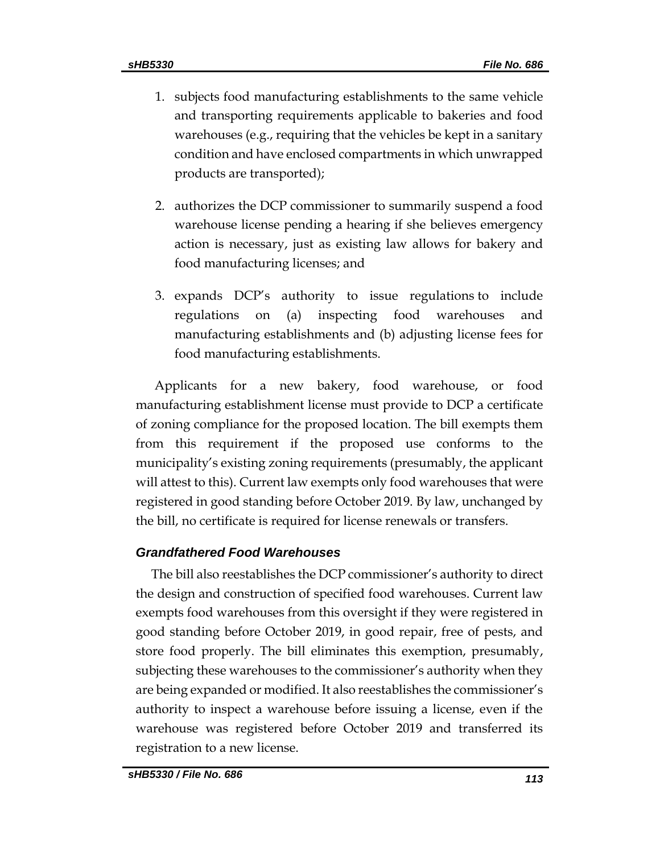- 1. subjects food manufacturing establishments to the same vehicle and transporting requirements applicable to bakeries and food warehouses (e.g., requiring that the vehicles be kept in a sanitary condition and have enclosed compartments in which unwrapped products are transported);
- 2. authorizes the DCP commissioner to summarily suspend a food warehouse license pending a hearing if she believes emergency action is necessary, just as existing law allows for bakery and food manufacturing licenses; and
- 3. expands DCP's authority to issue regulations to include regulations on (a) inspecting food warehouses and manufacturing establishments and (b) adjusting license fees for food manufacturing establishments.

Applicants for a new bakery, food warehouse, or food manufacturing establishment license must provide to DCP a certificate of zoning compliance for the proposed location. The bill exempts them from this requirement if the proposed use conforms to the municipality's existing zoning requirements (presumably, the applicant will attest to this). Current law exempts only food warehouses that were registered in good standing before October 2019. By law, unchanged by the bill, no certificate is required for license renewals or transfers.

### *Grandfathered Food Warehouses*

The bill also reestablishes the DCP commissioner's authority to direct the design and construction of specified food warehouses. Current law exempts food warehouses from this oversight if they were registered in good standing before October 2019, in good repair, free of pests, and store food properly. The bill eliminates this exemption, presumably, subjecting these warehouses to the commissioner's authority when they are being expanded or modified. It also reestablishes the commissioner's authority to inspect a warehouse before issuing a license, even if the warehouse was registered before October 2019 and transferred its registration to a new license.